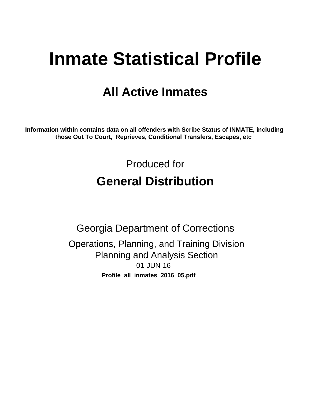# **Inmate Statistical Profile**

# **All Active Inmates**

Information within contains data on all offenders with Scribe Status of INMATE, including those Out To Court, Reprieves, Conditional Transfers, Escapes, etc

> Produced for **General Distribution**

**Georgia Department of Corrections** Operations, Planning, and Training Division **Planning and Analysis Section** 01-JUN-16 Profile\_all\_inmates\_2016\_05.pdf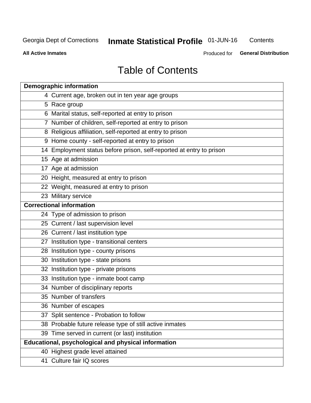# **Inmate Statistical Profile 01-JUN-16**

Contents

**All Active Inmates** 

Produced for General Distribution

# **Table of Contents**

| <b>Demographic information</b>                                       |
|----------------------------------------------------------------------|
| 4 Current age, broken out in ten year age groups                     |
| 5 Race group                                                         |
| 6 Marital status, self-reported at entry to prison                   |
| 7 Number of children, self-reported at entry to prison               |
| 8 Religious affiliation, self-reported at entry to prison            |
| 9 Home county - self-reported at entry to prison                     |
| 14 Employment status before prison, self-reported at entry to prison |
| 15 Age at admission                                                  |
| $17$ Age at admission                                                |
| 20 Height, measured at entry to prison                               |
| 22 Weight, measured at entry to prison                               |
| 23 Military service                                                  |
| <b>Correctional information</b>                                      |
| 24 Type of admission to prison                                       |
| 25 Current / last supervision level                                  |
| 26 Current / last institution type                                   |
| 27 Institution type - transitional centers                           |
| 28 Institution type - county prisons                                 |
| 30 Institution type - state prisons                                  |
| 32 Institution type - private prisons                                |
| 33 Institution type - inmate boot camp                               |
| 34 Number of disciplinary reports                                    |
| 35 Number of transfers                                               |
| 36 Number of escapes                                                 |
| 37 Split sentence - Probation to follow                              |
| 38 Probable future release type of still active inmates              |
| 39 Time served in current (or last) institution                      |
| Educational, psychological and physical information                  |
| 40 Highest grade level attained                                      |
| 41 Culture fair IQ scores                                            |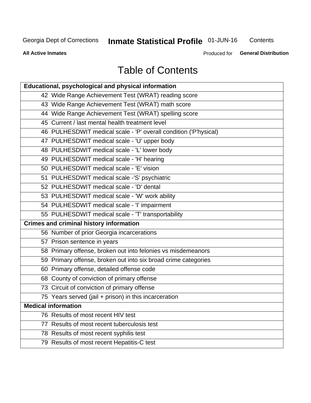# **Inmate Statistical Profile 01-JUN-16**

Contents

**All Active Inmates** 

Produced for General Distribution

# **Table of Contents**

| Educational, psychological and physical information              |
|------------------------------------------------------------------|
| 42 Wide Range Achievement Test (WRAT) reading score              |
| 43 Wide Range Achievement Test (WRAT) math score                 |
| 44 Wide Range Achievement Test (WRAT) spelling score             |
| 45 Current / last mental health treatment level                  |
| 46 PULHESDWIT medical scale - 'P' overall condition ('P'hysical) |
| 47 PULHESDWIT medical scale - 'U' upper body                     |
| 48 PULHESDWIT medical scale - 'L' lower body                     |
| 49 PULHESDWIT medical scale - 'H' hearing                        |
| 50 PULHESDWIT medical scale - 'E' vision                         |
| 51 PULHESDWIT medical scale -'S' psychiatric                     |
| 52 PULHESDWIT medical scale - 'D' dental                         |
| 53 PULHESDWIT medical scale - 'W' work ability                   |
| 54 PULHESDWIT medical scale - 'I' impairment                     |
| 55 PULHESDWIT medical scale - 'T' transportability               |
| <b>Crimes and criminal history information</b>                   |
| 56 Number of prior Georgia incarcerations                        |
| 57 Prison sentence in years                                      |
| 58 Primary offense, broken out into felonies vs misdemeanors     |
| 59 Primary offense, broken out into six broad crime categories   |
| 60 Primary offense, detailed offense code                        |
| 68 County of conviction of primary offense                       |
| 73 Circuit of conviction of primary offense                      |
| 75 Years served (jail + prison) in this incarceration            |
| <b>Medical information</b>                                       |
| 76 Results of most recent HIV test                               |
| 77 Results of most recent tuberculosis test                      |
| 78 Results of most recent syphilis test                          |
| 79 Results of most recent Hepatitis-C test                       |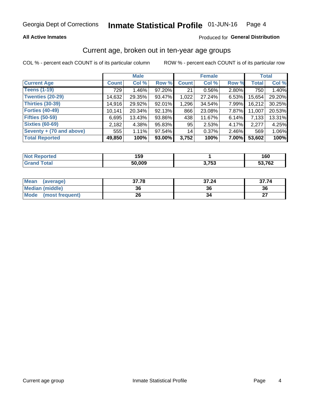### **All Active Inmates**

### Produced for General Distribution

# Current age, broken out in ten-year age groups

COL % - percent each COUNT is of its particular column

|                          | <b>Male</b>  |          |        | <b>Female</b> |          |       | <b>Total</b> |        |
|--------------------------|--------------|----------|--------|---------------|----------|-------|--------------|--------|
| <b>Current Age</b>       | <b>Count</b> | Col %    | Row %  | <b>Count</b>  | Col %    | Row % | <b>Total</b> | Col %  |
| <b>Teens (1-19)</b>      | 729          | $1.46\%$ | 97.20% | 21            | $0.56\%$ | 2.80% | 750          | 1.40%  |
| <b>Twenties (20-29)</b>  | 14,632       | 29.35%   | 93.47% | 1,022         | 27.24%   | 6.53% | 15,654       | 29.20% |
| Thirties (30-39)         | 14,916       | 29.92%   | 92.01% | 1,296         | 34.54%   | 7.99% | 16,212       | 30.25% |
| <b>Forties (40-49)</b>   | 10,141       | 20.34%   | 92.13% | 866           | 23.08%   | 7.87% | 11,007       | 20.53% |
| <b>Fifties (50-59)</b>   | 6,695        | 13.43%   | 93.86% | 438           | 11.67%   | 6.14% | 7,133        | 13.31% |
| <b>Sixties (60-69)</b>   | 2,182        | 4.38%    | 95.83% | 95            | 2.53%    | 4.17% | 2,277        | 4.25%  |
| Seventy + (70 and above) | 555          | 1.11%    | 97.54% | 14            | 0.37%    | 2.46% | 569          | 1.06%  |
| <b>Total Reported</b>    | 49,850       | 100%     | 93.00% | 3,752         | 100%     | 7.00% | 53,602       | 100%   |

| <b>Not Reported</b> | 159    |                 | 160    |
|---------------------|--------|-----------------|--------|
| <b>Total</b>        | 50,009 | ? フド?<br>ט, ו ט | 53,762 |

| <b>Mean</b><br>(average)       | 37.78 | 37.24 | 37.74     |
|--------------------------------|-------|-------|-----------|
| Median (middle)                | 36    | 36    | 36        |
| <b>Mode</b><br>(most frequent) | 26    |       | ^7<br>. . |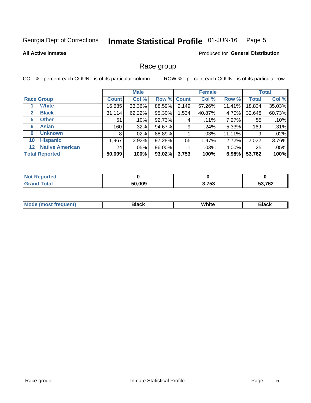#### Inmate Statistical Profile 01-JUN-16 Page 5

### **All Active Inmates**

### **Produced for General Distribution**

# Race group

COL % - percent each COUNT is of its particular column

|                                   |              | <b>Male</b> |             |       | <b>Female</b> |        |              | <b>Total</b> |  |
|-----------------------------------|--------------|-------------|-------------|-------|---------------|--------|--------------|--------------|--|
| <b>Race Group</b>                 | <b>Count</b> | Col %       | Row % Count |       | Col %         | Row %  | <b>Total</b> | Col %        |  |
| <b>White</b>                      | 16,685       | 33.36%      | 88.59%      | 2,149 | 57.26%        | 11.41% | 18,834       | 35.03%       |  |
| <b>Black</b><br>2                 | 31,114       | 62.22%      | 95.30%      | 1,534 | 40.87%        | 4.70%  | 32,648       | 60.73%       |  |
| <b>Other</b><br>5.                | 51           | .10%        | 92.73%      | 4     | $.11\%$       | 7.27%  | 55           | .10%         |  |
| <b>Asian</b><br>6                 | 160          | $.32\%$     | 94.67%      | 9     | .24%          | 5.33%  | 169          | .31%         |  |
| <b>Unknown</b><br>9               | 8            | $.02\%$     | 88.89%      |       | .03%          | 11.11% | 9            | .02%         |  |
| <b>Hispanic</b><br>10             | .967         | 3.93%       | 97.28%      | 55    | 1.47%         | 2.72%  | 2,022        | 3.76%        |  |
| <b>Native American</b><br>$12 \,$ | 24           | .05%        | 96.00%      |       | .03%          | 4.00%  | 25           | .05%         |  |
| <b>Total Reported</b>             | 50,009       | 100%        | 93.02%      | 3,753 | 100%          | 6.98%  | 53,762       | 100%         |  |

| orted<br>N  |        |                  |                       |
|-------------|--------|------------------|-----------------------|
| <b>otal</b> | 50,009 | ヘ フロヘ<br>ง. เ งง | <b>52762</b><br>1 Q.Z |

| IМ | - - -- |  |
|----|--------|--|
|    |        |  |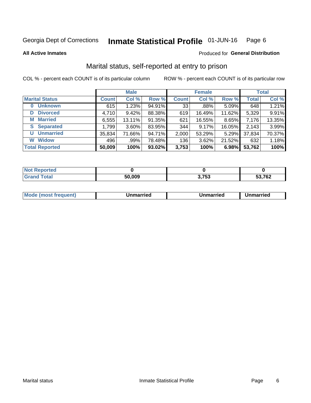#### Inmate Statistical Profile 01-JUN-16 Page 6

**All Active Inmates** 

### Produced for General Distribution

# Marital status, self-reported at entry to prison

COL % - percent each COUNT is of its particular column

|                            | <b>Male</b>  |          |        |              | <b>Female</b> | <b>Total</b> |              |        |
|----------------------------|--------------|----------|--------|--------------|---------------|--------------|--------------|--------|
| <b>Marital Status</b>      | <b>Count</b> | Col %    | Row %  | <b>Count</b> | Col %         | Row %        | <b>Total</b> | Col %  |
| <b>Unknown</b><br>$\bf{0}$ | 615          | 1.23%    | 94.91% | 33           | .88%          | 5.09%        | 648          | 1.21%  |
| <b>Divorced</b><br>D       | 4,710        | 9.42%    | 88.38% | 619          | 16.49%        | 11.62%       | 5,329        | 9.91%  |
| <b>Married</b><br>М        | 6,555        | 13.11%   | 91.35% | 621          | 16.55%        | 8.65%        | 7,176        | 13.35% |
| <b>Separated</b><br>S.     | 1,799        | $3.60\%$ | 83.95% | 344          | 9.17%         | 16.05%       | 2,143        | 3.99%  |
| <b>Unmarried</b><br>U      | 35,834       | 71.66%   | 94.71% | 2,000        | 53.29%        | 5.29%        | 37,834       | 70.37% |
| <b>Widow</b><br>W          | 496          | .99%     | 78.48% | 136          | 3.62%         | 21.52%       | 632          | 1.18%  |
| <b>Total Reported</b>      | 50,009       | 100%     | 93.02% | 3,753        | 100%          | 6.98%        | 53,762       | 100%   |

| orted<br>NO |        |                 |        |
|-------------|--------|-----------------|--------|
| $\sim$ 100  | 50,009 | יידי ה<br>ა, ია | 53,762 |

|--|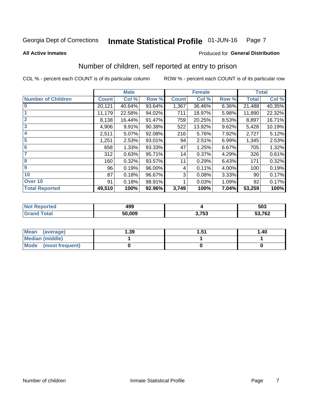#### Inmate Statistical Profile 01-JUN-16 Page 7

**All Active Inmates** 

### **Produced for General Distribution**

# Number of children, self reported at entry to prison

COL % - percent each COUNT is of its particular column

|                           |              | <b>Male</b> |        |              | <b>Female</b> |       |              | <b>Total</b> |
|---------------------------|--------------|-------------|--------|--------------|---------------|-------|--------------|--------------|
| <b>Number of Children</b> | <b>Count</b> | Col %       | Row %  | <b>Count</b> | Col %         | Row % | <b>Total</b> | Col %        |
| $\bf{0}$                  | 20,121       | 40.64%      | 93.64% | 1,367        | 36.46%        | 6.36% | 21,488       | 40.35%       |
|                           | 11,179       | 22.58%      | 94.02% | 711          | 18.97%        | 5.98% | 11,890       | 22.32%       |
| $\overline{2}$            | 8,138        | 16.44%      | 91.47% | 759          | 20.25%        | 8.53% | 8,897        | 16.71%       |
| 3                         | 4,906        | 9.91%       | 90.38% | 522          | 13.92%        | 9.62% | 5,428        | 10.19%       |
| 4                         | 2,511        | 5.07%       | 92.08% | 216          | 5.76%         | 7.92% | 2,727        | 5.12%        |
| 5                         | 1,251        | 2.53%       | 93.01% | 94           | 2.51%         | 6.99% | 1,345        | 2.53%        |
| 6                         | 658          | 1.33%       | 93.33% | 47           | 1.25%         | 6.67% | 705          | 1.32%        |
| 7                         | 312          | 0.63%       | 95.71% | 14           | 0.37%         | 4.29% | 326          | 0.61%        |
| 8                         | 160          | 0.32%       | 93.57% | 11           | 0.29%         | 6.43% | 171          | 0.32%        |
| 9                         | 96           | 0.19%       | 96.00% | 4            | 0.11%         | 4.00% | 100          | 0.19%        |
| 10                        | 87           | 0.18%       | 96.67% | 3            | 0.08%         | 3.33% | 90           | 0.17%        |
| Over 10                   | 91           | 0.18%       | 98.91% |              | 0.03%         | 1.09% | 92           | 0.17%        |
| <b>Total Reported</b>     | 49,510       | 100%        | 92.96% | 3,749        | 100%          | 7.04% | 53,259       | 100%         |

| ៱៱៱<br>45. |            | 503    |
|------------|------------|--------|
| 50.009     | フロウ<br>ึงง | 53,762 |

| Mean<br>(average)       | 1.39 | 1 51<br>ו ט.ו | 1.40 |
|-------------------------|------|---------------|------|
| <b>Median (middle)</b>  |      |               |      |
| Mode<br>(most frequent) |      |               |      |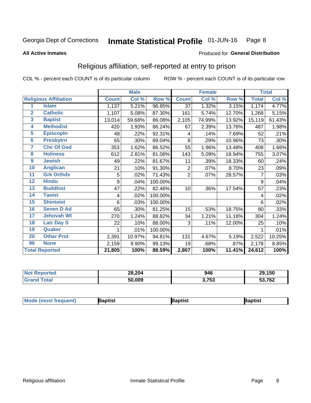#### Inmate Statistical Profile 01-JUN-16 Page 8

#### **All Active Inmates**

### Produced for General Distribution

# Religious affiliation, self-reported at entry to prison

COL % - percent each COUNT is of its particular column

|                |                              |              | <b>Male</b> |         |                | <b>Female</b>             |        |              | <b>Total</b> |
|----------------|------------------------------|--------------|-------------|---------|----------------|---------------------------|--------|--------------|--------------|
|                | <b>Religious Affiliation</b> | <b>Count</b> | Col %       | Row %   | <b>Count</b>   | $\overline{\text{Col}}$ % | Row %  | <b>Total</b> | Col %        |
| 1              | <b>Islam</b>                 | 1,137        | 5.21%       | 96.85%  | 37             | 1.32%                     | 3.15%  | 1,174        | 4.77%        |
| $\overline{2}$ | <b>Catholic</b>              | 1,107        | 5.08%       | 87.30%  | 161            | 5.74%                     | 12.70% | 1,268        | 5.15%        |
| 3              | <b>Baptist</b>               | 13,014       | 59.68%      | 86.08%  | 2,105          | 74.99%                    | 13.92% | 15,119       | 61.43%       |
| 4              | <b>Methodist</b>             | 420          | 1.93%       | 86.24%  | 67             | 2.39%                     | 13.76% | 487          | 1.98%        |
| 5              | <b>EpiscopIn</b>             | 48           | .22%        | 92.31%  | 4              | .14%                      | 7.69%  | 52           | .21%         |
| $6\phantom{a}$ | <b>Presbytrn</b>             | 65           | .30%        | 89.04%  | 8              | .29%                      | 10.96% | 73           | .30%         |
| 7              | <b>Chc Of God</b>            | 353          | 1.62%       | 86.52%  | 55             | 1.96%                     | 13.48% | 408          | 1.66%        |
| 8              | <b>Holiness</b>              | 612          | 2.81%       | 81.06%  | 143            | 5.09%                     | 18.94% | 755          | 3.07%        |
| 9              | <b>Jewish</b>                | 49           | .22%        | 81.67%  | 11             | .39%                      | 18.33% | 60           | .24%         |
| 10             | <b>Anglican</b>              | 21           | .10%        | 91.30%  | 2              | .07%                      | 8.70%  | 23           | .09%         |
| 11             | <b>Grk Orthdx</b>            | 5            | .02%        | 71.43%  | $\overline{2}$ | .07%                      | 28.57% | 7            | .03%         |
| 12             | <b>Hindu</b>                 | 9            | .04%        | 100.00% |                |                           |        | 9            | .04%         |
| 13             | <b>Buddhist</b>              | 47           | .22%        | 82.46%  | 10             | .36%                      | 17.54% | 57           | .23%         |
| 14             | <b>Taoist</b>                | 4            | .02%        | 100.00% |                |                           |        | 4            | .02%         |
| 15             | <b>Shintoist</b>             | 6            | .03%        | 100.00% |                |                           |        | 6            | .02%         |
| 16             | <b>Seven D Ad</b>            | 65           | .30%        | 81.25%  | 15             | .53%                      | 18.75% | 80           | .33%         |
| 17             | <b>Jehovah Wt</b>            | 270          | 1.24%       | 88.82%  | 34             | 1.21%                     | 11.18% | 304          | 1.24%        |
| 18             | <b>Latr Day S</b>            | 22           | .10%        | 88.00%  | 3              | .11%                      | 12.00% | 25           | .10%         |
| 19             | <b>Quaker</b>                |              | .01%        | 100.00% |                |                           |        |              | .01%         |
| 20             | <b>Other Prot</b>            | 2,391        | 10.97%      | 94.81%  | 131            | 4.67%                     | 5.19%  | 2,522        | 10.25%       |
| 96             | <b>None</b>                  | 2,159        | 9.90%       | 99.13%  | 19             | .68%                      | .87%   | 2,178        | 8.85%        |
|                | <b>Total Reported</b>        | 21,805       | 100%        | 88.59%  | 2,807          | 100%                      | 11.41% | 24,612       | 100%         |

| N | 28,204 | 946          | 29,150        |
|---|--------|--------------|---------------|
|   | 50.009 | 2.752<br>⊍ ∪ | 53,762<br>- - |

|  | <b>Mode (most frequent)</b> | ıntist<br>ິ | <b>'a</b> ptist | aptist |
|--|-----------------------------|-------------|-----------------|--------|
|--|-----------------------------|-------------|-----------------|--------|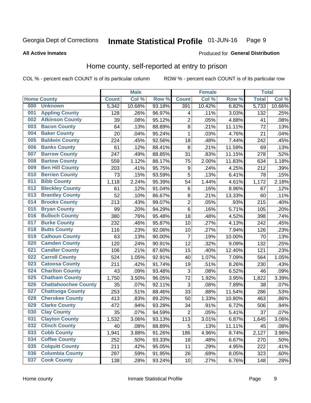#### Inmate Statistical Profile 01-JUN-16 Page 9

#### **All Active Inmates**

### Produced for General Distribution

# Home county, self-reported at entry to prison

COL % - percent each COUNT is of its particular column

|     |                             |              | <b>Male</b> |                  |                  | <b>Female</b> |                    | <b>Total</b> |        |
|-----|-----------------------------|--------------|-------------|------------------|------------------|---------------|--------------------|--------------|--------|
|     | <b>Home County</b>          | <b>Count</b> | Col %       | Row <sup>%</sup> | <b>Count</b>     | Col %         | Row %              | <b>Total</b> | Col %  |
| 000 | <b>Unknown</b>              | 5,342        | 10.68%      | 93.18%           | 391              | 10.42%        | 6.82%              | 5,733        | 10.66% |
| 001 | <b>Appling County</b>       | 128          | .26%        | 96.97%           | 4                | .11%          | 3.03%              | 132          | .25%   |
| 002 | <b>Atkinson County</b>      | 39           | .08%        | 95.12%           | $\overline{2}$   | .05%          | 4.88%              | 41           | .08%   |
| 003 | <b>Bacon County</b>         | 64           | .13%        | 88.89%           | 8                | .21%          | 11.11%             | 72           | .13%   |
| 004 | <b>Baker County</b>         | 20           | .04%        | 95.24%           | 1                | .03%          | 4.76%              | 21           | .04%   |
| 005 | <b>Baldwin County</b>       | 224          | .45%        | 92.56%           | 18               | .48%          | 7.44%              | 242          | .45%   |
| 006 | <b>Banks County</b>         | 61           | .12%        | 88.41%           | 8                | .21%          | 11.59%             | 69           | .13%   |
| 007 | <b>Barrow County</b>        | 247          | .49%        | 88.85%           | 31               | .83%          | 11.15%             | 278          | .52%   |
| 008 | <b>Bartow County</b>        | 559          | 1.12%       | 88.17%           | 75               | 2.00%         | 11.83%             | 634          | 1.18%  |
| 009 | <b>Ben Hill County</b>      | 203          | .41%        | 95.75%           | $\boldsymbol{9}$ | .24%          | 4.25%              | 212          | .39%   |
| 010 | <b>Berrien County</b>       | 73           | .15%        | 93.59%           | 5                | .13%          | 6.41%              | 78           | .15%   |
| 011 | <b>Bibb County</b>          | 1,118        | 2.24%       | 95.39%           | 54               | 1.44%         | 4.61%              | 1,172        | 2.18%  |
| 012 | <b>Bleckley County</b>      | 61           | .12%        | 91.04%           | 6                | .16%          | 8.96%              | 67           | .12%   |
| 013 | <b>Brantley County</b>      | 52           | .10%        | 86.67%           | $\bf 8$          | .21%          | 13.33%             | 60           | .11%   |
| 014 | <b>Brooks County</b>        | 213          | .43%        | 99.07%           | $\overline{2}$   | .05%          | .93%               | 215          | .40%   |
| 015 | <b>Bryan County</b>         | 99           | .20%        | 94.29%           | 6                | .16%          | $\frac{1}{5.71\%}$ | 105          | .20%   |
| 016 | <b>Bulloch County</b>       | 380          | .76%        | 95.48%           | 18               | .48%          | 4.52%              | 398          | .74%   |
| 017 | <b>Burke County</b>         | 232          | .46%        | 95.87%           | 10               | .27%          | 4.13%              | 242          | .45%   |
| 018 | <b>Butts County</b>         | 116          | .23%        | 92.06%           | 10               | .27%          | 7.94%              | 126          | .23%   |
| 019 | <b>Calhoun County</b>       | 63           | .13%        | 90.00%           | $\overline{7}$   | .19%          | 10.00%             | 70           | .13%   |
| 020 | <b>Camden County</b>        | 120          | .24%        | 90.91%           | 12               | .32%          | 9.09%              | 132          | .25%   |
| 021 | <b>Candler County</b>       | 106          | .21%        | 87.60%           | 15               | .40%          | 12.40%             | 121          | .23%   |
| 022 | <b>Carroll County</b>       | 524          | 1.05%       | 92.91%           | 40               | 1.07%         | 7.09%              | 564          | 1.05%  |
| 023 | <b>Catoosa County</b>       | 211          | .42%        | 91.74%           | 19               | .51%          | 8.26%              | 230          | .43%   |
| 024 | <b>Charlton County</b>      | 43           | .09%        | 93.48%           | 3                | .08%          | 6.52%              | 46           | .09%   |
| 025 | <b>Chatham County</b>       | 1,750        | 3.50%       | 96.05%           | $\overline{72}$  | 1.92%         | 3.95%              | 1,822        | 3.39%  |
| 026 | <b>Chattahoochee County</b> | 35           | .07%        | 92.11%           | 3                | .08%          | 7.89%              | 38           | .07%   |
| 027 | <b>Chattooga County</b>     | 253          | .51%        | 88.46%           | 33               | .88%          | 11.54%             | 286          | .53%   |
| 028 | <b>Cherokee County</b>      | 413          | .83%        | 89.20%           | 50               | 1.33%         | 10.80%             | 463          | .86%   |
| 029 | <b>Clarke County</b>        | 472          | .94%        | 93.28%           | 34               | .91%          | 6.72%              | 506          | .94%   |
| 030 | <b>Clay County</b>          | 35           | .07%        | 94.59%           | $\overline{2}$   | .05%          | 5.41%              | 37           | .07%   |
| 031 | <b>Clayton County</b>       | 1,532        | 3.06%       | 93.13%           | 113              | 3.01%         | 6.87%              | 1,645        | 3.06%  |
| 032 | <b>Clinch County</b>        | 40           | .08%        | 88.89%           | 5                | .13%          | 11.11%             | 45           | .08%   |
| 033 | <b>Cobb County</b>          | 1,941        | 3.88%       | 91.26%           | 186              | 4.96%         | 8.74%              | 2,127        | 3.96%  |
| 034 | <b>Coffee County</b>        | 252          | .50%        | 93.33%           | 18               | .48%          | 6.67%              | 270          | .50%   |
| 035 | <b>Colquitt County</b>      | 211          | .42%        | 95.05%           | 11               | .29%          | 4.95%              | 222          | .41%   |
| 036 | <b>Columbia County</b>      | 297          | .59%        | 91.95%           | 26               | .69%          | 8.05%              | 323          | .60%   |
| 037 | <b>Cook County</b>          | 138          | .28%        | 93.24%           | 10               | .27%          | 6.76%              | 148          | .28%   |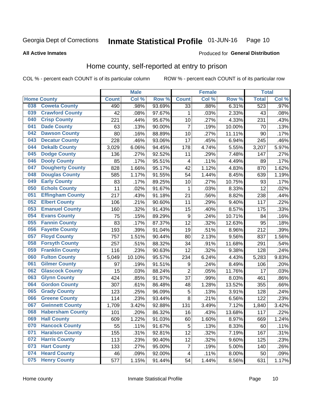#### **Inmate Statistical Profile 01-JUN-16** Page 10

**All Active Inmates** 

### Produced for General Distribution

# Home county, self-reported at entry to prison

COL % - percent each COUNT is of its particular column

|     |                         |                    | <b>Male</b> |                  |                | <b>Female</b> |        | <b>Total</b> |       |
|-----|-------------------------|--------------------|-------------|------------------|----------------|---------------|--------|--------------|-------|
|     | <b>Home County</b>      | <b>Count</b>       | Col%        | Row <sup>%</sup> | <b>Count</b>   | Col %         | Row %  | <b>Total</b> | Col % |
| 038 | <b>Coweta County</b>    | 490                | .98%        | 93.69%           | 33             | .88%          | 6.31%  | 523          | .97%  |
| 039 | <b>Crawford County</b>  | 42                 | .08%        | 97.67%           | 1              | .03%          | 2.33%  | 43           | .08%  |
| 040 | <b>Crisp County</b>     | 221                | .44%        | 95.67%           | 10             | .27%          | 4.33%  | 231          | .43%  |
| 041 | <b>Dade County</b>      | 63                 | .13%        | 90.00%           | $\overline{7}$ | .19%          | 10.00% | 70           | .13%  |
| 042 | <b>Dawson County</b>    | 80                 | .16%        | 88.89%           | 10             | .27%          | 11.11% | 90           | .17%  |
| 043 | <b>Decatur County</b>   | 228                | .46%        | 93.06%           | 17             | .45%          | 6.94%  | 245          | .46%  |
| 044 | <b>Dekalb County</b>    | 3,029              | 6.06%       | 94.45%           | 178            | 4.74%         | 5.55%  | 3,207        | 5.97% |
| 045 | <b>Dodge County</b>     | 136                | .27%        | 92.52%           | 11             | .29%          | 7.48%  | 147          | .27%  |
| 046 | <b>Dooly County</b>     | 85                 | .17%        | 95.51%           | 4              | .11%          | 4.49%  | 89           | .17%  |
| 047 | <b>Dougherty County</b> | 828                | 1.66%       | 95.17%           | 42             | 1.12%         | 4.83%  | 870          | 1.62% |
| 048 | <b>Douglas County</b>   | 585                | 1.17%       | 91.55%           | 54             | 1.44%         | 8.45%  | 639          | 1.19% |
| 049 | <b>Early County</b>     | 83                 | .17%        | 89.25%           | 10             | .27%          | 10.75% | 93           | .17%  |
| 050 | <b>Echols County</b>    | 11                 | .02%        | 91.67%           | 1              | .03%          | 8.33%  | 12           | .02%  |
| 051 | <b>Effingham County</b> | 217                | .43%        | 91.18%           | 21             | .56%          | 8.82%  | 238          | .44%  |
| 052 | <b>Elbert County</b>    | 106                | .21%        | 90.60%           | 11             | .29%          | 9.40%  | 117          | .22%  |
| 053 | <b>Emanuel County</b>   | 160                | .32%        | 91.43%           | 15             | .40%          | 8.57%  | 175          | .33%  |
| 054 | <b>Evans County</b>     | 75                 | .15%        | 89.29%           | 9              | .24%          | 10.71% | 84           | .16%  |
| 055 | <b>Fannin County</b>    | 83                 | .17%        | 87.37%           | 12             | .32%          | 12.63% | 95           | .18%  |
| 056 | <b>Fayette County</b>   | 193                | .39%        | 91.04%           | 19             | .51%          | 8.96%  | 212          | .39%  |
| 057 | <b>Floyd County</b>     | 757                | 1.51%       | 90.44%           | 80             | 2.13%         | 9.56%  | 837          | 1.56% |
| 058 | <b>Forsyth County</b>   | 257                | .51%        | 88.32%           | 34             | .91%          | 11.68% | 291          | .54%  |
| 059 | <b>Franklin County</b>  | 116                | .23%        | 90.63%           | 12             | .32%          | 9.38%  | 128          | .24%  |
| 060 | <b>Fulton County</b>    | 5,049              | 10.10%      | 95.57%           | 234            | 6.24%         | 4.43%  | 5,283        | 9.83% |
| 061 | <b>Gilmer County</b>    | 97                 | .19%        | 91.51%           | 9              | .24%          | 8.49%  | 106          | .20%  |
| 062 | <b>Glascock County</b>  | 15                 | .03%        | 88.24%           | $\overline{2}$ | .05%          | 11.76% | 17           | .03%  |
| 063 | <b>Glynn County</b>     | 424                | .85%        | 91.97%           | 37             | .99%          | 8.03%  | 461          | .86%  |
| 064 | <b>Gordon County</b>    | 307                | .61%        | 86.48%           | 48             | 1.28%         | 13.52% | 355          | .66%  |
| 065 | <b>Grady County</b>     | 123                | .25%        | 96.09%           | 5              | .13%          | 3.91%  | 128          | .24%  |
| 066 | <b>Greene County</b>    | 114                | .23%        | 93.44%           | 8              | .21%          | 6.56%  | 122          | .23%  |
| 067 | <b>Gwinnett County</b>  | $\overline{1,709}$ | 3.42%       | 92.88%           | 131            | 3.49%         | 7.12%  | 1,840        | 3.42% |
| 068 | <b>Habersham County</b> | 101                | .20%        | 86.32%           | 16             | .43%          | 13.68% | 117          | .22%  |
| 069 | <b>Hall County</b>      | 609                | 1.22%       | 91.03%           | 60             | 1.60%         | 8.97%  | 669          | 1.24% |
| 070 | <b>Hancock County</b>   | 55                 | .11%        | 91.67%           | 5              | .13%          | 8.33%  | 60           | .11%  |
| 071 | <b>Haralson County</b>  | 155                | .31%        | 92.81%           | 12             | .32%          | 7.19%  | 167          | .31%  |
| 072 | <b>Harris County</b>    | 113                | .23%        | 90.40%           | 12             | .32%          | 9.60%  | 125          | .23%  |
| 073 | <b>Hart County</b>      | 133                | .27%        | 95.00%           | $\overline{7}$ | .19%          | 5.00%  | 140          | .26%  |
| 074 | <b>Heard County</b>     | 46                 | .09%        | 92.00%           | 4              | .11%          | 8.00%  | 50           | .09%  |
| 075 | <b>Henry County</b>     | 577                | 1.15%       | 91.44%           | 54             | 1.44%         | 8.56%  | 631          | 1.17% |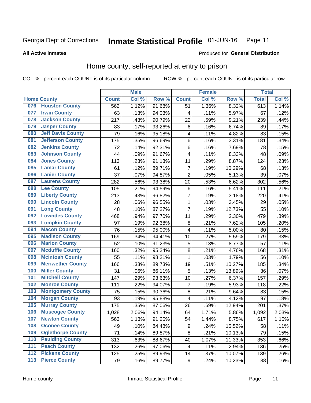#### Inmate Statistical Profile 01-JUN-16 Page 11

**All Active Inmates** 

### Produced for General Distribution

# Home county, self-reported at entry to prison

COL % - percent each COUNT is of its particular column

|                  |                          |              | <b>Male</b> |                  |                         | <b>Female</b> |        | <b>Total</b> |       |
|------------------|--------------------------|--------------|-------------|------------------|-------------------------|---------------|--------|--------------|-------|
|                  | <b>Home County</b>       | <b>Count</b> | Col %       | Row <sup>%</sup> | <b>Count</b>            | Col %         | Row %  | <b>Total</b> | Col % |
| 076              | <b>Houston County</b>    | 562          | 1.12%       | 91.68%           | 51                      | 1.36%         | 8.32%  | 613          | 1.14% |
| 077              | <b>Irwin County</b>      | 63           | .13%        | 94.03%           | 4                       | .11%          | 5.97%  | 67           | .12%  |
| 078              | <b>Jackson County</b>    | 217          | .43%        | 90.79%           | 22                      | .59%          | 9.21%  | 239          | .44%  |
| 079              | <b>Jasper County</b>     | 83           | .17%        | 93.26%           | 6                       | .16%          | 6.74%  | 89           | .17%  |
| 080              | <b>Jeff Davis County</b> | 79           | .16%        | 95.18%           | $\overline{\mathbf{4}}$ | .11%          | 4.82%  | 83           | .15%  |
| 081              | <b>Jefferson County</b>  | 175          | .35%        | 96.69%           | 6                       | .16%          | 3.31%  | 181          | .34%  |
| 082              | <b>Jenkins County</b>    | 72           | .14%        | 92.31%           | 6                       | .16%          | 7.69%  | 78           | .15%  |
| 083              | <b>Johnson County</b>    | 44           | .09%        | 91.67%           | $\overline{\mathbf{4}}$ | .11%          | 8.33%  | 48           | .09%  |
| 084              | <b>Jones County</b>      | 113          | .23%        | 91.13%           | 11                      | .29%          | 8.87%  | 124          | .23%  |
| 085              | <b>Lamar County</b>      | 61           | .12%        | 89.71%           | $\overline{7}$          | .19%          | 10.29% | 68           | .13%  |
| 086              | <b>Lanier County</b>     | 37           | .07%        | 94.87%           | $\overline{2}$          | .05%          | 5.13%  | 39           | .07%  |
| 087              | <b>Laurens County</b>    | 282          | .56%        | 93.38%           | 20                      | .53%          | 6.62%  | 302          | .56%  |
| 088              | <b>Lee County</b>        | 105          | .21%        | 94.59%           | 6                       | .16%          | 5.41%  | 111          | .21%  |
| 089              | <b>Liberty County</b>    | 213          | .43%        | 96.82%           | 7                       | .19%          | 3.18%  | 220          | .41%  |
| 090              | <b>Lincoln County</b>    | 28           | .06%        | 96.55%           | 1                       | .03%          | 3.45%  | 29           | .05%  |
| 091              | <b>Long County</b>       | 48           | .10%        | 87.27%           | $\overline{7}$          | .19%          | 12.73% | 55           | .10%  |
| 092              | <b>Lowndes County</b>    | 468          | .94%        | 97.70%           | 11                      | .29%          | 2.30%  | 479          | .89%  |
| 093              | <b>Lumpkin County</b>    | 97           | .19%        | 92.38%           | 8                       | .21%          | 7.62%  | 105          | .20%  |
| 094              | <b>Macon County</b>      | 76           | .15%        | 95.00%           | 4                       | .11%          | 5.00%  | 80           | .15%  |
| 095              | <b>Madison County</b>    | 169          | .34%        | 94.41%           | 10                      | .27%          | 5.59%  | 179          | .33%  |
| 096              | <b>Marion County</b>     | 52           | .10%        | 91.23%           | 5                       | .13%          | 8.77%  | 57           | .11%  |
| 097              | <b>Mcduffie County</b>   | 160          | .32%        | 95.24%           | 8                       | .21%          | 4.76%  | 168          | .31%  |
| 098              | <b>Mcintosh County</b>   | 55           | .11%        | 98.21%           | $\mathbf 1$             | .03%          | 1.79%  | 56           | .10%  |
| 099              | <b>Meriwether County</b> | 166          | .33%        | 89.73%           | 19                      | .51%          | 10.27% | 185          | .34%  |
| 100              | <b>Miller County</b>     | 31           | .06%        | 86.11%           | 5                       | .13%          | 13.89% | 36           | .07%  |
| 101              | <b>Mitchell County</b>   | 147          | .29%        | 93.63%           | 10                      | .27%          | 6.37%  | 157          | .29%  |
| 102              | <b>Monroe County</b>     | 111          | .22%        | 94.07%           | $\overline{7}$          | .19%          | 5.93%  | 118          | .22%  |
| 103              | <b>Montgomery County</b> | 75           | .15%        | 90.36%           | 8                       | .21%          | 9.64%  | 83           | .15%  |
| 104              | <b>Morgan County</b>     | 93           | .19%        | 95.88%           | $\overline{\mathbf{4}}$ | .11%          | 4.12%  | 97           | .18%  |
| 105              | <b>Murray County</b>     | 175          | .35%        | 87.06%           | 26                      | .69%          | 12.94% | 201          | .37%  |
| 106              | <b>Muscogee County</b>   | 1,028        | 2.06%       | 94.14%           | 64                      | 1.71%         | 5.86%  | 1,092        | 2.03% |
| 107              | <b>Newton County</b>     | 563          | 1.13%       | 91.25%           | 54                      | 1.44%         | 8.75%  | 617          | 1.15% |
| 108              | <b>Oconee County</b>     | 49           | .10%        | 84.48%           | 9                       | .24%          | 15.52% | 58           | .11%  |
| 109              | <b>Oglethorpe County</b> | 71           | .14%        | 89.87%           | 8                       | .21%          | 10.13% | 79           | .15%  |
| 110              | <b>Paulding County</b>   | 313          | .63%        | 88.67%           | 40                      | 1.07%         | 11.33% | 353          | .66%  |
| 111              | <b>Peach County</b>      | 132          | .26%        | 97.06%           | $\overline{\mathbf{4}}$ | .11%          | 2.94%  | 136          | .25%  |
| $\overline{112}$ | <b>Pickens County</b>    | 125          | .25%        | 89.93%           | 14                      | .37%          | 10.07% | 139          | .26%  |
| 113              | <b>Pierce County</b>     | 79           | .16%        | 89.77%           | $\boldsymbol{9}$        | .24%          | 10.23% | 88           | .16%  |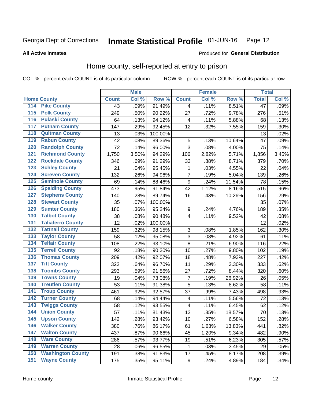#### Inmate Statistical Profile 01-JUN-16 Page 12

**All Active Inmates** 

### Produced for General Distribution

# Home county, self-reported at entry to prison

COL % - percent each COUNT is of its particular column

|                  |                          |              | <b>Male</b> |                  |                           | <b>Female</b> |        | <b>Total</b>    |       |
|------------------|--------------------------|--------------|-------------|------------------|---------------------------|---------------|--------|-----------------|-------|
|                  | <b>Home County</b>       | <b>Count</b> | Col %       | Row <sup>%</sup> | <b>Count</b>              | Col %         | Row %  | <b>Total</b>    | Col % |
| 114              | <b>Pike County</b>       | 43           | .09%        | 91.49%           | 4                         | .11%          | 8.51%  | $\overline{47}$ | .09%  |
| 115              | <b>Polk County</b>       | 249          | .50%        | 90.22%           | 27                        | .72%          | 9.78%  | 276             | .51%  |
| 116              | <b>Pulaski County</b>    | 64           | .13%        | 94.12%           | 4                         | .11%          | 5.88%  | 68              | .13%  |
| 117              | <b>Putnam County</b>     | 147          | .29%        | 92.45%           | 12                        | .32%          | 7.55%  | 159             | .30%  |
| 118              | <b>Quitman County</b>    | 13           | .03%        | 100.00%          |                           |               |        | 13              | .02%  |
| 119              | <b>Rabun County</b>      | 42           | .08%        | 89.36%           | 5                         | .13%          | 10.64% | 47              | .09%  |
| 120              | <b>Randolph County</b>   | 72           | .14%        | 96.00%           | 3                         | .08%          | 4.00%  | 75              | .14%  |
| 121              | <b>Richmond County</b>   | 1,750        | 3.50%       | 94.29%           | 106                       | 2.82%         | 5.71%  | 1,856           | 3.45% |
| 122              | <b>Rockdale County</b>   | 346          | .69%        | 91.29%           | 33                        | .88%          | 8.71%  | 379             | .70%  |
| 123              | <b>Schley County</b>     | 21           | .04%        | 95.45%           | 1                         | .03%          | 4.55%  | 22              | .04%  |
| 124              | <b>Screven County</b>    | 132          | .26%        | 94.96%           | 7                         | .19%          | 5.04%  | 139             | .26%  |
| 125              | <b>Seminole County</b>   | 69           | .14%        | 88.46%           | $\boldsymbol{9}$          | .24%          | 11.54% | 78              | .15%  |
| 126              | <b>Spalding County</b>   | 473          | .95%        | 91.84%           | 42                        | 1.12%         | 8.16%  | 515             | .96%  |
| 127              | <b>Stephens County</b>   | 140          | .28%        | 89.74%           | 16                        | .43%          | 10.26% | 156             | .29%  |
| 128              | <b>Stewart County</b>    | 35           | .07%        | 100.00%          |                           |               |        | 35              | .07%  |
| 129              | <b>Sumter County</b>     | 180          | .36%        | 95.24%           | 9                         | .24%          | 4.76%  | 189             | .35%  |
| 130              | <b>Talbot County</b>     | 38           | .08%        | 90.48%           | 4                         | .11%          | 9.52%  | 42              | .08%  |
| 131              | <b>Taliaferro County</b> | 12           | .02%        | 100.00%          |                           |               |        | 12              | .02%  |
| 132              | <b>Tattnall County</b>   | 159          | .32%        | 98.15%           | $\ensuremath{\mathsf{3}}$ | .08%          | 1.85%  | 162             | .30%  |
| 133              | <b>Taylor County</b>     | 58           | .12%        | 95.08%           | 3                         | .08%          | 4.92%  | 61              | .11%  |
| 134              | <b>Telfair County</b>    | 108          | .22%        | 93.10%           | 8                         | .21%          | 6.90%  | 116             | .22%  |
| 135              | <b>Terrell County</b>    | 92           | .18%        | 90.20%           | 10                        | .27%          | 9.80%  | 102             | .19%  |
| 136              | <b>Thomas County</b>     | 209          | .42%        | 92.07%           | 18                        | .48%          | 7.93%  | 227             | .42%  |
| 137              | <b>Tift County</b>       | 322          | .64%        | 96.70%           | 11                        | .29%          | 3.30%  | 333             | .62%  |
| 138              | <b>Toombs County</b>     | 293          | .59%        | 91.56%           | 27                        | .72%          | 8.44%  | 320             | .60%  |
| 139              | <b>Towns County</b>      | 19           | .04%        | 73.08%           | $\overline{7}$            | .19%          | 26.92% | 26              | .05%  |
| 140              | <b>Treutlen County</b>   | 53           | .11%        | 91.38%           | 5                         | .13%          | 8.62%  | 58              | .11%  |
| 141              | <b>Troup County</b>      | 461          | .92%        | 92.57%           | 37                        | .99%          | 7.43%  | 498             | .93%  |
| $\overline{142}$ | <b>Turner County</b>     | 68           | .14%        | 94.44%           | 4                         | .11%          | 5.56%  | 72              | .13%  |
| 143              | <b>Twiggs County</b>     | 58           | .12%        | 93.55%           | 4                         | .11%          | 6.45%  | 62              | .12%  |
| 144              | <b>Union County</b>      | 57           | .11%        | 81.43%           | 13                        | .35%          | 18.57% | 70              | .13%  |
| 145              | <b>Upson County</b>      | 142          | .28%        | 93.42%           | 10                        | .27%          | 6.58%  | 152             | .28%  |
| 146              | <b>Walker County</b>     | 380          | .76%        | 86.17%           | 61                        | 1.63%         | 13.83% | 441             | .82%  |
| 147              | <b>Walton County</b>     | 437          | .87%        | 90.66%           | 45                        | 1.20%         | 9.34%  | 482             | .90%  |
| 148              | <b>Ware County</b>       | 286          | .57%        | 93.77%           | 19                        | .51%          | 6.23%  | 305             | .57%  |
| 149              | <b>Warren County</b>     | 28           | .06%        | 96.55%           | 1                         | .03%          | 3.45%  | 29              | .05%  |
| 150              | <b>Washington County</b> | 191          | .38%        | 91.83%           | 17                        | .45%          | 8.17%  | 208             | .39%  |
| 151              | <b>Wayne County</b>      | 175          | .35%        | 95.11%           | $\boldsymbol{9}$          | .24%          | 4.89%  | 184             | .34%  |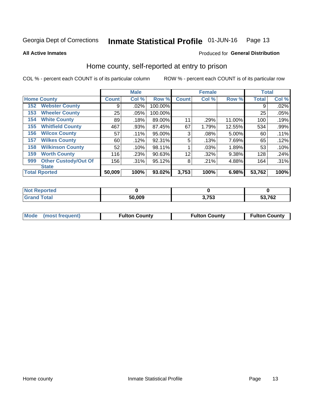#### Inmate Statistical Profile 01-JUN-16 Page 13

**All Active Inmates** 

### Produced for General Distribution

# Home county, self-reported at entry to prison

COL % - percent each COUNT is of its particular column

|     |                             |              | <b>Male</b> |         |              | <b>Female</b> |          | <b>Total</b> |       |
|-----|-----------------------------|--------------|-------------|---------|--------------|---------------|----------|--------------|-------|
|     | <b>Home County</b>          | <b>Count</b> | Col %       | Row %   | <b>Count</b> | Col %         | Row %    | <b>Total</b> | Col % |
| 152 | <b>Webster County</b>       | 9            | .02%        | 100.00% |              |               |          | 9            | .02%  |
| 153 | <b>Wheeler County</b>       | 25           | .05%        | 100.00% |              |               |          | 25           | .05%  |
| 154 | <b>White County</b>         | 89           | .18%        | 89.00%  | 11           | .29%          | 11.00%   | 100          | .19%  |
| 155 | <b>Whitfield County</b>     | 467          | .93%        | 87.45%  | 67           | 1.79%         | 12.55%   | 534          | .99%  |
| 156 | <b>Wilcox County</b>        | 57           | .11%        | 95.00%  | 3            | .08%          | $5.00\%$ | 60           | .11%  |
| 157 | <b>Wilkes County</b>        | 60           | .12%        | 92.31%  | 5            | .13%          | 7.69%    | 65           | .12%  |
| 158 | <b>Wilkinson County</b>     | 52           | .10%        | 98.11%  |              | .03%          | 1.89%    | 53           | .10%  |
| 159 | <b>Worth County</b>         | 116          | .23%        | 90.63%  | 12           | .32%          | $9.38\%$ | 128          | .24%  |
| 999 | <b>Other Custody/Out Of</b> | 156          | .31%        | 95.12%  | 8            | .21%          | 4.88%    | 164          | .31%  |
|     | <b>State</b>                |              |             |         |              |               |          |              |       |
|     | <b>Total Rported</b>        | 50,009       | 100%        | 93.02%  | 3,753        | 100%          | 6.98%    | 53,762       | 100%  |

| Reported |        |             |        |
|----------|--------|-------------|--------|
| `otal    | 50,009 | 753<br>. JJ | 53,762 |

|  | Mode (most frequent) | <b>Fulton County</b> | <b>Fulton County</b> | <b>Fulton County</b> |
|--|----------------------|----------------------|----------------------|----------------------|
|--|----------------------|----------------------|----------------------|----------------------|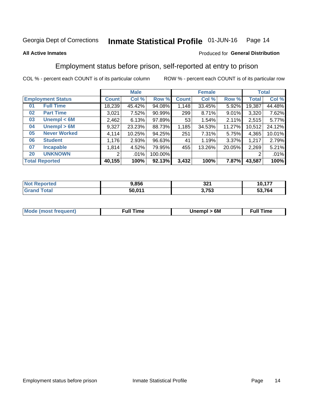#### Inmate Statistical Profile 01-JUN-16 Page 14

### **All Active Inmates**

### Produced for General Distribution

# Employment status before prison, self-reported at entry to prison

COL % - percent each COUNT is of its particular column

|                                    | <b>Male</b>           |        |         | <b>Female</b> |        |          |        | <b>Total</b> |
|------------------------------------|-----------------------|--------|---------|---------------|--------|----------|--------|--------------|
| <b>Employment Status</b>           | <b>Count</b>          | Col %  | Row %   | <b>Count</b>  | Col %  | Row %    | Total  | Col %        |
| <b>Full Time</b><br>0 <sub>1</sub> | 18,239                | 45.42% | 94.08%  | 1,148         | 33.45% | 5.92%    | 19,387 | 44.48%       |
| <b>Part Time</b><br>02             | 3,021                 | 7.52%  | 90.99%  | 299           | 8.71%  | $9.01\%$ | 3,320  | 7.62%        |
| Unempl $<$ 6M<br>03                | 2,462                 | 6.13%  | 97.89%  | 53            | 1.54%  | 2.11%    | 2,515  | 5.77%        |
| Unempl > 6M<br>04                  | 9,327                 | 23.23% | 88.73%  | 1,185         | 34.53% | 11.27%   | 10,512 | 24.12%       |
| <b>Never Worked</b><br>05          | 4,114                 | 10.25% | 94.25%  | 251           | 7.31%  | 5.75%    | 4,365  | 10.01%       |
| <b>Student</b><br>06               | 1,176                 | 2.93%  | 96.63%  | 41            | 1.19%  | 3.37%    | 1,217  | 2.79%        |
| <b>Incapable</b><br>07             | 1,814                 | 4.52%  | 79.95%  | 455           | 13.26% | 20.05%   | 2,269  | 5.21%        |
| <b>UNKNOWN</b><br>20               | $\mathbf{2}^{\prime}$ | .01%   | 100.00% |               |        |          | 2      | .01%         |
| <b>Total Reported</b>              | 40,155                | 100%   | 92.13%  | 3,432         | 100%   | 7.87%    | 43,587 | 100%         |

| <b>Not Reported</b> | 9,856  | 321   | 10,177 |
|---------------------|--------|-------|--------|
| <b>Grand Total</b>  | 50,011 | 3,753 | 53,764 |

| <b>Mode (most frequent)</b> | Unempl > 6M | <b>Full Time</b> |
|-----------------------------|-------------|------------------|
|                             |             |                  |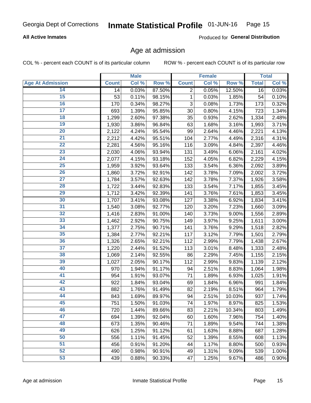### **All Active Inmates**

Produced for General Distribution

# Age at admission

COL % - percent each COUNT is of its particular column

|                         |                    | <b>Male</b> |        |              | <b>Female</b> |        |              | <b>Total</b> |
|-------------------------|--------------------|-------------|--------|--------------|---------------|--------|--------------|--------------|
| <b>Age At Admission</b> | <b>Count</b>       | Col %       | Row %  | <b>Count</b> | Col %         | Row %  | <b>Total</b> | Col %        |
| 14                      | 14                 | 0.03%       | 87.50% | 2            | 0.05%         | 12.50% | 16           | 0.03%        |
| 15                      | 53                 | 0.11%       | 98.15% | 1            | 0.03%         | 1.85%  | 54           | 0.10%        |
| 16                      | 170                | 0.34%       | 98.27% | 3            | 0.08%         | 1.73%  | 173          | 0.32%        |
| 17                      | 693                | 1.39%       | 95.85% | 30           | 0.80%         | 4.15%  | 723          | 1.34%        |
| 18                      | 1,299              | 2.60%       | 97.38% | 35           | 0.93%         | 2.62%  | 1,334        | 2.48%        |
| 19                      | 1,930              | 3.86%       | 96.84% | 63           | 1.68%         | 3.16%  | 1,993        | 3.71%        |
| 20                      | 2,122              | 4.24%       | 95.54% | 99           | 2.64%         | 4.46%  | 2,221        | 4.13%        |
| 21                      | 2,212              | 4.42%       | 95.51% | 104          | 2.77%         | 4.49%  | 2,316        | 4.31%        |
| $\overline{22}$         | 2,281              | 4.56%       | 95.16% | 116          | 3.09%         | 4.84%  | 2,397        | 4.46%        |
| 23                      | 2,030              | 4.06%       | 93.94% | 131          | 3.49%         | 6.06%  | 2,161        | 4.02%        |
| 24                      | 2,077              | 4.15%       | 93.18% | 152          | 4.05%         | 6.82%  | 2,229        | 4.15%        |
| 25                      | 1,959              | 3.92%       | 93.64% | 133          | 3.54%         | 6.36%  | 2,092        | 3.89%        |
| 26                      | 1,860              | 3.72%       | 92.91% | 142          | 3.78%         | 7.09%  | 2,002        | 3.72%        |
| $\overline{27}$         | 1,784              | 3.57%       | 92.63% | 142          | 3.78%         | 7.37%  | 1,926        | 3.58%        |
| 28                      | 1,722              | 3.44%       | 92.83% | 133          | 3.54%         | 7.17%  | 1,855        | 3.45%        |
| 29                      | 1,712              | 3.42%       | 92.39% | 141          | 3.76%         | 7.61%  | 1,853        | 3.45%        |
| 30                      | $\overline{1,707}$ | 3.41%       | 93.08% | 127          | 3.38%         | 6.92%  | 1,834        | 3.41%        |
| 31                      | 1,540              | 3.08%       | 92.77% | 120          | 3.20%         | 7.23%  | 1,660        | 3.09%        |
| 32                      | 1,416              | 2.83%       | 91.00% | 140          | 3.73%         | 9.00%  | 1,556        | 2.89%        |
| 33                      | 1,462              | 2.92%       | 90.75% | 149          | 3.97%         | 9.25%  | 1,611        | 3.00%        |
| $\overline{34}$         | 1,377              | 2.75%       | 90.71% | 141          | 3.76%         | 9.29%  | 1,518        | 2.82%        |
| 35                      | 1,384              | 2.77%       | 92.21% | 117          | 3.12%         | 7.79%  | 1,501        | 2.79%        |
| 36                      | 1,326              | 2.65%       | 92.21% | 112          | 2.99%         | 7.79%  | 1,438        | 2.67%        |
| 37                      | 1,220              | 2.44%       | 91.52% | 113          | 3.01%         | 8.48%  | 1,333        | 2.48%        |
| 38                      | 1,069              | 2.14%       | 92.55% | 86           | 2.29%         | 7.45%  | 1,155        | 2.15%        |
| 39                      | 1,027              | 2.05%       | 90.17% | 112          | 2.99%         | 9.83%  | 1,139        | 2.12%        |
| 40                      | 970                | 1.94%       | 91.17% | 94           | 2.51%         | 8.83%  | 1,064        | 1.98%        |
| 41                      | 954                | 1.91%       | 93.07% | 71           | 1.89%         | 6.93%  | 1,025        | 1.91%        |
| 42                      | 922                | 1.84%       | 93.04% | 69           | 1.84%         | 6.96%  | 991          | 1.84%        |
| 43                      | 882                | 1.76%       | 91.49% | 82           | 2.19%         | 8.51%  | 964          | 1.79%        |
| 44                      | 843                | 1.69%       | 89.97% | 94           | 2.51%         | 10.03% | 937          | 1.74%        |
| 45                      | 751                | 1.50%       | 91.03% | 74           | 1.97%         | 8.97%  | 825          | 1.53%        |
| 46                      | 720                | 1.44%       | 89.66% | 83           | 2.21%         | 10.34% | 803          | 1.49%        |
| 47                      | 694                | 1.39%       | 92.04% | 60           | 1.60%         | 7.96%  | 754          | 1.40%        |
| 48                      | 673                | 1.35%       | 90.46% | 71           | 1.89%         | 9.54%  | 744          | 1.38%        |
| 49                      | 626                | 1.25%       | 91.12% | 61           | 1.63%         | 8.88%  | 687          | 1.28%        |
| 50                      | 556                | 1.11%       | 91.45% | 52           | 1.39%         | 8.55%  | 608          | 1.13%        |
| 51                      | 456                | 0.91%       | 91.20% | 44           | 1.17%         | 8.80%  | 500          | 0.93%        |
| 52                      | 490                | 0.98%       | 90.91% | 49           | 1.31%         | 9.09%  | 539          | 1.00%        |
| 53                      | 439                | 0.88%       | 90.33% | 47           | 1.25%         | 9.67%  | 486          | 0.90%        |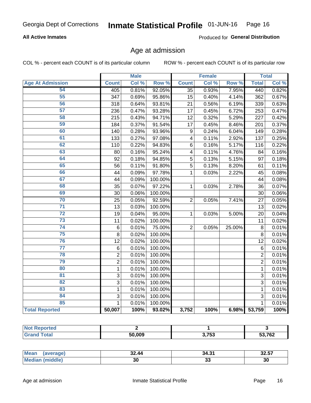### **All Active Inmates**

Produced for General Distribution

# Age at admission

COL % - percent each COUNT is of its particular column

|                         |                  | <b>Male</b> |         |                         | <b>Female</b> |                  |                 | <b>Total</b> |
|-------------------------|------------------|-------------|---------|-------------------------|---------------|------------------|-----------------|--------------|
| <b>Age At Admission</b> | <b>Count</b>     | Col %       | Row %   | <b>Count</b>            | Col %         | Row <sup>%</sup> | <b>Total</b>    | Col %        |
| 54                      | 405              | 0.81%       | 92.05%  | $\overline{35}$         | 0.93%         | 7.95%            | 440             | 0.82%        |
| 55                      | $\overline{3}47$ | 0.69%       | 95.86%  | 15                      | 0.40%         | 4.14%            | 362             | 0.67%        |
| 56                      | 318              | 0.64%       | 93.81%  | 21                      | 0.56%         | 6.19%            | 339             | 0.63%        |
| 57                      | 236              | 0.47%       | 93.28%  | 17                      | 0.45%         | 6.72%            | 253             | 0.47%        |
| 58                      | 215              | 0.43%       | 94.71%  | $\overline{12}$         | 0.32%         | 5.29%            | 227             | 0.42%        |
| 59                      | 184              | 0.37%       | 91.54%  | 17                      | 0.45%         | 8.46%            | 201             | 0.37%        |
| 60                      | 140              | 0.28%       | 93.96%  | 9                       | 0.24%         | 6.04%            | 149             | 0.28%        |
| 61                      | 133              | 0.27%       | 97.08%  | $\overline{\mathbf{4}}$ | 0.11%         | 2.92%            | 137             | 0.25%        |
| 62                      | 110              | 0.22%       | 94.83%  | 6                       | 0.16%         | 5.17%            | 116             | 0.22%        |
| 63                      | 80               | 0.16%       | 95.24%  | $\overline{\mathbf{4}}$ | 0.11%         | 4.76%            | 84              | 0.16%        |
| 64                      | 92               | 0.18%       | 94.85%  | 5                       | 0.13%         | 5.15%            | 97              | 0.18%        |
| 65                      | 56               | 0.11%       | 91.80%  | $\overline{5}$          | 0.13%         | 8.20%            | 61              | 0.11%        |
| 66                      | 44               | 0.09%       | 97.78%  | $\mathbf 1$             | 0.03%         | 2.22%            | 45              | 0.08%        |
| 67                      | 44               | 0.09%       | 100.00% |                         |               |                  | 44              | 0.08%        |
| 68                      | 35               | 0.07%       | 97.22%  | 1                       | 0.03%         | 2.78%            | 36              | 0.07%        |
| 69                      | 30               | 0.06%       | 100.00% |                         |               |                  | 30              | 0.06%        |
| 70                      | 25               | 0.05%       | 92.59%  | $\overline{2}$          | 0.05%         | 7.41%            | 27              | 0.05%        |
| $\overline{71}$         | 13               | 0.03%       | 100.00% |                         |               |                  | 13              | 0.02%        |
| $\overline{72}$         | 19               | 0.04%       | 95.00%  | 1                       | 0.03%         | 5.00%            | 20              | 0.04%        |
| $\overline{73}$         | 11               | 0.02%       | 100.00% |                         |               |                  | $\overline{11}$ | 0.02%        |
| 74                      | $\,6$            | 0.01%       | 75.00%  | $\overline{2}$          | 0.05%         | 25.00%           | 8               | 0.01%        |
| 75                      | 8                | 0.02%       | 100.00% |                         |               |                  | 8               | 0.01%        |
| 76                      | 12               | 0.02%       | 100.00% |                         |               |                  | 12              | 0.02%        |
| $\overline{77}$         | $\,6$            | 0.01%       | 100.00% |                         |               |                  | 6               | 0.01%        |
| 78                      | $\overline{2}$   | 0.01%       | 100.00% |                         |               |                  | $\overline{2}$  | 0.01%        |
| 79                      | $\overline{2}$   | 0.01%       | 100.00% |                         |               |                  | $\overline{2}$  | 0.01%        |
| 80                      | $\mathbf{1}$     | 0.01%       | 100.00% |                         |               |                  | $\mathbf{1}$    | 0.01%        |
| 81                      | $\overline{3}$   | 0.01%       | 100.00% |                         |               |                  | $\overline{3}$  | 0.01%        |
| $\overline{82}$         | $\overline{3}$   | 0.01%       | 100.00% |                         |               |                  | $\overline{3}$  | 0.01%        |
| 83                      | 1                | 0.01%       | 100.00% |                         |               |                  | 1               | 0.01%        |
| 84                      | 3                | 0.01%       | 100.00% |                         |               |                  | 3               | 0.01%        |
| 85                      | $\mathbf{1}$     | 0.01%       | 100.00% |                         |               |                  | $\mathbf{1}$    | 0.01%        |
| <b>Total Reported</b>   | 50,007           | 100%        | 93.02%  | 3,752                   | 100%          | 6.98%            | 53,759          | 100%         |

| ำrted<br>NOT F |        |                 |        |
|----------------|--------|-----------------|--------|
| fota'          | 50.009 | התת ה<br>נט ו,נ | 53,762 |

| <b>Mean</b><br>(average) | 32.44 | 34.31 | 00 FT<br>32.J <i>I</i> |
|--------------------------|-------|-------|------------------------|
| Me                       | 30    | აა    | 30                     |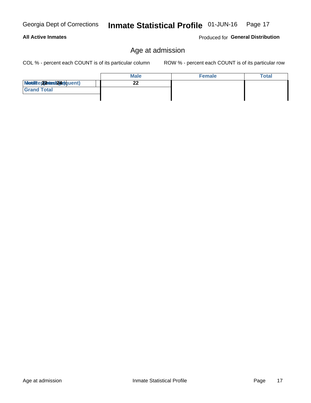#### Georgia Dept of Corrections Inmate Statistical Profile 01-JUN-16

# **All Active Inmates**

Produced for General Distribution

Page 17

# Age at admission

COL % - percent each COUNT is of its particular column

|                                   | <b>Male</b> | <b>Female</b> | Total |
|-----------------------------------|-------------|---------------|-------|
| <b>Mediae 22 viest29e)</b> quent) |             |               |       |
| <b>Grand Total</b>                |             |               |       |
|                                   |             |               |       |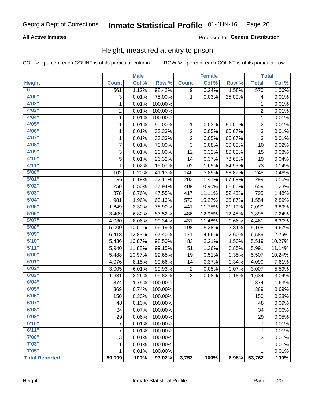### **All Active Inmates**

### Produced for General Distribution

# Height, measured at entry to prison

COL % - percent each COUNT is of its particular column

|                         |                | <b>Male</b> |         |                | <b>Female</b> |        |                | <b>Total</b> |
|-------------------------|----------------|-------------|---------|----------------|---------------|--------|----------------|--------------|
| <b>Height</b>           | <b>Count</b>   | Col %       | Row %   | <b>Count</b>   | Col %         | Row %  | <b>Total</b>   | Col %        |
| $\overline{\mathbf{0}}$ | 561            | 1.12%       | 98.42%  | 9              | 0.24%         | 1.58%  | 570            | 1.06%        |
| 4'00"                   | 3              | 0.01%       | 75.00%  | $\mathbf{1}$   | 0.03%         | 25.00% | 4              | 0.01%        |
| 4'02"                   | $\mathbf 1$    | 0.01%       | 100.00% |                |               |        | 1              | 0.01%        |
| 4'03''                  | $\overline{2}$ | 0.01%       | 100.00% |                |               |        | 2              | 0.01%        |
| 4'04"                   | 1              | 0.01%       | 100.00% |                |               |        | $\mathbf{1}$   | 0.01%        |
| 4'05"                   | 1              | 0.01%       | 50.00%  | $\mathbf{1}$   | 0.03%         | 50.00% | $\overline{2}$ | 0.01%        |
| 4'06"                   | 1              | 0.01%       | 33.33%  | $\overline{c}$ | 0.05%         | 66.67% | $\overline{3}$ | 0.01%        |
| 4'07"                   | 1              | 0.01%       | 33.33%  | $\overline{c}$ | 0.05%         | 66.67% | $\overline{3}$ | 0.01%        |
| 4'08"                   | 7              | 0.01%       | 70.00%  | 3              | 0.08%         | 30.00% | 10             | 0.02%        |
| 4'09"                   | 3              | 0.01%       | 20.00%  | 12             | 0.32%         | 80.00% | 15             | 0.03%        |
| 4'10"                   | 5              | 0.01%       | 26.32%  | 14             | 0.37%         | 73.68% | 19             | 0.04%        |
| 4'11''                  | 11             | 0.02%       | 15.07%  | 62             | 1.65%         | 84.93% | 73             | 0.14%        |
| 5'00''                  | 102            | 0.20%       | 41.13%  | 146            | 3.89%         | 58.87% | 248            | 0.46%        |
| 5'01"                   | 96             | 0.19%       | 32.11%  | 203            | 5.41%         | 67.89% | 299            | 0.56%        |
| 5'02"                   | 250            | 0.50%       | 37.94%  | 409            | 10.90%        | 62.06% | 659            | 1.23%        |
| 5'03''                  | 378            | 0.76%       | 47.55%  | 417            | 11.11%        | 52.45% | 795            | 1.48%        |
| 5'04"                   | 981            | 1.96%       | 63.13%  | 573            | 15.27%        | 36.87% | 1,554          | 2.89%        |
| 5'05"                   | 1,649          | 3.30%       | 78.90%  | 441            | 11.75%        | 21.10% | 2,090          | 3.89%        |
| 5'06''                  | 3,409          | 6.82%       | 87.52%  | 486            | 12.95%        | 12.48% | 3,895          | 7.24%        |
| 5'07''                  | 4,030          | 8.06%       | 90.34%  | 431            | 11.48%        | 9.66%  | 4,461          | 8.30%        |
| 5'08''                  | 5,000          | 10.00%      | 96.19%  | 198            | 5.28%         | 3.81%  | 5,198          | 9.67%        |
| 5'09''                  | 6,418          | 12.83%      | 97.40%  | 171            | 4.56%         | 2.60%  | 6,589          | 12.26%       |
| 5'10''                  | 5,436          | 10.87%      | 98.50%  | 83             | 2.21%         | 1.50%  | 5,519          | 10.27%       |
| 5'11"                   | 5,940          | 11.88%      | 99.15%  | 51             | 1.36%         | 0.85%  | 5,991          | 11.14%       |
| 6'00''                  | 5,488          | 10.97%      | 99.65%  | 19             | 0.51%         | 0.35%  | 5,507          | 10.24%       |
| 6'01''                  | 4,076          | 8.15%       | 99.66%  | 14             | 0.37%         | 0.34%  | 4,090          | 7.61%        |
| 6'02"                   | 3,005          | 6.01%       | 99.93%  | 2              | 0.05%         | 0.07%  | 3,007          | 5.59%        |
| 6'03''                  | 1,631          | 3.26%       | 99.82%  | 3              | 0.08%         | 0.18%  | 1,634          | 3.04%        |
| 6'04"                   | 874            | 1.75%       | 100.00% |                |               |        | 874            | 1.63%        |
| 6'05"                   | 369            | 0.74%       | 100.00% |                |               |        | 369            | 0.69%        |
| 6'06''                  | 150            | 0.30%       | 100.00% |                |               |        | 150            | 0.28%        |
| 6'07"                   | 48             | 0.10%       | 100.00% |                |               |        | 48             | 0.09%        |
| 6'08"                   | 34             | 0.07%       | 100.00% |                |               |        | 34             | 0.06%        |
| 6'09''                  | 29             | 0.06%       | 100.00% |                |               |        | 29             | 0.05%        |
| 6'10''                  | 7              | 0.01%       | 100.00% |                |               |        | $\overline{7}$ | 0.01%        |
| 6'11''                  | 7              | 0.01%       | 100.00% |                |               |        | 7              | 0.01%        |
| 7'00"                   | 3              | 0.01%       | 100.00% |                |               |        | 3              | 0.01%        |
| 7'03''                  |                |             |         |                |               |        |                |              |
| 7'05''                  | 1              | 0.01%       | 100.00% |                |               |        | 1              | 0.01%        |
|                         | $\mathbf{1}$   | 0.01%       | 100.00% |                |               |        | 1              | 0.01%        |
| <b>Total Reported</b>   | 50,009         | 100%        | 93.02%  | 3,753          | 100%          | 6.98%  | 53,762         | 100%         |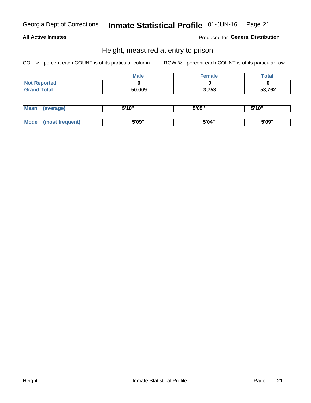### **All Active Inmates**

Produced for General Distribution

# Height, measured at entry to prison

COL % - percent each COUNT is of its particular column

|                     | <b>Male</b> | Female | Total  |
|---------------------|-------------|--------|--------|
| <b>Not Reported</b> |             |        |        |
| <b>Grand Total</b>  | 50,009      | 3,753  | 53,762 |

| <b>Mean</b> | erage) | 5'10" | 5'05" | <b>CIA AIL</b><br>. . |
|-------------|--------|-------|-------|-----------------------|
|             |        |       |       |                       |
| <b>Mode</b> |        | 5'09" | 5'04" | 5'09"                 |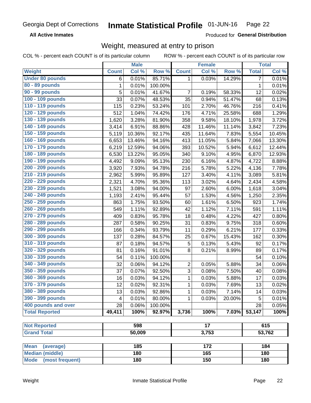**All Active Inmates** 

Produced for General Distribution

# Weight, measured at entry to prison

COL % - percent each COUNT is of its particular column

|                                |              | <b>Male</b> |         |                | <b>Female</b>   |        |                | <b>Total</b> |
|--------------------------------|--------------|-------------|---------|----------------|-----------------|--------|----------------|--------------|
| Weight                         | <b>Count</b> | Col %       | Row %   | <b>Count</b>   | Col %           | Row %  | <b>Total</b>   | Col %        |
| <b>Under 80 pounds</b>         | 6            | 0.01%       | 85.71%  | 1              | 0.03%           | 14.29% | $\overline{7}$ | 0.01%        |
| 80 - 89 pounds                 | 1            | 0.01%       | 100.00% |                |                 |        | 1              | 0.01%        |
| 90 - 99 pounds                 | 5            | 0.01%       | 41.67%  | 7              | 0.19%           | 58.33% | 12             | 0.02%        |
| 100 - 109 pounds               | 33           | 0.07%       | 48.53%  | 35             | 0.94%           | 51.47% | 68             | 0.13%        |
| 110 - 119 pounds               | 115          | 0.23%       | 53.24%  | 101            | 2.70%           | 46.76% | 216            | 0.41%        |
| 120 - 129 pounds               | 512          | 1.04%       | 74.42%  | 176            | 4.71%           | 25.58% | 688            | 1.29%        |
| 130 - 139 pounds               | 1,620        | 3.28%       | 81.90%  | 358            | 9.58%           | 18.10% | 1,978          | 3.72%        |
| 140 - 149 pounds               | 3,414        | 6.91%       | 88.86%  | 428            | 11.46%          | 11.14% | 3,842          | 7.23%        |
| 150 - 159 pounds               | 5,119        | 10.36%      | 92.17%  | 435            | 11.64%          | 7.83%  | 5,554          | 10.45%       |
| 160 - 169 pounds               | 6,653        | 13.46%      | 94.16%  | 413            | 11.05%          | 5.84%  | 7,066          | 13.30%       |
| 170 - 179 pounds               | 6,219        | 12.59%      | 94.06%  | 393            | 10.52%          | 5.94%  | 6,612          | 12.44%       |
| 180 - 189 pounds               | 6,530        | 13.22%      | 95.05%  | 340            | 9.10%           | 4.95%  | 6,870          | 12.93%       |
| 190 - 199 pounds               | 4,492        | 9.09%       | 95.13%  | 230            | 6.16%           | 4.87%  | 4,722          | 8.88%        |
| 200 - 209 pounds               | 3,920        | 7.93%       | 94.78%  | 216            | 5.78%           | 5.22%  | 4,136          | 7.78%        |
| 210 - 219 pounds               | 2,962        | 5.99%       | 95.89%  | 127            | 3.40%           | 4.11%  | 3,089          | 5.81%        |
| 220 - 229 pounds               | 2,321        | 4.70%       | 95.36%  | 113            | 3.02%           | 4.64%  | 2,434          | 4.58%        |
| 230 - 239 pounds               | 1,521        | 3.08%       | 94.00%  | 97             | 2.60%           | 6.00%  | 1,618          | 3.04%        |
| 240 - 249 pounds               | 1,193        | 2.41%       | 95.44%  | 57             | 1.53%           | 4.56%  | 1,250          | 2.35%        |
| 250 - 259 pounds               | 863          | 1.75%       | 93.50%  | 60             | 1.61%           | 6.50%  | 923            | 1.74%        |
| 260 - 269 pounds               | 549          | 1.11%       | 92.89%  | 42             | 1.12%           | 7.11%  | 591            | 1.11%        |
| 270 - 279 pounds               | 409          | 0.83%       | 95.78%  | 18             | 0.48%           | 4.22%  | 427            | 0.80%        |
| 280 - 289 pounds               | 287          | 0.58%       | 90.25%  | 31             | 0.83%           | 9.75%  | 318            | 0.60%        |
| 290 - 299 pounds               | 166          | 0.34%       | 93.79%  | 11             | 0.29%           | 6.21%  | 177            | 0.33%        |
| 300 - 309 pounds               | 137          | 0.28%       | 84.57%  | 25             | 0.67%           | 15.43% | 162            | 0.30%        |
| 310 - 319 pounds               | 87           | 0.18%       | 94.57%  | 5              | 0.13%           | 5.43%  | 92             | 0.17%        |
| 320 - 329 pounds               | 81           | 0.16%       | 91.01%  | 8              | 0.21%           | 8.99%  | 89             | 0.17%        |
| 330 - 339 pounds               | 54           | 0.11%       | 100.00% |                |                 |        | 54             | 0.10%        |
| 340 - 349 pounds               | 32           | 0.06%       | 94.12%  | $\overline{2}$ | 0.05%           | 5.88%  | 34             | 0.06%        |
| 350 - 359 pounds               | 37           | 0.07%       | 92.50%  | 3              | 0.08%           | 7.50%  | 40             | 0.08%        |
| 360 - 369 pounds               | 16           | 0.03%       | 94.12%  | 1              | 0.03%           | 5.88%  | 17             | 0.03%        |
| 370 - 379 pounds               | 12           | 0.02%       | 92.31%  | 1              | 0.03%           | 7.69%  | 13             | 0.02%        |
| 380 - 389 pounds               | 13           | 0.03%       | 92.86%  | 1              | 0.03%           | 7.14%  | 14             | 0.03%        |
| 390 - 399 pounds               | 4            | 0.01%       | 80.00%  | 1              | 0.03%           | 20.00% | 5              | 0.01%        |
| 400 pounds and over            | 28           | 0.06%       | 100.00% |                |                 |        | 28             | 0.05%        |
| <b>Total Reported</b>          | 49,411       | 100%        | 92.97%  | 3,736          | 100%            | 7.03%  | 53,147         | 100%         |
|                                |              |             |         |                |                 |        |                |              |
| <b>Not Reported</b>            |              | 598         |         |                | $\overline{17}$ |        |                | 615          |
| <b>Grand Total</b>             |              | 50,009      |         |                | 3,753           |        | 53,762         |              |
|                                |              |             |         |                |                 |        |                |              |
| <b>Mean</b><br>(average)       |              | 185         |         |                | 172             |        |                | 184          |
| <b>Median (middle)</b>         |              | 180         |         |                | 165             |        |                | 180          |
| <b>Mode</b><br>(most frequent) |              | 180         |         |                | 150             |        |                | 180          |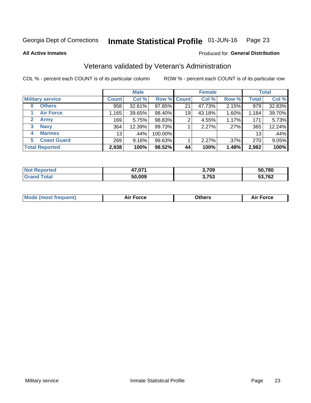#### Inmate Statistical Profile 01-JUN-16 Page 23

**All Active Inmates** 

### Produced for General Distribution

# Veterans validated by Veteran's Administration

COL % - percent each COUNT is of its particular column

|                             |                 | <b>Male</b> |             |    | <b>Female</b> |         |              | <b>Total</b> |
|-----------------------------|-----------------|-------------|-------------|----|---------------|---------|--------------|--------------|
| <b>Military service</b>     | <b>Count</b>    | Col %       | Row % Count |    | Col %         | Row %   | <b>Total</b> | Col %        |
| <b>Others</b><br>0          | 958             | 32.61%      | 97.85%      | 21 | 47.73%        | 2.15%   | 979          | 32.83%       |
| <b>Air Force</b>            | .165            | 39.65%      | 98.40%      | 19 | 43.18%        | 1.60%   | 1,184        | 39.70%       |
| <b>Army</b><br>$\mathbf{2}$ | 169             | 5.75%       | 98.83%      | 2  | 4.55%         | 1.17%   | 171          | 5.73%        |
| <b>Navy</b><br>3            | 364             | 12.39%      | 99.73%      |    | 2.27%         | .27%    | 365          | 12.24%       |
| <b>Marines</b><br>4         | 13 <sub>1</sub> | $.44\%$     | 100.00%     |    |               |         | 13           | .44%         |
| <b>Coast Guard</b><br>5.    | 269             | 9.16%       | 99.63%      |    | 2.27%         | $.37\%$ | 270          | 9.05%        |
| <b>Total Reported</b>       | 2,938           | 100%        | 98.52%      | 44 | 100%          | 1.48%   | 2,982        | 100%         |

| тес | 47.071 | 3,709          | 50,780 |
|-----|--------|----------------|--------|
|     | 50.009 | ? フら?<br>ני וי | 53,762 |

|  |  | <b>Mode (most frequent)</b> | <b>Force</b><br>Aır | วthers | orce |
|--|--|-----------------------------|---------------------|--------|------|
|--|--|-----------------------------|---------------------|--------|------|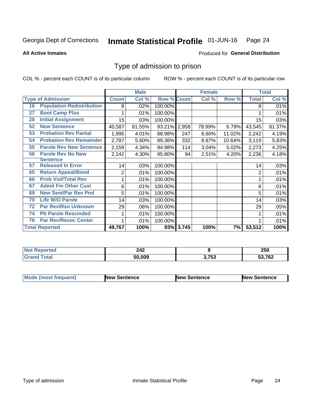#### Inmate Statistical Profile 01-JUN-16 Page 24

**All Active Inmates** 

### Produced for General Distribution

# Type of admission to prison

COL % - percent each COUNT is of its particular column

|    |                                  |                | <b>Male</b> |                    |           | <b>Female</b> |        |              | <b>Total</b> |
|----|----------------------------------|----------------|-------------|--------------------|-----------|---------------|--------|--------------|--------------|
|    | <b>Type of Admission</b>         | <b>Count</b>   | Col %       | <b>Row % Count</b> |           | Col %         | Row %  | <b>Total</b> | Col %        |
| 16 | <b>Population Redistribution</b> | 8              | .02%        | 100.00%            |           |               |        | 8            | .01%         |
| 27 | <b>Boot Camp Plus</b>            |                | .01%        | 100.00%            |           |               |        |              | .01%         |
| 28 | <b>Initial Assignment</b>        | 15             | .03%        | 100.00%            |           |               |        | 15           | .03%         |
| 52 | <b>New Sentence</b>              | 40,587         | 81.55%      | 93.21% 2,958       |           | 78.99%        | 6.79%  | 43,545       | 81.37%       |
| 53 | <b>Probation Rev Partial</b>     | 1,995          | 4.01%       | 88.98%             | 247       | 6.60%         | 11.02% | 2,242        | 4.19%        |
| 54 | <b>Probation Rev Remainder</b>   | 2,787          | 5.60%       | 89.36%             | 332       | 8.87%         | 10.64% | 3,119        | 5.83%        |
| 55 | <b>Parole Rev New Sentence</b>   | 2,159          | 4.34%       | 94.98%             | 114       | 3.04%         | 5.02%  | 2,273        | 4.25%        |
| 56 | <b>Parole Rev No New</b>         | 2,142          | 4.30%       | 95.80%             | 94        | 2.51%         | 4.20%  | 2,236        | 4.18%        |
|    | <b>Sentence</b>                  |                |             |                    |           |               |        |              |              |
| 57 | <b>Released In Error</b>         | 14             | .03%        | 100.00%            |           |               |        | 14           | .03%         |
| 65 | <b>Return Appeal/Bond</b>        | $\overline{2}$ | .01%        | 100.00%            |           |               |        | 2            | .01%         |
| 66 | <b>Prob Viol/Total Rev</b>       |                | .01%        | 100.00%            |           |               |        |              | .01%         |
| 67 | <b>Admit Fm Other Cust</b>       | 6              | .01%        | 100.00%            |           |               |        | 6            | .01%         |
| 69 | <b>New Sent/Par Rev Pnd</b>      | 5              | .01%        | 100.00%            |           |               |        | 5            | .01%         |
| 70 | <b>Life W/O Parole</b>           | 14             | .03%        | 100.00%            |           |               |        | 14           | .03%         |
| 72 | <b>Par Rev/Rsn Unknown</b>       | 29             | .06%        | 100.00%            |           |               |        | 29           | .05%         |
| 74 | <b>Pb Parole Rescinded</b>       |                | .01%        | 100.00%            |           |               |        |              | .01%         |
| 76 | <b>Par Rev/Revoc Center</b>      |                | .01%        | 100.00%            |           |               |        |              | .01%         |
|    | <b>Total Reported</b>            | 49,767         | 100%        |                    | 93% 3,745 | 100%          | 7%     | 53,512       | 100%         |

| N<br>тет | າ 12<br>47Ł |       | 250  |
|----------|-------------|-------|------|
|          | 50.009      | 3,753 | ,762 |

| <b>Mode (most frequent)</b> | New Sentence | <b>New Sentence</b> | <b>New Sentence</b> |
|-----------------------------|--------------|---------------------|---------------------|
|                             |              |                     |                     |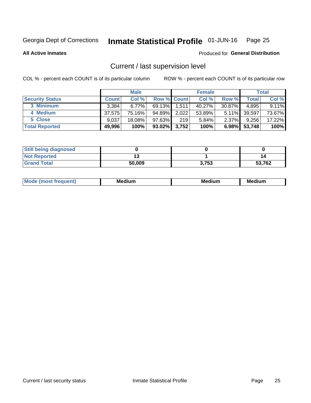#### Inmate Statistical Profile 01-JUN-16 Page 25

**All Active Inmates** 

### Produced for General Distribution

# Current / last supervision level

COL % - percent each COUNT is of its particular column

|                        |              | <b>Male</b> |                    |       | <b>Female</b> |          |        | <b>Total</b> |
|------------------------|--------------|-------------|--------------------|-------|---------------|----------|--------|--------------|
| <b>Security Status</b> | <b>Count</b> | Col %       | <b>Row % Count</b> |       | Col %         | Row %    | Total  | Col %        |
| 3 Minimum              | 3.384        | $6.77\%$    | 69.13%             | 1,511 | 40.27%        | 30.87%   | 4,895  | 9.11%        |
| 4 Medium               | 37.575       | 75.16%      | 94.89%             | 2,022 | 53.89%        | $5.11\%$ | 39,597 | 73.67%       |
| 5 Close                | 9,037        | 18.08%      | $97.63\%$          | 219   | 5.84%         | $2.37\%$ | 9,256  | 17.22%       |
| <b>Total Reported</b>  | 49,996       | 100%        | $93.02\%$          | 3,752 | 100%          | $6.98\%$ | 53,748 | 100%         |

| <b>Still being diagnosed</b> |        |       |        |
|------------------------------|--------|-------|--------|
| <b>Not Reported</b>          |        |       | 14     |
| <b>Grand Total</b>           | 50,009 | 3,753 | 53,762 |

| M | . | -- |
|---|---|----|
|   |   |    |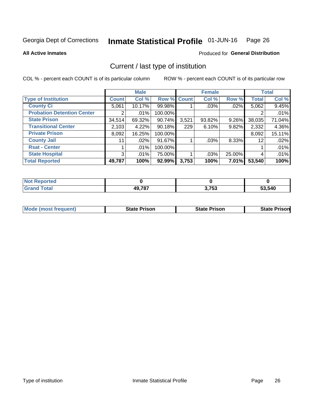#### Inmate Statistical Profile 01-JUN-16 Page 26

**All Active Inmates** 

# Produced for General Distribution

# Current / last type of institution

COL % - percent each COUNT is of its particular column

|                                   |                | <b>Male</b> |             |       | <b>Female</b> |        |              | <b>Total</b> |
|-----------------------------------|----------------|-------------|-------------|-------|---------------|--------|--------------|--------------|
| <b>Type of Institution</b>        | <b>Count</b>   | Col %       | Row % Count |       | Col %         | Row %  | <b>Total</b> | Col %        |
| <b>County Ci</b>                  | 5,061          | 10.17%      | 99.98%      |       | .03%          | .02%   | 5,062        | 9.45%        |
| <b>Probation Detention Center</b> | 2              | .01%        | 100.00%     |       |               |        |              | .01%         |
| <b>State Prison</b>               | 34,514         | 69.32%      | 90.74%      | 3,521 | 93.82%        | 9.26%  | 38,035       | 71.04%       |
| <b>Transitional Center</b>        | 2,103          | 4.22%       | $90.18\%$   | 229   | 6.10%         | 9.82%  | 2,332        | 4.36%        |
| <b>Private Prison</b>             | 8,092          | 16.25%      | 100.00%     |       |               |        | 8,092        | 15.11%       |
| <b>County Jail</b>                | 11             | $.02\%$     | 91.67%      |       | $.03\%$       | 8.33%  | 12           | .02%         |
| <b>Rsat - Center</b>              |                | $.01\%$     | 100.00%     |       |               |        |              | .01%         |
| <b>State Hospital</b>             | 3 <sup>1</sup> | .01%        | 75.00%      |       | .03%          | 25.00% | 4            | .01%         |
| <b>Total Reported</b>             | 49,787         | 100%        | 92.99%      | 3,753 | 100%          | 7.01%  | 53,540       | 100%         |

| oorted<br><b>NOT</b> |                    |       |        |
|----------------------|--------------------|-------|--------|
| `otal<br>Gr2         | 49 787<br>49. LO L | 3,753 | 53,540 |

| <b>Mode (most frequent)</b> | <b>State Prison</b> | <b>State Prison</b> | <b>State Prisonl</b> |
|-----------------------------|---------------------|---------------------|----------------------|
|                             |                     |                     |                      |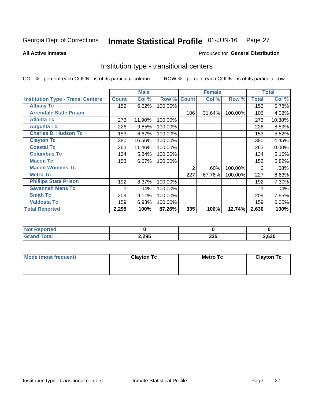#### Inmate Statistical Profile 01-JUN-16 Page 27

Produced for General Distribution

### **All Active Inmates**

# Institution type - transitional centers

COL % - percent each COUNT is of its particular column

|                                          |              | <b>Male</b> |         |              | <b>Female</b> |         |              | <b>Total</b> |
|------------------------------------------|--------------|-------------|---------|--------------|---------------|---------|--------------|--------------|
| <b>Institution Type - Trans. Centers</b> | <b>Count</b> | Col %       | Row %   | <b>Count</b> | Col %         | Row %   | <b>Total</b> | Col %        |
| <b>Albany Tc</b>                         | 152          | 6.62%       | 100.00% |              |               |         | 152          | 5.78%        |
| <b>Arrendale State Prison</b>            |              |             |         | 106          | 31.64%        | 100.00% | 106          | 4.03%        |
| <b>Atlanta Tc</b>                        | 273          | 11.90%      | 100.00% |              |               |         | 273          | 10.38%       |
| <b>Augusta Tc</b>                        | 226          | 9.85%       | 100.00% |              |               |         | 226          | 8.59%        |
| <b>Charles D. Hudson Tc</b>              | 153          | 6.67%       | 100.00% |              |               |         | 153          | 5.82%        |
| <b>Clayton Tc</b>                        | 380          | 16.56%      | 100.00% |              |               |         | 380          | 14.45%       |
| <b>Coastal Tc</b>                        | 263          | 11.46%      | 100.00% |              |               |         | 263          | 10.00%       |
| <b>Columbus Tc</b>                       | 134          | 5.84%       | 100.00% |              |               |         | 134          | 5.10%        |
| <b>Macon Tc</b>                          | 153          | 6.67%       | 100.00% |              |               |         | 153          | 5.82%        |
| <b>Macon Womens Tc</b>                   |              |             |         | 2            | .60%          | 100.00% | 2            | .08%         |
| <b>Metro Tc</b>                          |              |             |         | 227          | 67.76%        | 100.00% | 227          | 8.63%        |
| <b>Phillips State Prison</b>             | 192          | 8.37%       | 100.00% |              |               |         | 192          | 7.30%        |
| <b>Savannah Mens Tc</b>                  |              | .04%        | 100.00% |              |               |         |              | .04%         |
| <b>Smith Tc</b>                          | 209          | 9.11%       | 100.00% |              |               |         | 209          | 7.95%        |
| <b>Valdosta Tc</b>                       | 159          | 6.93%       | 100.00% |              |               |         | 159          | 6.05%        |
| <b>Total Reported</b>                    | 2,295        | 100%        | 87.26%  | 335          | 100%          | 12.74%  | 2,630        | 100%         |

| NOT<br>rtea |       |            |       |
|-------------|-------|------------|-------|
|             | 2,295 | 22E<br>ააა | 2,630 |

| Mode (most frequent) | <b>Clayton Tc</b> | <b>Metro Tc</b> | <b>Clayton Tc</b> |
|----------------------|-------------------|-----------------|-------------------|
|                      |                   |                 |                   |
|                      |                   |                 |                   |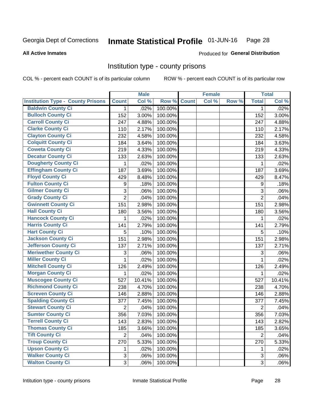#### Inmate Statistical Profile 01-JUN-16 Page 28

### **All Active Inmates**

# Produced for General Distribution

## Institution type - county prisons

COL % - percent each COUNT is of its particular column

|                                          |                | <b>Male</b> |         |              | <b>Female</b> |       |                  | <b>Total</b> |
|------------------------------------------|----------------|-------------|---------|--------------|---------------|-------|------------------|--------------|
| <b>Institution Type - County Prisons</b> | <b>Count</b>   | Col %       | Row %   | <b>Count</b> | Col %         | Row % | <b>Total</b>     | Col %        |
| <b>Baldwin County Ci</b>                 | $\mathbf 1$    | .02%        | 100.00% |              |               |       | 1                | .02%         |
| <b>Bulloch County Ci</b>                 | 152            | 3.00%       | 100.00% |              |               |       | 152              | 3.00%        |
| <b>Carroll County Ci</b>                 | 247            | 4.88%       | 100.00% |              |               |       | 247              | 4.88%        |
| <b>Clarke County Ci</b>                  | 110            | 2.17%       | 100.00% |              |               |       | 110              | 2.17%        |
| <b>Clayton County Ci</b>                 | 232            | 4.58%       | 100.00% |              |               |       | 232              | 4.58%        |
| <b>Colquitt County Ci</b>                | 184            | 3.64%       | 100.00% |              |               |       | 184              | 3.63%        |
| <b>Coweta County Ci</b>                  | 219            | 4.33%       | 100.00% |              |               |       | 219              | 4.33%        |
| <b>Decatur County Ci</b>                 | 133            | 2.63%       | 100.00% |              |               |       | 133              | 2.63%        |
| <b>Dougherty County Ci</b>               | $\mathbf{1}$   | .02%        | 100.00% |              |               |       | 1                | .02%         |
| <b>Effingham County Ci</b>               | 187            | 3.69%       | 100.00% |              |               |       | 187              | 3.69%        |
| <b>Floyd County Ci</b>                   | 429            | 8.48%       | 100.00% |              |               |       | 429              | 8.47%        |
| <b>Fulton County Ci</b>                  | 9              | .18%        | 100.00% |              |               |       | $\boldsymbol{9}$ | .18%         |
| <b>Gilmer County Ci</b>                  | 3              | .06%        | 100.00% |              |               |       | 3                | .06%         |
| <b>Grady County Ci</b>                   | $\overline{2}$ | .04%        | 100.00% |              |               |       | $\overline{2}$   | .04%         |
| <b>Gwinnett County Ci</b>                | 151            | 2.98%       | 100.00% |              |               |       | 151              | 2.98%        |
| <b>Hall County Ci</b>                    | 180            | 3.56%       | 100.00% |              |               |       | 180              | 3.56%        |
| <b>Hancock County Ci</b>                 | 1              | .02%        | 100.00% |              |               |       | 1                | .02%         |
| Harris County Ci                         | 141            | 2.79%       | 100.00% |              |               |       | 141              | 2.79%        |
| <b>Hart County Ci</b>                    | 5              | .10%        | 100.00% |              |               |       | 5                | .10%         |
| <b>Jackson County Ci</b>                 | 151            | 2.98%       | 100.00% |              |               |       | 151              | 2.98%        |
| Jefferson County Ci                      | 137            | 2.71%       | 100.00% |              |               |       | 137              | 2.71%        |
| <b>Meriwether County Ci</b>              | 3              | .06%        | 100.00% |              |               |       | 3                | .06%         |
| <b>Miller County Ci</b>                  | 1              | .02%        | 100.00% |              |               |       | 1                | .02%         |
| <b>Mitchell County Ci</b>                | 126            | 2.49%       | 100.00% |              |               |       | 126              | 2.49%        |
| <b>Morgan County Ci</b>                  | $\mathbf{1}$   | .02%        | 100.00% |              |               |       | 1                | .02%         |
| <b>Muscogee County Ci</b>                | 527            | 10.41%      | 100.00% |              |               |       | 527              | 10.41%       |
| <b>Richmond County Ci</b>                | 238            | 4.70%       | 100.00% |              |               |       | 238              | 4.70%        |
| <b>Screven County Ci</b>                 | 146            | 2.88%       | 100.00% |              |               |       | 146              | 2.88%        |
| <b>Spalding County Ci</b>                | 377            | 7.45%       | 100.00% |              |               |       | 377              | 7.45%        |
| <b>Stewart County Ci</b>                 | $\overline{2}$ | .04%        | 100.00% |              |               |       | $\overline{2}$   | .04%         |
| <b>Sumter County Ci</b>                  | 356            | 7.03%       | 100.00% |              |               |       | 356              | 7.03%        |
| Terrell County Ci                        | 143            | 2.83%       | 100.00% |              |               |       | 143              | 2.82%        |
| <b>Thomas County Ci</b>                  | 185            | 3.66%       | 100.00% |              |               |       | 185              | 3.65%        |
| <b>Tift County Ci</b>                    | $\overline{2}$ | .04%        | 100.00% |              |               |       | $\overline{2}$   | .04%         |
| <b>Troup County Ci</b>                   | 270            | 5.33%       | 100.00% |              |               |       | 270              | 5.33%        |
| <b>Upson County Ci</b>                   | 1              | .02%        | 100.00% |              |               |       | 1                | .02%         |
| <b>Walker County Ci</b>                  | 3              | .06%        | 100.00% |              |               |       | $\mathfrak{S}$   | .06%         |
| <b>Walton County Ci</b>                  | 3              | .06%        | 100.00% |              |               |       | 3                | .06%         |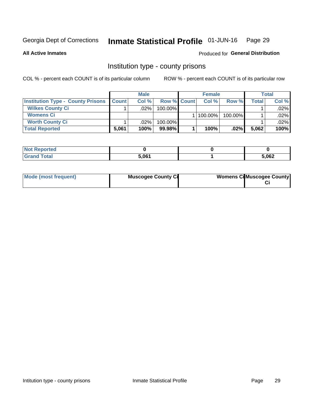#### Inmate Statistical Profile 01-JUN-16 Page 29

**All Active Inmates** 

### Produced for General Distribution

# Institution type - county prisons

COL % - percent each COUNT is of its particular column

|                                          |              | <b>Male</b> |                    | <b>Female</b> |         |       | <b>Total</b> |
|------------------------------------------|--------------|-------------|--------------------|---------------|---------|-------|--------------|
| <b>Institution Type - County Prisons</b> | <b>Count</b> | Col%        | <b>Row % Count</b> | Col%          | Row %   | Total | Col %        |
| <b>Wilkes County Ci</b>                  |              | .02%        | 100.00%            |               |         |       | $.02\%$      |
| <b>Womens Ci</b>                         |              |             |                    | 100.00%       | 100.00% |       | .02%         |
| <b>Worth County Ci</b>                   |              | $.02\%$     | 100.00%            |               |         |       | $.02\%$      |
| <b>Total Reported</b>                    | 5,061        | 100%        | $99.98\%$          | 100%          | $.02\%$ | 5,062 | 100%         |

| เចน                                |                   |       |
|------------------------------------|-------------------|-------|
| $\sim$ $\sim$ $\sim$ $\sim$ $\sim$ | E OC <sub>4</sub> | 5,062 |

| Mode (most frequent)<br><b>Muscogee County Ci</b> |  | <b>Womens CilMuscogee County</b> |
|---------------------------------------------------|--|----------------------------------|
|---------------------------------------------------|--|----------------------------------|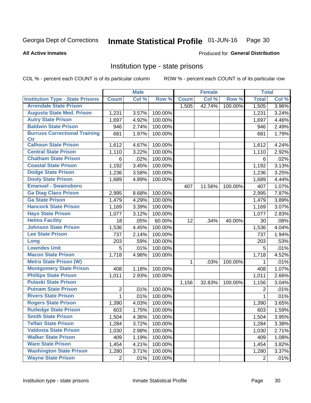#### Inmate Statistical Profile 01-JUN-16 Page 30

### **All Active Inmates**

### Produced for General Distribution

# Institution type - state prisons

COL % - percent each COUNT is of its particular column

|                                         |                | <b>Male</b> |         |              | <b>Female</b> |         | <b>Total</b>   |       |
|-----------------------------------------|----------------|-------------|---------|--------------|---------------|---------|----------------|-------|
| <b>Institution Type - State Prisons</b> | <b>Count</b>   | Col %       | Row %   | <b>Count</b> | Col %         | Row %   | <b>Total</b>   | Col % |
| <b>Arrendale State Prison</b>           |                |             |         | 1,505        | 42.74%        | 100.00% | 1,505          | 3.96% |
| <b>Augusta State Med. Prison</b>        | 1,231          | 3.57%       | 100.00% |              |               |         | 1,231          | 3.24% |
| <b>Autry State Prison</b>               | 1,697          | 4.92%       | 100.00% |              |               |         | 1,697          | 4.46% |
| <b>Baldwin State Prison</b>             | 946            | 2.74%       | 100.00% |              |               |         | 946            | 2.49% |
| <b>Burruss Correctional Training</b>    | 681            | 1.97%       | 100.00% |              |               |         | 681            | 1.79% |
| <b>Ctr</b>                              |                |             |         |              |               |         |                |       |
| <b>Calhoun State Prison</b>             | 1,612          | 4.67%       | 100.00% |              |               |         | 1,612          | 4.24% |
| <b>Central State Prison</b>             | 1,110          | 3.22%       | 100.00% |              |               |         | 1,110          | 2.92% |
| <b>Chatham State Prison</b>             | 6              | .02%        | 100.00% |              |               |         | 6              | .02%  |
| <b>Coastal State Prison</b>             | 1,192          | 3.45%       | 100.00% |              |               |         | 1,192          | 3.13% |
| <b>Dodge State Prison</b>               | 1,236          | 3.58%       | 100.00% |              |               |         | 1,236          | 3.25% |
| <b>Dooly State Prison</b>               | 1,689          | 4.89%       | 100.00% |              |               |         | 1,689          | 4.44% |
| <b>Emanuel - Swainsboro</b>             |                |             |         | 407          | 11.56%        | 100.00% | 407            | 1.07% |
| <b>Ga Diag Class Prison</b>             | 2,995          | 8.68%       | 100.00% |              |               |         | 2,995          | 7.87% |
| <b>Ga State Prison</b>                  | 1,479          | 4.29%       | 100.00% |              |               |         | 1,479          | 3.89% |
| <b>Hancock State Prison</b>             | 1,169          | 3.39%       | 100.00% |              |               |         | 1,169          | 3.07% |
| <b>Hays State Prison</b>                | 1,077          | 3.12%       | 100.00% |              |               |         | 1,077          | 2.83% |
| <b>Helms Facility</b>                   | 18             | .05%        | 60.00%  | 12           | .34%          | 40.00%  | 30             | .08%  |
| <b>Johnson State Prison</b>             | 1,536          | 4.45%       | 100.00% |              |               |         | 1,536          | 4.04% |
| <b>Lee State Prison</b>                 | 737            | 2.14%       | 100.00% |              |               |         | 737            | 1.94% |
| Long                                    | 203            | .59%        | 100.00% |              |               |         | 203            | .53%  |
| <b>Lowndes Unit</b>                     | 5              | .01%        | 100.00% |              |               |         | 5              | .01%  |
| <b>Macon State Prison</b>               | 1,718          | 4.98%       | 100.00% |              |               |         | 1,718          | 4.52% |
| <b>Metro State Prison (W)</b>           |                |             |         | 1            | .03%          | 100.00% | 1              | .01%  |
| <b>Montgomery State Prison</b>          | 408            | 1.18%       | 100.00% |              |               |         | 408            | 1.07% |
| <b>Phillips State Prison</b>            | 1,011          | 2.93%       | 100.00% |              |               |         | 1,011          | 2.66% |
| <b>Pulaski State Prison</b>             |                |             |         | 1,156        | 32.83%        | 100.00% | 1,156          | 3.04% |
| <b>Putnam State Prison</b>              | $\overline{2}$ | .01%        | 100.00% |              |               |         | 2              | .01%  |
| <b>Rivers State Prison</b>              | $\mathbf{1}$   | .01%        | 100.00% |              |               |         | 1              | .01%  |
| <b>Rogers State Prison</b>              | 1,390          | 4.03%       | 100.00% |              |               |         | 1,390          | 3.65% |
| <b>Rutledge State Prison</b>            | 603            | 1.75%       | 100.00% |              |               |         | 603            | 1.59% |
| <b>Smith State Prison</b>               | 1,504          | 4.36%       | 100.00% |              |               |         | 1,504          | 3.95% |
| <b>Telfair State Prison</b>             | 1,284          | 3.72%       | 100.00% |              |               |         | 1,284          | 3.38% |
| <b>Valdosta State Prison</b>            | 1,030          | 2.98%       | 100.00% |              |               |         | 1,030          | 2.71% |
| <b>Walker State Prison</b>              | 409            | 1.19%       | 100.00% |              |               |         | 409            | 1.08% |
| <b>Ware State Prison</b>                | 1,454          | 4.21%       | 100.00% |              |               |         | 1,454          | 3.82% |
| <b>Washington State Prison</b>          | 1,280          | 3.71%       | 100.00% |              |               |         | 1,280          | 3.37% |
| <b>Wayne State Prison</b>               | $\overline{2}$ | .01%        | 100.00% |              |               |         | $\overline{2}$ | .01%  |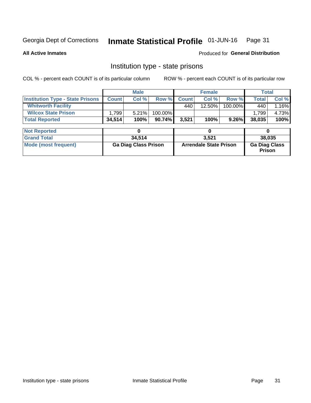#### Inmate Statistical Profile 01-JUN-16 Page 31

**All Active Inmates** 

Produced for General Distribution

# Institution type - state prisons

COL % - percent each COUNT is of its particular column

|                                         |                             | <b>Male</b> |                               | <b>Female</b> |           |                                | <b>Total</b> |        |  |
|-----------------------------------------|-----------------------------|-------------|-------------------------------|---------------|-----------|--------------------------------|--------------|--------|--|
| <b>Institution Type - State Prisons</b> | <b>Count</b>                | Col %       | Row %                         | <b>Count</b>  | Col %     | Row %                          | <b>Total</b> | Col %  |  |
| <b>Whitworth Facility</b>               |                             |             |                               | 440           | $12.50\%$ | 100.00%                        | 440          | 1.16%  |  |
| <b>Wilcox State Prison</b>              | 1,799                       | 5.21%       | 100.00%                       |               |           |                                | 1,799        | 4.73%  |  |
| <b>Total Reported</b>                   | 34,514                      | 100%        | 90.74%                        | 3,521         | 100%      | 9.26%                          | 38,035       | 100%   |  |
| <b>Not Reported</b>                     |                             | 0           |                               |               | 0         |                                | 0            |        |  |
|                                         |                             |             |                               |               |           |                                |              |        |  |
| <b>Grand Total</b>                      |                             | 34,514      |                               |               | 3,521     |                                |              | 38,035 |  |
| <b>Mode (most frequent)</b>             | <b>Ga Diag Class Prison</b> |             | <b>Arrendale State Prison</b> |               |           | <b>Ga Diag Class</b><br>Prison |              |        |  |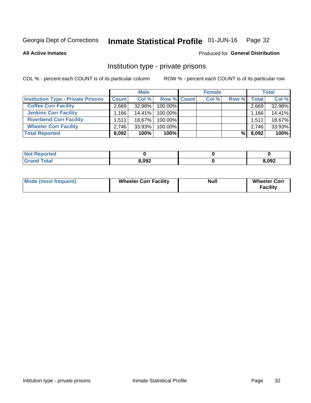#### Inmate Statistical Profile 01-JUN-16 Page 32

**All Active Inmates** 

### Produced for General Distribution

# Institution type - private prisons

COL % - percent each COUNT is of its particular column

|                                           |                    | <b>Male</b> |                    | <b>Female</b> |       |       | <b>Total</b> |
|-------------------------------------------|--------------------|-------------|--------------------|---------------|-------|-------|--------------|
| <b>Institution Type - Private Prisons</b> | <b>Count</b>       | Col %       | <b>Row % Count</b> | Col %         | Row % | Total | Col %        |
| <b>Coffee Corr Facility</b>               | 2.669              | 32.98%      | 100.00%            |               |       | 2,669 | 32.98%       |
| <b>Jenkins Corr Facility</b>              | $.166+$            | $14.41\%$   | $100.00\%$         |               |       | 1,166 | 14.41%       |
| <b>Riverbend Corr Facility</b>            | 1.511 <sub>1</sub> | 18.67%      | 100.00%            |               |       | 1,511 | 18.67%       |
| <b>Wheeler Corr Facility</b>              | 2.746              | 33.93%      | 100.00%            |               |       | 2,746 | 33.93%       |
| <b>Total Reported</b>                     | 8,092              | 100%        | 100%               |               | %     | 8,092 | 100%         |

| <b>Not</b><br>Reported |       |       |
|------------------------|-------|-------|
| <b>Total</b>           | 8,092 | 8,092 |

| <b>Mode (most frequent)</b> | <b>Wheeler Corr Facility</b> | <b>Null</b> | <b>Wheeler Corr</b><br><b>Facility</b> |
|-----------------------------|------------------------------|-------------|----------------------------------------|
|-----------------------------|------------------------------|-------------|----------------------------------------|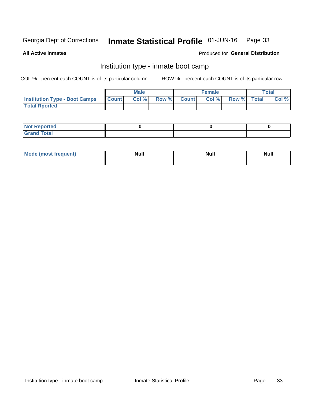#### Inmate Statistical Profile 01-JUN-16 Page 33

**All Active Inmates** 

### Produced for General Distribution

# Institution type - inmate boot camp

COL % - percent each COUNT is of its particular column

|                                      |              | <b>Male</b> |               |              | <b>Female</b> |             | <b>Total</b> |
|--------------------------------------|--------------|-------------|---------------|--------------|---------------|-------------|--------------|
| <b>Institution Type - Boot Camps</b> | <b>Count</b> | Col %       | <b>Row %I</b> | <b>Count</b> | Col %         | Row % Total | Col %        |
| <b>Total Rported</b>                 |              |             |               |              |               |             |              |

| <b>Not Reported</b>            |  |  |
|--------------------------------|--|--|
| <b>Total</b><br>C <sub>r</sub> |  |  |

| Mod<br>uamo | Nul.<br>$- - - - - -$ | <b>Null</b> | <br>uu.<br>------ |
|-------------|-----------------------|-------------|-------------------|
|             |                       |             |                   |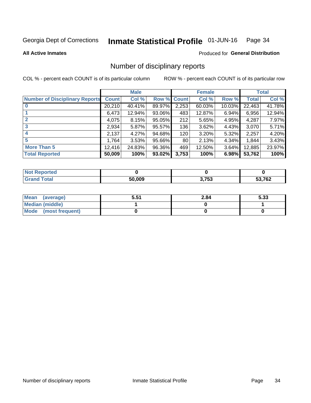#### Inmate Statistical Profile 01-JUN-16 Page 34

#### **All Active Inmates**

### Produced for General Distribution

# Number of disciplinary reports

COL % - percent each COUNT is of its particular column

|                                       |              | <b>Male</b> |        |       | <b>Female</b> |           |              | <b>Total</b> |
|---------------------------------------|--------------|-------------|--------|-------|---------------|-----------|--------------|--------------|
| <b>Number of Disciplinary Reports</b> | <b>Count</b> | Col %       | Row %  | Count | Col %         | Row %     | <b>Total</b> | Col %        |
|                                       | 20,210       | 40.41%      | 89.97% | 2,253 | 60.03%        | $10.03\%$ | 22,463       | 41.78%       |
|                                       | 6,473        | 12.94%      | 93.06% | 483   | 12.87%        | 6.94%     | 6,956        | 12.94%       |
|                                       | 4,075        | 8.15%       | 95.05% | 212   | 5.65%         | 4.95%     | 4,287        | 7.97%        |
| 3                                     | 2,934        | 5.87%       | 95.57% | 136   | 3.62%         | $4.43\%$  | 3,070        | 5.71%        |
| 4                                     | 2,137        | 4.27%       | 94.68% | 120   | 3.20%         | 5.32%     | 2,257        | 4.20%        |
| 5                                     | 1,764        | 3.53%       | 95.66% | 80    | 2.13%         | 4.34%     | 1,844        | 3.43%        |
| <b>More Than 5</b>                    | 12,416       | 24.83%      | 96.36% | 469   | 12.50%        | $3.64\%$  | 12,885       | 23.97%       |
| <b>Total Reported</b>                 | 50,009       | 100%        | 93.02% | 3,753 | 100%          | 6.98%     | 53,762       | 100%         |

| งrted<br>NO  |        |       |        |
|--------------|--------|-------|--------|
| <b>Total</b> | 50.009 | 3,753 | 53,762 |

| Mean (average)       | 5.51 | 2.84 | 5.33 |
|----------------------|------|------|------|
| Median (middle)      |      |      |      |
| Mode (most frequent) |      |      |      |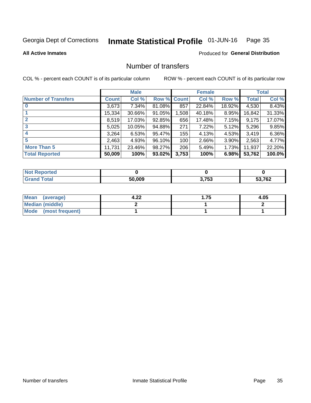#### Inmate Statistical Profile 01-JUN-16 Page 35

### **All Active Inmates**

### **Produced for General Distribution**

# Number of transfers

COL % - percent each COUNT is of its particular column

|                            |         | <b>Male</b> |        |              | <b>Female</b> |          |              | <b>Total</b> |
|----------------------------|---------|-------------|--------|--------------|---------------|----------|--------------|--------------|
| <b>Number of Transfers</b> | Count l | Col %       | Row %  | <b>Count</b> | Col %         | Row %    | <b>Total</b> | Col %        |
|                            | 3,673   | 7.34%       | 81.08% | 857          | 22.84%        | 18.92%   | 4,530        | 8.43%        |
|                            | 15,334  | 30.66%      | 91.05% | 1,508        | 40.18%        | 8.95%    | 16,842       | 31.33%       |
| $\mathbf{2}$               | 8,519   | 17.03%      | 92.85% | 656          | 17.48%        | $7.15\%$ | 9,175        | 17.07%       |
| 3                          | 5,025   | 10.05%      | 94.88% | 271          | 7.22%         | $5.12\%$ | 5,296        | 9.85%        |
| 4                          | 3,264   | 6.53%       | 95.47% | 155          | 4.13%         | 4.53%    | 3,419        | 6.36%        |
| 5                          | 2,463   | 4.93%       | 96.10% | 100          | 2.66%         | 3.90%    | 2,563        | 4.77%        |
| <b>More Than 5</b>         | 11,731  | 23.46%      | 98.27% | 206          | 5.49%         | $1.73\%$ | 11,937       | 22.20%       |
| <b>Total Reported</b>      | 50,009  | 100%        | 93.02% | 3,753        | 100%          | 6.98%    | 53,762       | 100.0%       |

| <b>rted</b><br>NO |        |       |        |
|-------------------|--------|-------|--------|
| Total             | 50.009 | 3.753 | 53,762 |

| Mean (average)         | ົາາ<br>4.ZL | . | 4.05 |
|------------------------|-------------|---|------|
| <b>Median (middle)</b> |             |   |      |
| Mode (most frequent)   |             |   |      |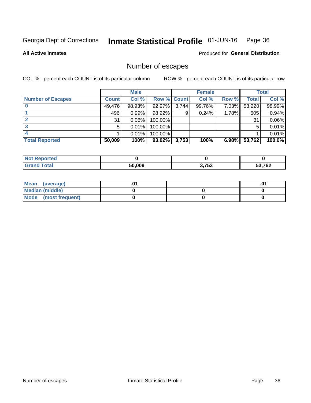#### Inmate Statistical Profile 01-JUN-16 Page 36

**All Active Inmates** 

**Produced for General Distribution** 

# Number of escapes

COL % - percent each COUNT is of its particular column

|                          |              | <b>Male</b> |                    |       | <b>Female</b> |       |        | <b>Total</b> |
|--------------------------|--------------|-------------|--------------------|-------|---------------|-------|--------|--------------|
| <b>Number of Escapes</b> | <b>Count</b> | Col %       | <b>Row % Count</b> |       | Col %         | Row % | Total  | Col %        |
|                          | 49,476       | 98.93%      | 92.97%             | 3,744 | 99.76%        | 7.03% | 53,220 | 98.99%       |
|                          | 496          | 0.99%       | 98.22%             | 9     | 0.24%         | 1.78% | 505    | 0.94%        |
|                          | 31           | 0.06%       | 100.00%            |       |               |       | 31     | 0.06%        |
|                          | 5            | 0.01%       | $100.00\%$         |       |               |       | 5      | 0.01%        |
|                          |              | 0.01%       | 100.00%            |       |               |       |        | 0.01%        |
| <b>Total Reported</b>    | 50,009       | 100%        | $93.02\%$          | 3,753 | 100%          | 6.98% | 53,762 | 100.0%       |

| <b>Not Reported</b> |        |       |        |
|---------------------|--------|-------|--------|
| Total               | 50.009 | 3,753 | 53,762 |

| Mean<br>(average)    |  | .0 |
|----------------------|--|----|
| Median (middle)      |  |    |
| Mode (most frequent) |  |    |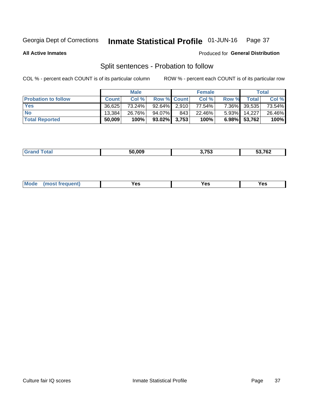#### Inmate Statistical Profile 01-JUN-16 Page 37

**All Active Inmates** 

### Produced for General Distribution

# Split sentences - Probation to follow

COL % - percent each COUNT is of its particular column

|                            |              | <b>Male</b> |                    |     | <b>Female</b> |       |              | <b>Total</b> |
|----------------------------|--------------|-------------|--------------------|-----|---------------|-------|--------------|--------------|
| <b>Probation to follow</b> | <b>Count</b> | Col%        | <b>Row % Count</b> |     | Col %         | Row % | Total        | Col %        |
| <b>Yes</b>                 | 36.625       | 73.24%      | $92.64\%$ 2.910    |     | 77.54%        |       | 7.36% 39,535 | 73.54%       |
| <b>No</b>                  | 13.384       | 26.76%      | 94.07%             | 843 | 22.46%        |       | 5.93% 14,227 | 26.46%       |
| <b>Total Reported</b>      | 50,009       | 100%        | $93.02\%$ 3,753    |     | 100%          |       | 6.98% 53,762 | 100%         |

| $\overline{\phantom{a}}$<br>__ |
|--------------------------------|
|--------------------------------|

| $Moo$<br>requent<br>′es<br>Yes<br><b>YAC</b><br>. |
|---------------------------------------------------|
|---------------------------------------------------|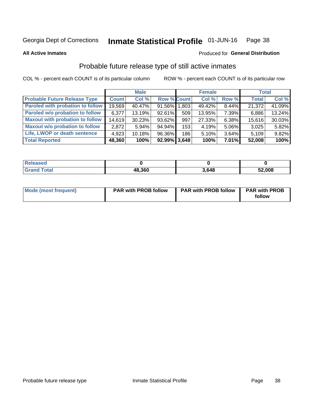#### Inmate Statistical Profile 01-JUN-16 Page 38

**All Active Inmates** 

### Produced for General Distribution

# Probable future release type of still active inmates

COL % - percent each COUNT is of its particular column

|                                         |              | <b>Male</b> |                    |     | <b>Female</b> |          | <b>Total</b> |        |
|-----------------------------------------|--------------|-------------|--------------------|-----|---------------|----------|--------------|--------|
| <b>Probable Future Release Type</b>     | <b>Count</b> | Col %       | <b>Row % Count</b> |     | Col %         | Row %    | <b>Total</b> | Col %  |
| <b>Paroled with probation to follow</b> | 19,569       | 40.47%      | 91.56% 1,803       |     | 49.42%        | 8.44%    | 21,372       | 41.09% |
| Paroled w/o probation to follow         | 6,377        | 13.19%      | 92.61%             | 509 | 13.95%        | 7.39%    | 6,886        | 13.24% |
| <b>Maxout with probation to follow</b>  | 14,619       | 30.23%      | 93.62%             | 997 | 27.33%        | 6.38%    | 15,616       | 30.03% |
| <b>Maxout w/o probation to follow</b>   | 2,872        | $5.94\%$    | 94.94%             | 153 | 4.19%         | 5.06%    | 3,025        | 5.82%  |
| Life, LWOP or death sentence            | 4,923        | 10.18%      | 96.36%             | 186 | 5.10%         | 3.64%    | 5,109        | 9.82%  |
| <b>Total Reported</b>                   | 48,360       | 100%        | $92.99\%$ 3,648    |     | 100%          | $7.01\%$ | 52,008       | 100%   |

| .eleased    |        |      |        |
|-------------|--------|------|--------|
| <b>otal</b> | 48,360 | 3648 | 52,008 |

| <b>Mode (most frequent)</b> | <b>PAR with PROB follow</b> | <b>PAR with PROB follow</b> | <b>PAR with PROB</b> |  |
|-----------------------------|-----------------------------|-----------------------------|----------------------|--|
|                             |                             |                             | follow               |  |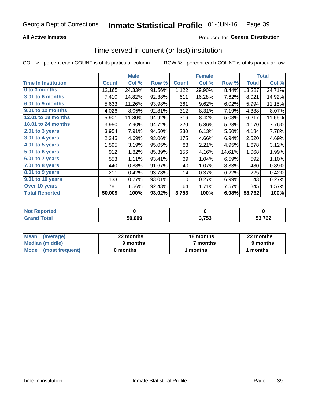## **All Active Inmates**

## Produced for General Distribution

## Time served in current (or last) institution

COL % - percent each COUNT is of its particular column

|                            |              | <b>Male</b> |        |              | <b>Female</b> |        |              | <b>Total</b> |
|----------------------------|--------------|-------------|--------|--------------|---------------|--------|--------------|--------------|
| <b>Time In Institution</b> | <b>Count</b> | Col %       | Row %  | <b>Count</b> | Col %         | Row %  | <b>Total</b> | Col %        |
| 0 to 3 months              | 12,165       | 24.33%      | 91.56% | 1,122        | 29.90%        | 8.44%  | 13,287       | 24.71%       |
| 3.01 to 6 months           | 7,410        | 14.82%      | 92.38% | 611          | 16.28%        | 7.62%  | 8,021        | 14.92%       |
| 6.01 to 9 months           | 5,633        | 11.26%      | 93.98% | 361          | 9.62%         | 6.02%  | 5,994        | 11.15%       |
| 9.01 to 12 months          | 4,026        | 8.05%       | 92.81% | 312          | 8.31%         | 7.19%  | 4,338        | 8.07%        |
| <b>12.01 to 18 months</b>  | 5,901        | 11.80%      | 94.92% | 316          | 8.42%         | 5.08%  | 6,217        | 11.56%       |
| <b>18.01 to 24 months</b>  | 3,950        | 7.90%       | 94.72% | 220          | 5.86%         | 5.28%  | 4,170        | 7.76%        |
| $2.01$ to 3 years          | 3,954        | 7.91%       | 94.50% | 230          | 6.13%         | 5.50%  | 4,184        | 7.78%        |
| $3.01$ to 4 years          | 2,345        | 4.69%       | 93.06% | 175          | 4.66%         | 6.94%  | 2,520        | 4.69%        |
| 4.01 to 5 years            | 1,595        | 3.19%       | 95.05% | 83           | 2.21%         | 4.95%  | 1,678        | 3.12%        |
| 5.01 to 6 years            | 912          | 1.82%       | 85.39% | 156          | 4.16%         | 14.61% | 1,068        | 1.99%        |
| 6.01 to 7 years            | 553          | 1.11%       | 93.41% | 39           | 1.04%         | 6.59%  | 592          | 1.10%        |
| 7.01 to 8 years            | 440          | 0.88%       | 91.67% | 40           | 1.07%         | 8.33%  | 480          | 0.89%        |
| $8.01$ to 9 years          | 211          | 0.42%       | 93.78% | 14           | 0.37%         | 6.22%  | 225          | 0.42%        |
| 9.01 to 10 years           | 133          | 0.27%       | 93.01% | 10           | 0.27%         | 6.99%  | 143          | 0.27%        |
| Over 10 years              | 781          | 1.56%       | 92.43% | 64           | 1.71%         | 7.57%  | 845          | 1.57%        |
| <b>Total Reported</b>      | 50,009       | 100%        | 93.02% | 3,753        | 100%          | 6.98%  | 53,762       | 100%         |

| orted            |        |       |        |
|------------------|--------|-------|--------|
| n <sub>eta</sub> | 50.009 | 3,753 | 53,762 |

| <b>Mean</b><br>(average) | 22 months | 18 months | 22 months |
|--------------------------|-----------|-----------|-----------|
| Median (middle)          | 9 months  | 7 months  | 9 months  |
| Mode (most frequent)     | 0 months  | months    | l months  |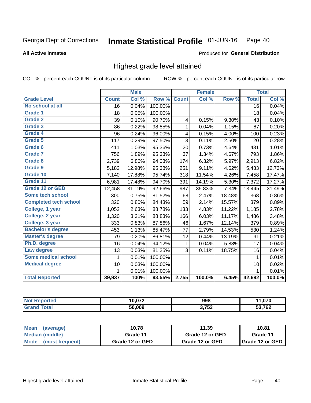### Inmate Statistical Profile 01-JUN-16 Page 40

### **All Active Inmates**

### Produced for General Distribution

## Highest grade level attained

COL % - percent each COUNT is of its particular column

|                              |                 | <b>Male</b> |         |                | <b>Female</b> |        |                 | <b>Total</b> |
|------------------------------|-----------------|-------------|---------|----------------|---------------|--------|-----------------|--------------|
| <b>Grade Level</b>           | <b>Count</b>    | Col %       | Row %   | <b>Count</b>   | Col %         | Row %  | <b>Total</b>    | Col %        |
| No school at all             | $\overline{16}$ | 0.04%       | 100.00% |                |               |        | $\overline{16}$ | 0.04%        |
| <b>Grade 1</b>               | 18              | 0.05%       | 100.00% |                |               |        | 18              | 0.04%        |
| <b>Grade 2</b>               | 39              | 0.10%       | 90.70%  | 4              | 0.15%         | 9.30%  | 43              | 0.10%        |
| Grade 3                      | 86              | 0.22%       | 98.85%  | $\mathbf{1}$   | 0.04%         | 1.15%  | 87              | 0.20%        |
| Grade 4                      | 96              | 0.24%       | 96.00%  | 4              | 0.15%         | 4.00%  | 100             | 0.23%        |
| Grade 5                      | 117             | 0.29%       | 97.50%  | $\overline{3}$ | 0.11%         | 2.50%  | 120             | 0.28%        |
| Grade 6                      | 411             | 1.03%       | 95.36%  | 20             | 0.73%         | 4.64%  | 431             | 1.01%        |
| <b>Grade 7</b>               | 756             | 1.89%       | 95.33%  | 37             | 1.34%         | 4.67%  | 793             | 1.86%        |
| Grade 8                      | 2,739           | 6.86%       | 94.03%  | 174            | 6.32%         | 5.97%  | 2,913           | 6.82%        |
| Grade 9                      | 5,182           | 12.98%      | 95.38%  | 251            | 9.11%         | 4.62%  | 5,433           | 12.73%       |
| Grade 10                     | 7,140           | 17.88%      | 95.74%  | 318            | 11.54%        | 4.26%  | 7,458           | 17.47%       |
| Grade 11                     | 6,981           | 17.48%      | 94.70%  | 391            | 14.19%        | 5.30%  | 7,372           | 17.27%       |
| <b>Grade 12 or GED</b>       | 12,458          | 31.19%      | 92.66%  | 987            | 35.83%        | 7.34%  | 13,445          | 31.49%       |
| <b>Some tech school</b>      | 300             | 0.75%       | 81.52%  | 68             | 2.47%         | 18.48% | 368             | 0.86%        |
| <b>Completed tech school</b> | 320             | 0.80%       | 84.43%  | 59             | 2.14%         | 15.57% | 379             | 0.89%        |
| College, 1 year              | 1,052           | 2.63%       | 88.78%  | 133            | 4.83%         | 11.22% | 1,185           | 2.78%        |
| College, 2 year              | 1,320           | 3.31%       | 88.83%  | 166            | 6.03%         | 11.17% | 1,486           | 3.48%        |
| College, 3 year              | 333             | 0.83%       | 87.86%  | 46             | 1.67%         | 12.14% | 379             | 0.89%        |
| <b>Bachelor's degree</b>     | 453             | 1.13%       | 85.47%  | 77             | 2.79%         | 14.53% | 530             | 1.24%        |
| <b>Master's degree</b>       | 79              | 0.20%       | 86.81%  | 12             | 0.44%         | 13.19% | 91              | 0.21%        |
| Ph.D. degree                 | 16              | 0.04%       | 94.12%  | 1              | 0.04%         | 5.88%  | 17              | 0.04%        |
| Law degree                   | 13              | 0.03%       | 81.25%  | 3              | 0.11%         | 18.75% | 16              | 0.04%        |
| <b>Some medical school</b>   | 1               | 0.01%       | 100.00% |                |               |        | 1               | 0.01%        |
| <b>Medical degree</b>        | 10              | 0.03%       | 100.00% |                |               |        | 10              | 0.02%        |
|                              | 1               | 0.01%       | 100.00% |                |               |        | 1               | 0.01%        |
| <b>Total Reported</b>        | 39,937          | 100%        | 93.55%  | 2,755          | 100.0%        | 6.45%  | 42,692          | 100.0%       |

| הדה הו | 998   | 070, |
|--------|-------|------|
| 50.009 | 3,753 | ,762 |

| Mean<br>(average)    | 10.78           | 11.39           | 10.81           |
|----------------------|-----------------|-----------------|-----------------|
| Median (middle)      | Grade 11        | Grade 12 or GED | Grade 11        |
| Mode (most frequent) | Grade 12 or GED | Grade 12 or GED | Grade 12 or GED |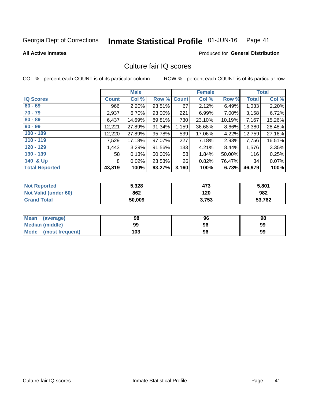### Inmate Statistical Profile 01-JUN-16 Page 41

### **All Active Inmates**

### **Produced for General Distribution**

# Culture fair IQ scores

COL % - percent each COUNT is of its particular column

|                       |                 | <b>Male</b> |             |       | <b>Female</b> |        |              | <b>Total</b> |
|-----------------------|-----------------|-------------|-------------|-------|---------------|--------|--------------|--------------|
| <b>IQ Scores</b>      | <b>Count</b>    | Col %       | Row % Count |       | Col %         | Row %  | <b>Total</b> | Col %        |
| $60 - 69$             | 966             | 2.20%       | 93.51%      | 67    | 2.12%         | 6.49%  | 1,033        | 2.20%        |
| $70 - 79$             | 2,937           | 6.70%       | 93.00%      | 221   | 6.99%         | 7.00%  | 3,158        | 6.72%        |
| $80 - 89$             | 6,437           | 14.69%      | 89.81%      | 730   | 23.10%        | 10.19% | 7,167        | 15.26%       |
| $90 - 99$             | 12,221          | 27.89%      | 91.34%      | 1,159 | 36.68%        | 8.66%  | 13,380       | 28.48%       |
| $100 - 109$           | 12,220          | 27.89%      | 95.78%      | 539   | 17.06%        | 4.22%  | 12,759       | 27.16%       |
| $110 - 119$           | 7,529           | 17.18%      | 97.07%      | 227   | 7.18%         | 2.93%  | 7,756        | 16.51%       |
| $120 - 129$           | 1,443           | 3.29%       | 91.56%      | 133   | 4.21%         | 8.44%  | 1,576        | 3.35%        |
| $130 - 139$           | 58 <sup>1</sup> | 0.13%       | 50.00%      | 58    | 1.84%         | 50.00% | 116          | 0.25%        |
| 140 & Up              | 8               | 0.02%       | 23.53%      | 26    | 0.82%         | 76.47% | 34           | 0.07%        |
| <b>Total Reported</b> | 43,819          | 100%        | 93.27%      | 3,160 | 100%          | 6.73%  | 46,979       | 100%         |

| <b>Not Reported</b>         | 5,328  | 473   | 5,801  |
|-----------------------------|--------|-------|--------|
| <b>Not Valid (under 60)</b> | 862    | 120   | 982    |
| <b>Grand Total</b>          | 50,009 | 3,753 | 53,762 |

| <b>Mean</b><br>(average)       | 98  | 96 | 98 |
|--------------------------------|-----|----|----|
| Median (middle)                | 99  | 96 | 99 |
| <b>Mode</b><br>(most frequent) | 103 | 96 | 99 |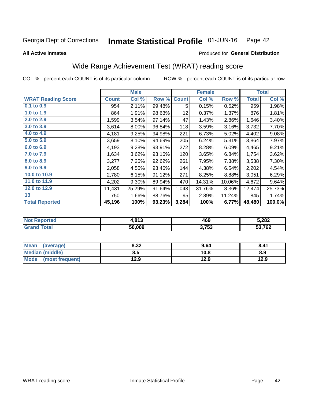### Inmate Statistical Profile 01-JUN-16 Page 42

**All Active Inmates** 

### Produced for General Distribution

# Wide Range Achievement Test (WRAT) reading score

COL % - percent each COUNT is of its particular column

|                           |              | <b>Male</b> |        |              | <b>Female</b> |        |              | <b>Total</b> |
|---------------------------|--------------|-------------|--------|--------------|---------------|--------|--------------|--------------|
| <b>WRAT Reading Score</b> | <b>Count</b> | Col %       | Row %  | <b>Count</b> | Col %         | Row %  | <b>Total</b> | Col %        |
| $0.1$ to $0.9$            | 954          | 2.11%       | 99.48% | 5            | 0.15%         | 0.52%  | 959          | 1.98%        |
| 1.0 to 1.9                | 864          | 1.91%       | 98.63% | 12           | 0.37%         | 1.37%  | 876          | 1.81%        |
| 2.0 to 2.9                | 1,599        | 3.54%       | 97.14% | 47           | 1.43%         | 2.86%  | 1,646        | 3.40%        |
| 3.0 to 3.9                | 3,614        | 8.00%       | 96.84% | 118          | 3.59%         | 3.16%  | 3,732        | 7.70%        |
| 4.0 to 4.9                | 4,181        | 9.25%       | 94.98% | 221          | 6.73%         | 5.02%  | 4,402        | 9.08%        |
| 5.0 to 5.9                | 3,659        | 8.10%       | 94.69% | 205          | 6.24%         | 5.31%  | 3,864        | 7.97%        |
| 6.0 to 6.9                | 4,193        | 9.28%       | 93.91% | 272          | 8.28%         | 6.09%  | 4,465        | 9.21%        |
| 7.0 to 7.9                | 1,634        | 3.62%       | 93.16% | 120          | 3.65%         | 6.84%  | 1,754        | 3.62%        |
| 8.0 to 8.9                | 3,277        | 7.25%       | 92.62% | 261          | 7.95%         | 7.38%  | 3,538        | 7.30%        |
| 9.0 to 9.9                | 2,058        | 4.55%       | 93.46% | 144          | 4.38%         | 6.54%  | 2,202        | 4.54%        |
| 10.0 to 10.9              | 2,780        | 6.15%       | 91.12% | 271          | 8.25%         | 8.88%  | 3,051        | 6.29%        |
| 11.0 to 11.9              | 4,202        | 9.30%       | 89.94% | 470          | 14.31%        | 10.06% | 4,672        | 9.64%        |
| 12.0 to 12.9              | 11,431       | 25.29%      | 91.64% | 1,043        | 31.76%        | 8.36%  | 12,474       | 25.73%       |
| 13                        | 750          | 1.66%       | 88.76% | 95           | 2.89%         | 11.24% | 845          | 1.74%        |
| <b>Total Reported</b>     | 45,196       | 100%        | 93.23% | 3,284        | 100%          | 6.77%  | 48,480       | 100.0%       |

| <b>orted</b><br>' NOT<br>3 E I K | 042<br>1.O I J | 469   | 5,282  |
|----------------------------------|----------------|-------|--------|
| ™otal<br>'Grand                  | 50,009         | 3,753 | 53,762 |

| Mean<br>(average)              | 8.32 | 9.64 | 8.41 |
|--------------------------------|------|------|------|
| Median (middle)                | 8.5  | 10.8 | 8.9  |
| <b>Mode</b><br>(most frequent) | 12.9 | 12.9 | 12.9 |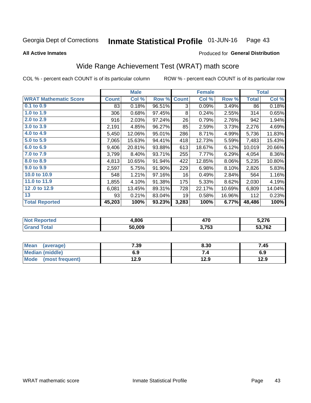### Inmate Statistical Profile 01-JUN-16 Page 43

**All Active Inmates** 

### Produced for General Distribution

# Wide Range Achievement Test (WRAT) math score

COL % - percent each COUNT is of its particular column

|                              |              | <b>Male</b> |        |              | <b>Female</b> |        |              | <b>Total</b> |
|------------------------------|--------------|-------------|--------|--------------|---------------|--------|--------------|--------------|
| <b>WRAT Mathematic Score</b> | <b>Count</b> | Col %       | Row %  | <b>Count</b> | Col %         | Row %  | <b>Total</b> | Col %        |
| $0.1$ to $0.9$               | 83           | 0.18%       | 96.51% | 3            | 0.09%         | 3.49%  | 86           | 0.18%        |
| 1.0 to 1.9                   | 306          | 0.68%       | 97.45% | 8            | 0.24%         | 2.55%  | 314          | 0.65%        |
| 2.0 to 2.9                   | 916          | 2.03%       | 97.24% | 26           | 0.79%         | 2.76%  | 942          | 1.94%        |
| 3.0 to 3.9                   | 2,191        | 4.85%       | 96.27% | 85           | 2.59%         | 3.73%  | 2,276        | 4.69%        |
| 4.0 to 4.9                   | 5,450        | 12.06%      | 95.01% | 286          | 8.71%         | 4.99%  | 5,736        | 11.83%       |
| 5.0 t0 5.9                   | 7,065        | 15.63%      | 94.41% | 418          | 12.73%        | 5.59%  | 7,483        | 15.43%       |
| 6.0 to 6.9                   | 9,406        | 20.81%      | 93.88% | 613          | 18.67%        | 6.12%  | 10,019       | 20.66%       |
| 7.0 to 7.9                   | 3,799        | 8.40%       | 93.71% | 255          | 7.77%         | 6.29%  | 4,054        | 8.36%        |
| 8.0 to 8.9                   | 4,813        | 10.65%      | 91.94% | 422          | 12.85%        | 8.06%  | 5,235        | 10.80%       |
| 9.0 to 9.9                   | 2,597        | 5.75%       | 91.90% | 229          | 6.98%         | 8.10%  | 2,826        | 5.83%        |
| 10.0 to 10.9                 | 548          | 1.21%       | 97.16% | 16           | 0.49%         | 2.84%  | 564          | 1.16%        |
| 11.0 to 11.9                 | 1,855        | 4.10%       | 91.38% | 175          | 5.33%         | 8.62%  | 2,030        | 4.19%        |
| 12.0 to 12.9                 | 6,081        | 13.45%      | 89.31% | 728          | 22.17%        | 10.69% | 6,809        | 14.04%       |
| 13                           | 93           | 0.21%       | 83.04% | 19           | 0.58%         | 16.96% | 112          | 0.23%        |
| <b>Total Reported</b>        | 45,203       | 100%        | 93.23% | 3,283        | 100%          | 6.77%  | 48,486       | 100%         |

| rtea<br>NO | .806   | 470   | $^{\circ}$ 276 |
|------------|--------|-------|----------------|
| $\sim$     | 50.009 | 3,753 | 53,762         |

| <b>Mean</b><br>(average) | 7.39 | 8.30 | 7.45 |
|--------------------------|------|------|------|
| Median (middle)          | 6.9  |      | 6.9  |
| Mode (most frequent)     | 12.9 | 12.9 | 12.9 |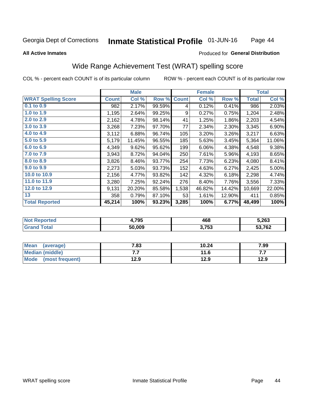### Inmate Statistical Profile 01-JUN-16 Page 44

### **All Active Inmates**

### Produced for General Distribution

# Wide Range Achievement Test (WRAT) spelling score

COL % - percent each COUNT is of its particular column

|                            |              | <b>Male</b> |        |              | <b>Female</b> |        |              | <b>Total</b> |
|----------------------------|--------------|-------------|--------|--------------|---------------|--------|--------------|--------------|
| <b>WRAT Spelling Score</b> | <b>Count</b> | Col %       | Row %  | <b>Count</b> | Col %         | Row %  | <b>Total</b> | Col %        |
| $0.1$ to $0.9$             | 982          | 2.17%       | 99.59% | 4            | 0.12%         | 0.41%  | 986          | 2.03%        |
| 1.0 to 1.9                 | 1,195        | 2.64%       | 99.25% | 9            | 0.27%         | 0.75%  | 1,204        | 2.48%        |
| 2.0 to 2.9                 | 2,162        | 4.78%       | 98.14% | 41           | 1.25%         | 1.86%  | 2,203        | 4.54%        |
| 3.0 to 3.9                 | 3,268        | 7.23%       | 97.70% | 77           | 2.34%         | 2.30%  | 3,345        | 6.90%        |
| 4.0 to 4.9                 | 3,112        | 6.88%       | 96.74% | 105          | 3.20%         | 3.26%  | 3,217        | 6.63%        |
| 5.0 to 5.9                 | 5,179        | 11.45%      | 96.55% | 185          | 5.63%         | 3.45%  | 5,364        | 11.06%       |
| 6.0 to 6.9                 | 4,349        | 9.62%       | 95.62% | 199          | 6.06%         | 4.38%  | 4,548        | 9.38%        |
| 7.0 to 7.9                 | 3,943        | 8.72%       | 94.04% | 250          | 7.61%         | 5.96%  | 4,193        | 8.65%        |
| 8.0 to 8.9                 | 3,826        | 8.46%       | 93.77% | 254          | 7.73%         | 6.23%  | 4,080        | 8.41%        |
| 9.0 to 9.9                 | 2,273        | 5.03%       | 93.73% | 152          | 4.63%         | 6.27%  | 2,425        | 5.00%        |
| 10.0 to 10.9               | 2,156        | 4.77%       | 93.82% | 142          | 4.32%         | 6.18%  | 2,298        | 4.74%        |
| 11.0 to 11.9               | 3,280        | 7.25%       | 92.24% | 276          | 8.40%         | 7.76%  | 3,556        | 7.33%        |
| 12.0 to 12.9               | 9,131        | 20.20%      | 85.58% | 1,538        | 46.82%        | 14.42% | 10,669       | 22.00%       |
| 13                         | 358          | 0.79%       | 87.10% | 53           | 1.61%         | 12.90% | 411          | 0.85%        |
| <b>Total Reported</b>      | 45,214       | 100%        | 93.23% | 3,285        | 100%          | 6.77%  | 48,499       | 100%         |

| w. | 4,795  | 468   | 5,263        |
|----|--------|-------|--------------|
|    | 50.009 | 3,753 | E270<br>' ∪∠ |

| <b>Mean</b><br>7.83<br>(average) |      | 10.24 | 7.99 |
|----------------------------------|------|-------|------|
| Median (middle)                  | .    | 11.6  | .    |
| Mode (most frequent)             | 12.9 | 12.9  | 12.9 |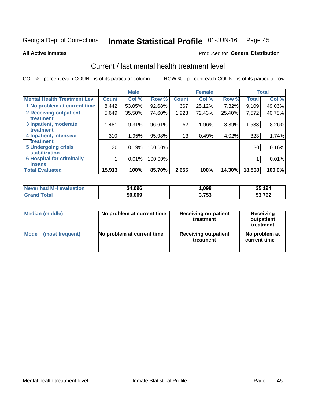### Inmate Statistical Profile 01-JUN-16 Page 45

**All Active Inmates** 

## **Produced for General Distribution**

# Current / last mental health treatment level

COL % - percent each COUNT is of its particular column

|                                    |                 | <b>Male</b> |         |              | <b>Female</b> |        |              | <b>Total</b> |
|------------------------------------|-----------------|-------------|---------|--------------|---------------|--------|--------------|--------------|
| <b>Mental Health Treatment Lev</b> | <b>Count</b>    | Col %       | Row %   | <b>Count</b> | Col %         | Row %  | <b>Total</b> | Col %        |
| 1 No problem at current time       | 8,442           | 53.05%      | 92.68%  | 667          | 25.12%        | 7.32%  | 9,109        | 49.06%       |
| 2 Receiving outpatient             | 5,649           | 35.50%      | 74.60%  | 1,923        | 72.43%        | 25.40% | 7,572        | 40.78%       |
| <b>Treatment</b>                   |                 |             |         |              |               |        |              |              |
| 3 Inpatient, moderate              | 1,481           | 9.31%       | 96.61%  | 52           | 1.96%         | 3.39%  | 1,533        | 8.26%        |
| <b>Treatment</b>                   |                 |             |         |              |               |        |              |              |
| 4 Inpatient, intensive             | 310             | 1.95%       | 95.98%  | 13           | 0.49%         | 4.02%  | 323          | 1.74%        |
| <b>Treatment</b>                   |                 |             |         |              |               |        |              |              |
| <b>5 Undergoing crisis</b>         | 30 <sup>2</sup> | 0.19%       | 100.00% |              |               |        | 30           | 0.16%        |
| <b>stabilization</b>               |                 |             |         |              |               |        |              |              |
| <b>6 Hospital for criminally</b>   |                 | 0.01%       | 100.00% |              |               |        |              | 0.01%        |
| <b>Tinsane</b>                     |                 |             |         |              |               |        |              |              |
| <b>Total Evaluated</b>             | 15,913          | 100%        | 85.70%  | 2,655        | 100%          | 14.30% | 18,568       | 100.0%       |

| Never had MH evaluation | 34.096 | ,098  | 35.194       |
|-------------------------|--------|-------|--------------|
| $\tau$ otal             | 50,009 | 3.753 | 53,762<br>53 |

| Median (middle) | No problem at current time | <b>Receiving outpatient</b><br>treatment | <b>Receiving</b><br>outpatient<br>treatment |
|-----------------|----------------------------|------------------------------------------|---------------------------------------------|
| <b>Mode</b>     | No problem at current time | <b>Receiving outpatient</b>              | No problem at                               |
| (most frequent) |                            | treatment                                | current time                                |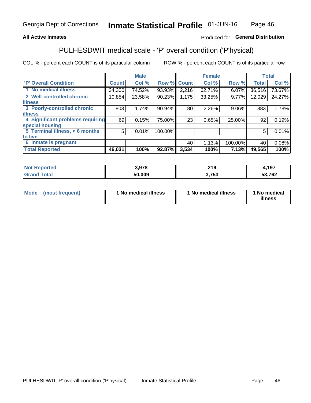## **All Active Inmates**

## Produced for General Distribution

# PULHESDWIT medical scale - 'P' overall condition ('P'hysical)

COL % - percent each COUNT is of its particular column

|                                  |              | <b>Male</b> |         |              | <b>Female</b> |         |              | <b>Total</b> |
|----------------------------------|--------------|-------------|---------|--------------|---------------|---------|--------------|--------------|
| 'P' Overall Condition            | <b>Count</b> | Col %       | Row %   | <b>Count</b> | Col %         | Row %   | <b>Total</b> | Col %        |
| 1 No medical illness             | 34,300       | 74.52%      | 93.93%  | 2,216        | 62.71%        | 6.07%   | 36,516       | 73.67%       |
| 2 Well-controlled chronic        | 10,854       | 23.58%      | 90.23%  | 1,175        | 33.25%        | 9.77%   | 12,029       | 24.27%       |
| <b>illness</b>                   |              |             |         |              |               |         |              |              |
| 3 Poorly-controlled chronic      | 803          | 1.74%       | 90.94%  | 80           | 2.26%         | 9.06%   | 883          | 1.78%        |
| <b>illness</b>                   |              |             |         |              |               |         |              |              |
| 4 Significant problems requiring | 69           | 0.15%       | 75.00%  | 23           | 0.65%         | 25.00%  | 92           | 0.19%        |
| special housing                  |              |             |         |              |               |         |              |              |
| 5 Terminal illness, < 6 months   | 5            | 0.01%       | 100.00% |              |               |         | 5            | 0.01%        |
| to live                          |              |             |         |              |               |         |              |              |
| 6 Inmate is pregnant             |              |             |         | 40           | 1.13%         | 100.00% | 40           | 0.08%        |
| <b>Total Reported</b>            | 46,031       | 100%        | 92.87%  | 3,534        | 100%          | 7.13%   | 49,565       | 100%         |

| тео | 2.070  | 219       | 107<br>. J. |
|-----|--------|-----------|-------------|
|     | 50.009 | 750<br>J. | 53,762      |

| Mode | (most frequent) | 1 No medical illness | 1 No medical illness | 1 No medical<br>illness |
|------|-----------------|----------------------|----------------------|-------------------------|
|------|-----------------|----------------------|----------------------|-------------------------|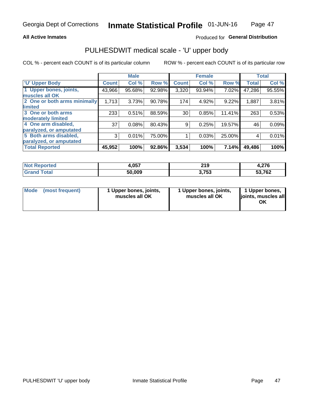### **All Active Inmates**

## Produced for General Distribution

# PULHESDWIT medical scale - 'U' upper body

COL % - percent each COUNT is of its particular column

|                              |               | <b>Male</b> |        |              | <b>Female</b> |        |              | <b>Total</b> |
|------------------------------|---------------|-------------|--------|--------------|---------------|--------|--------------|--------------|
| <b>U' Upper Body</b>         | <b>Count!</b> | Col %       | Row %  | <b>Count</b> | Col %         | Row %  | <b>Total</b> | Col %        |
| 1 Upper bones, joints,       | 43,966        | 95.68%      | 92.98% | 3,320        | 93.94%        | 7.02%  | 47,286       | 95.55%       |
| muscles all OK               |               |             |        |              |               |        |              |              |
| 2 One or both arms minimally | 1,713         | 3.73%       | 90.78% | 174          | 4.92%         | 9.22%  | 1,887        | 3.81%        |
| limited                      |               |             |        |              |               |        |              |              |
| 3 One or both arms           | 233           | 0.51%       | 88.59% | 30           | 0.85%         | 11.41% | 263          | 0.53%        |
| <b>moderately limited</b>    |               |             |        |              |               |        |              |              |
| 4 One arm disabled,          | 37            | 0.08%       | 80.43% | 9            | 0.25%         | 19.57% | 46           | 0.09%        |
| paralyzed, or amputated      |               |             |        |              |               |        |              |              |
| 5 Both arms disabled,        | 3             | 0.01%       | 75.00% |              | 0.03%         | 25.00% | 4            | 0.01%        |
| paralyzed, or amputated      |               |             |        |              |               |        |              |              |
| <b>Total Reported</b>        | 45,952        | 100%        | 92.86% | 3,534        | 100%          | 7.14%  | 49,486       | 100%         |

| <b>Not Reported</b>          | <b>057</b><br>4.UJ. | 219   | 4,276  |
|------------------------------|---------------------|-------|--------|
| <b>Total</b><br><b>Grand</b> | 50,009              | 3,753 | 53,762 |

|  | Mode (most frequent) | 1 Upper bones, joints,<br>muscles all OK | 1 Upper bones, joints,<br>muscles all OK | 1 Upper bones,<br>ljoints, muscles all<br>ΟK |
|--|----------------------|------------------------------------------|------------------------------------------|----------------------------------------------|
|--|----------------------|------------------------------------------|------------------------------------------|----------------------------------------------|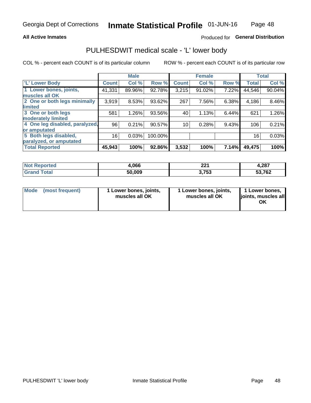## **All Active Inmates**

## Produced for General Distribution

# PULHESDWIT medical scale - 'L' lower body

COL % - percent each COUNT is of its particular column

|                                |              | <b>Male</b> |         |              | <b>Female</b> |       |              | <b>Total</b> |
|--------------------------------|--------------|-------------|---------|--------------|---------------|-------|--------------|--------------|
| 'L' Lower Body                 | <b>Count</b> | Col %       | Row %   | <b>Count</b> | Col %         | Row % | <b>Total</b> | Col %        |
| 1 Lower bones, joints,         | 41,331       | 89.96%      | 92.78%  | 3,215        | 91.02%        | 7.22% | 44,546       | 90.04%       |
| muscles all OK                 |              |             |         |              |               |       |              |              |
| 2 One or both legs minimally   | 3,919        | 8.53%       | 93.62%  | 267          | 7.56%         | 6.38% | 4,186        | 8.46%        |
| limited                        |              |             |         |              |               |       |              |              |
| 3 One or both legs             | 581          | 1.26%       | 93.56%  | 40           | 1.13%         | 6.44% | 621          | 1.26%        |
| moderately limited             |              |             |         |              |               |       |              |              |
| 4 One leg disabled, paralyzed, | 96           | 0.21%       | 90.57%  | 10           | 0.28%         | 9.43% | 106          | 0.21%        |
| or amputated                   |              |             |         |              |               |       |              |              |
| 5 Both legs disabled,          | 16           | 0.03%       | 100.00% |              |               |       | 16           | 0.03%        |
| paralyzed, or amputated        |              |             |         |              |               |       |              |              |
| <b>Total Reported</b>          | 45,943       | 100%        | 92.86%  | 3,532        | 100%          | 7.14% | 49,475       | 100%         |

| <b>Not Reported</b>   | 1,066  | 224<br>44 L | 4,287  |
|-----------------------|--------|-------------|--------|
| <b>Total</b><br>Grand | 50,009 | 3,753       | 53,762 |

|  | Mode (most frequent) | 1 Lower bones, joints,<br>muscles all OK | 1 Lower bones, joints,<br>muscles all OK | 1 Lower bones,<br>joints, muscles all<br>ΟK |
|--|----------------------|------------------------------------------|------------------------------------------|---------------------------------------------|
|--|----------------------|------------------------------------------|------------------------------------------|---------------------------------------------|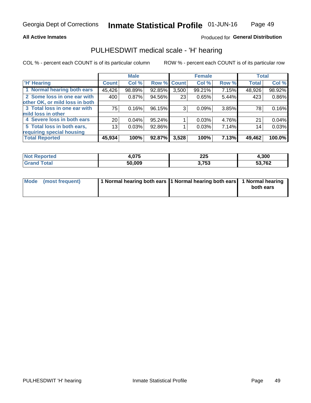## **All Active Inmates**

## Produced for General Distribution

## PULHESDWIT medical scale - 'H' hearing

COL % - percent each COUNT is of its particular column

|                                |                 | <b>Male</b> |                    |       | <b>Female</b> |       | <b>Total</b> |        |
|--------------------------------|-----------------|-------------|--------------------|-------|---------------|-------|--------------|--------|
| <b>'H' Hearing</b>             | <b>Count</b>    | Col %       | <b>Row % Count</b> |       | Col %         | Row % | <b>Total</b> | Col %  |
| 1 Normal hearing both ears     | 45,426          | 98.89%      | 92.85%             | 3,500 | 99.21%        | 7.15% | 48,926       | 98.92% |
| 2 Some loss in one ear with    | 400             | 0.87%       | 94.56%             | 23    | 0.65%         | 5.44% | 423          | 0.86%  |
| other OK, or mild loss in both |                 |             |                    |       |               |       |              |        |
| 3 Total loss in one ear with   | 75              | 0.16%       | 96.15%             | 3     | 0.09%         | 3.85% | 78           | 0.16%  |
| mild loss in other             |                 |             |                    |       |               |       |              |        |
| 4 Severe loss in both ears     | 20 <sub>1</sub> | 0.04%       | 95.24%             |       | 0.03%         | 4.76% | 21           | 0.04%  |
| 5 Total loss in both ears,     | 13 <sub>1</sub> | 0.03%       | 92.86%             |       | 0.03%         | 7.14% | 14           | 0.03%  |
| requiring special housing      |                 |             |                    |       |               |       |              |        |
| <b>Total Reported</b>          | 45,934          | 100%        | 92.87%             | 3,528 | 100%          | 7.13% | 49,462       | 100.0% |

| <b>orted</b>          | .27E   | <b>OOE</b> | Ⅰ.300  |
|-----------------------|--------|------------|--------|
| <b>NOT</b>            | ט וטה  | ZZJ        |        |
| $F \wedge f \wedge f$ | 50.009 | 3,753      | 53,762 |

| Mode (most frequent) | 1 Normal hearing both ears 1 Normal hearing both ears 1 Normal hearing | both ears |
|----------------------|------------------------------------------------------------------------|-----------|
|                      |                                                                        |           |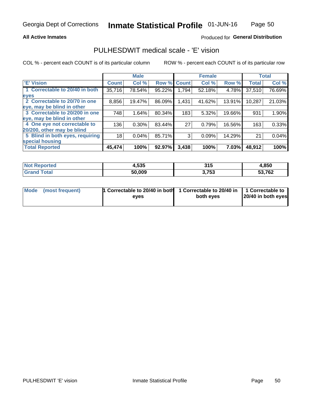## **All Active Inmates**

## Produced for General Distribution

## PULHESDWIT medical scale - 'E' vision

COL % - percent each COUNT is of its particular column

|                                 |              | <b>Male</b> |        |              | <b>Female</b> |        |              | <b>Total</b> |
|---------------------------------|--------------|-------------|--------|--------------|---------------|--------|--------------|--------------|
| 'E' Vision                      | <b>Count</b> | Col %       | Row %  | <b>Count</b> | Col %         | Row %  | <b>Total</b> | Col %        |
| 1 Correctable to 20/40 in both  | 35,716       | 78.54%      | 95.22% | 1,794        | 52.18%        | 4.78%  | 37,510       | 76.69%       |
| eyes                            |              |             |        |              |               |        |              |              |
| 2 Correctable to 20/70 in one   | 8,856        | 19.47%      | 86.09% | 1,431        | 41.62%        | 13.91% | 10,287       | 21.03%       |
| eye, may be blind in other      |              |             |        |              |               |        |              |              |
| 3 Correctable to 20/200 in one  | 748          | 1.64%       | 80.34% | 183          | 5.32%         | 19.66% | 931          | 1.90%        |
| eye, may be blind in other      |              |             |        |              |               |        |              |              |
| 4 One eye not correctable to    | 136          | 0.30%       | 83.44% | 27           | 0.79%         | 16.56% | 163          | 0.33%        |
| 20/200, other may be blind      |              |             |        |              |               |        |              |              |
| 5 Blind in both eyes, requiring | 18           | 0.04%       | 85.71% | 3            | 0.09%         | 14.29% | 21           | 0.04%        |
| special housing                 |              |             |        |              |               |        |              |              |
| <b>Total Reported</b>           | 45,474       | 100%        | 92.97% | 3,438        | 100%          | 7.03%  | 48,912       | 100%         |

| <b>Not Reported</b> | 4,535  | 24F<br>JIJ | 4,850        |
|---------------------|--------|------------|--------------|
| ີາtal               | 50,009 | 3,753      | 53,762<br>55 |

| Mode (most frequent) | 1 Correctable to 20/40 in both<br>eves | 1 Correctable to 20/40 in   1 Correctable to  <br>both eves | 20/40 in both eyes |  |
|----------------------|----------------------------------------|-------------------------------------------------------------|--------------------|--|
|                      |                                        |                                                             |                    |  |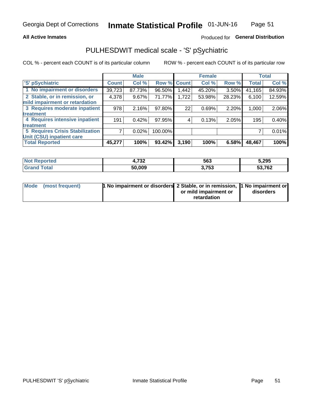## **All Active Inmates**

## Produced for General Distribution

# PULHESDWIT medical scale - 'S' pSychiatric

COL % - percent each COUNT is of its particular column

|                                        |              | <b>Male</b> |         |              | <b>Female</b> |        |              | <b>Total</b> |
|----------------------------------------|--------------|-------------|---------|--------------|---------------|--------|--------------|--------------|
| 'S' pSychiatric                        | <b>Count</b> | Col %       | Row %   | <b>Count</b> | Col %         | Row %  | <b>Total</b> | Col %        |
| 1 No impairment or disorders           | 39,723       | 87.73%      | 96.50%  | .442         | 45.20%        | 3.50%  | 41,165       | 84.93%       |
| 2 Stable, or in remission, or          | 4,378        | 9.67%       | 71.77%  | 1,722        | 53.98%        | 28.23% | 6,100        | 12.59%       |
| mild impairment or retardation         |              |             |         |              |               |        |              |              |
| 3 Requires moderate inpatient          | 978          | 2.16%       | 97.80%  | 22           | 0.69%         | 2.20%  | 1,000        | 2.06%        |
| treatment                              |              |             |         |              |               |        |              |              |
| 4 Requires intensive inpatient         | 191          | 0.42%       | 97.95%  |              | 0.13%         | 2.05%  | 195          | 0.40%        |
| treatment                              |              |             |         |              |               |        |              |              |
| <b>5 Requires Crisis Stabilization</b> |              | 0.02%       | 100.00% |              |               |        |              | 0.01%        |
| Unit (CSU) inpatient care              |              |             |         |              |               |        |              |              |
| <b>Total Reported</b>                  | 45,277       | 100%        | 93.42%  | 3,190        | 100%          | 6.58%  | 48,467       | 100%         |

| <b>Not Reported</b> | フクク<br>4. I JŁ | 563   | 5,295        |
|---------------------|----------------|-------|--------------|
| Total               | 50,009         | 3,753 | 53,762<br>აა |

| Mode (most frequent) | <b>1 No impairment or disorders 2 Stable, or in remission, 1 No impairment or</b> |                       |           |
|----------------------|-----------------------------------------------------------------------------------|-----------------------|-----------|
|                      |                                                                                   | or mild impairment or | disorders |
|                      |                                                                                   | retardation           |           |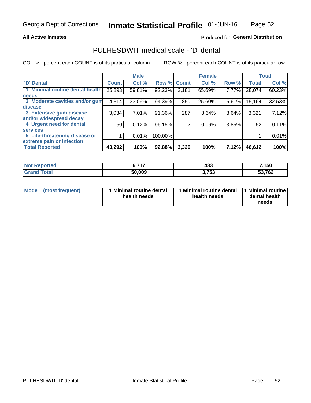## **All Active Inmates**

## Produced for General Distribution

# PULHESDWIT medical scale - 'D' dental

COL % - percent each COUNT is of its particular column

|                                 |              | <b>Male</b> |         |              | <b>Female</b> |       |              | <b>Total</b> |
|---------------------------------|--------------|-------------|---------|--------------|---------------|-------|--------------|--------------|
| 'D' Dental                      | <b>Count</b> | Col %       | Row %   | <b>Count</b> | Col %         | Row % | <b>Total</b> | Col %        |
| 1 Minimal routine dental health | 25,893       | 59.81%      | 92.23%  | 2,181        | 65.69%        | 7.77% | 28,074       | 60.23%       |
| <b>needs</b>                    |              |             |         |              |               |       |              |              |
| 2 Moderate cavities and/or gum  | 14,314       | 33.06%      | 94.39%  | 850          | 25.60%        | 5.61% | 15,164       | 32.53%       |
| disease                         |              |             |         |              |               |       |              |              |
| 3 Extensive gum disease         | 3,034        | 7.01%       | 91.36%  | 287          | 8.64%         | 8.64% | 3,321        | 7.12%        |
| and/or widespread decay         |              |             |         |              |               |       |              |              |
| 4 Urgent need for dental        | 50           | 0.12%       | 96.15%  | 2            | $0.06\%$      | 3.85% | 52           | 0.11%        |
| <b>services</b>                 |              |             |         |              |               |       |              |              |
| 5 Life-threatening disease or   |              | 0.01%       | 100.00% |              |               |       |              | 0.01%        |
| extreme pain or infection       |              |             |         |              |               |       |              |              |
| <b>Total Reported</b>           | 43,292       | 100%        | 92.88%  | 3,320        | 100%          | 7.12% | 46,612       | 100%         |

| <b>Not Reported</b>   | $c - 747$ | "^^<br>400 | 7,150  |
|-----------------------|-----------|------------|--------|
| <b>Total</b><br>Grand | 50,009    | 3,753      | 53,762 |

| 1 Minimal routine dental<br>Mode<br>(most frequent)<br>health needs | 1 Minimal routine dental 1 Minimal routine<br>health needs | dental health<br>needs |
|---------------------------------------------------------------------|------------------------------------------------------------|------------------------|
|---------------------------------------------------------------------|------------------------------------------------------------|------------------------|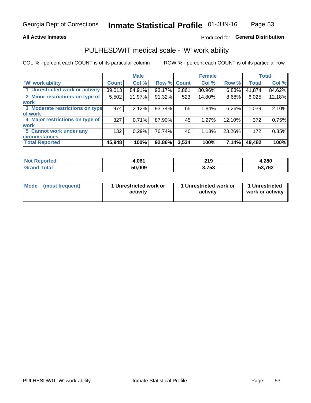## **All Active Inmates**

## Produced for General Distribution

# PULHESDWIT medical scale - 'W' work ability

COL % - percent each COUNT is of its particular column

|                                 |              | <b>Male</b> |             |       | <b>Female</b> |        |              | <b>Total</b> |
|---------------------------------|--------------|-------------|-------------|-------|---------------|--------|--------------|--------------|
| 'W' work ability                | <b>Count</b> | Col %       | Row % Count |       | Col %         | Row %  | <b>Total</b> | Col %        |
| 1 Unrestricted work or activity | 39,013       | 84.91%      | 93.17%      | 2,861 | 80.96%        | 6.83%  | 41,874       | 84.62%       |
| 2 Minor restrictions on type of | 5,502        | 11.97%      | 91.32%      | 523   | 14.80%        | 8.68%  | 6,025        | 12.18%       |
| <b>work</b>                     |              |             |             |       |               |        |              |              |
| 3 Moderate restrictions on type | 974          | 2.12%       | 93.74%      | 65    | 1.84%         | 6.26%  | 1,039        | 2.10%        |
| of work                         |              |             |             |       |               |        |              |              |
| 4 Major restrictions on type of | 327          | 0.71%       | 87.90%      | 45    | 1.27%         | 12.10% | 372          | 0.75%        |
| <b>work</b>                     |              |             |             |       |               |        |              |              |
| 5 Cannot work under any         | 132          | 0.29%       | 76.74%      | 40    | 1.13%         | 23.26% | 172          | 0.35%        |
| <b>circumstances</b>            |              |             |             |       |               |        |              |              |
| <b>Total Reported</b>           | 45,948       | 100%        | 92.86%      | 3,534 | 100%          | 7.14%  | 49,482       | 100%         |

| <b>Not Reported</b> | 1.061  | <b>210</b><br>4 I J | 4,280  |
|---------------------|--------|---------------------|--------|
| Total<br>Grand      | 50,009 | 3,753               | 53,762 |

| <b>Mode</b>     | 1 Unrestricted work or | 1 Unrestricted work or | 1 Unrestricted   |
|-----------------|------------------------|------------------------|------------------|
| (most frequent) | activity               | activity               | work or activity |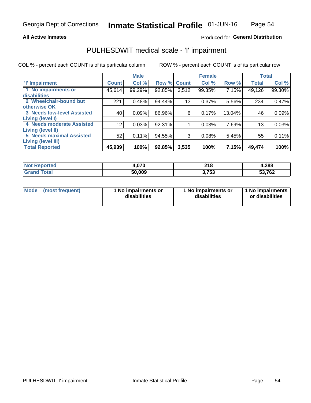### **All Active Inmates**

## Produced for General Distribution

# PULHESDWIT medical scale - 'I' impairment

COL % - percent each COUNT is of its particular column

|                                                              |              | <b>Male</b> |        |             | <b>Female</b> |        |              | <b>Total</b> |
|--------------------------------------------------------------|--------------|-------------|--------|-------------|---------------|--------|--------------|--------------|
| <b>T' Impairment</b>                                         | <b>Count</b> | Col %       |        | Row % Count | Col %         | Row %  | <b>Total</b> | Col %        |
| 1 No impairments or<br>disabilities                          | 45,614       | 99.29%      | 92.85% | 3,512       | 99.35%        | 7.15%  | 49,126       | 99.30%       |
| 2 Wheelchair-bound but<br>otherwise OK                       | 221          | 0.48%       | 94.44% | 13          | 0.37%         | 5.56%  | 234          | 0.47%        |
| <b>3 Needs low-level Assisted</b><br>Living (level I)        | 40           | 0.09%       | 86.96% | 6           | 0.17%         | 13.04% | 46           | 0.09%        |
| 4 Needs moderate Assisted<br>Living (level II)               | 12           | 0.03%       | 92.31% |             | 0.03%         | 7.69%  | 13           | 0.03%        |
| <b>5 Needs maximal Assisted</b><br><b>Living (level III)</b> | 52           | 0.11%       | 94.55% | 3           | 0.08%         | 5.45%  | 55           | 0.11%        |
| <b>Total Reported</b>                                        | 45,939       | 100%        | 92.85% | 3,535       | 100%          | 7.15%  | 49,474       | 100%         |

| <b>Not</b>           | .07c    | 218    | 4,288         |
|----------------------|---------|--------|---------------|
| Reported             | 1.v / u | $\sim$ |               |
| <b>Total</b><br>Grai | 50,009  | ,753   | 53,762<br>აა. |

| Mode | (most frequent) | 1 No impairments or<br>disabilities | 1 No impairments or<br>disabilities | 1 No impairments<br>or disabilities |
|------|-----------------|-------------------------------------|-------------------------------------|-------------------------------------|
|------|-----------------|-------------------------------------|-------------------------------------|-------------------------------------|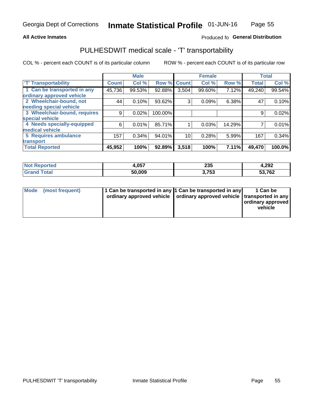## **All Active Inmates**

## Produced fo General Distribution

# PULHESDWIT medical scale - 'T' transportability

COL % - percent each COUNT is of its particular column

|                              |              | <b>Male</b> |         |              | <b>Female</b> |        |              | <b>Total</b> |
|------------------------------|--------------|-------------|---------|--------------|---------------|--------|--------------|--------------|
| <b>T' Transportability</b>   | <b>Count</b> | Col %       | Row %   | <b>Count</b> | Col %         | Row %  | <b>Total</b> | Col %        |
| 1 Can be transported in any  | 45,736       | 99.53%      | 92.88%  | 3,504        | 99.60%        | 7.12%  | 49,240       | 99.54%       |
| ordinary approved vehicle    |              |             |         |              |               |        |              |              |
| 2 Wheelchair-bound, not      | 44           | 0.10%       | 93.62%  | 3            | 0.09%         | 6.38%  | 47           | 0.10%        |
| needing special vehicle      |              |             |         |              |               |        |              |              |
| 3 Wheelchair-bound, requires | 9            | 0.02%       | 100.00% |              |               |        | 9            | 0.02%        |
| special vehicle              |              |             |         |              |               |        |              |              |
| 4 Needs specially-equipped   | 6            | 0.01%       | 85.71%  |              | 0.03%         | 14.29% |              | 0.01%        |
| medical vehicle              |              |             |         |              |               |        |              |              |
| <b>5 Requires ambulance</b>  | 157          | 0.34%       | 94.01%  | 10           | 0.28%         | 5.99%  | 167          | 0.34%        |
| transport                    |              |             |         |              |               |        |              |              |
| <b>Total Reported</b>        | 45,952       | 100%        | 92.89%  | 3,518        | 100%          | 7.11%  | 49,470       | 100.0%       |

| <b>:ported</b> | +,057  | 235           | 4,292  |
|----------------|--------|---------------|--------|
| <b>ota</b>     | 50,009 | フドク<br>ט, ו ט | 53,762 |

|  | Mode (most frequent) | 1 Can be transported in any 1 Can be transported in any<br>ordinary approved vehicle   ordinary approved vehicle   transported in any |  | 1 Can be<br>  ordinary approved  <br>vehicle |
|--|----------------------|---------------------------------------------------------------------------------------------------------------------------------------|--|----------------------------------------------|
|--|----------------------|---------------------------------------------------------------------------------------------------------------------------------------|--|----------------------------------------------|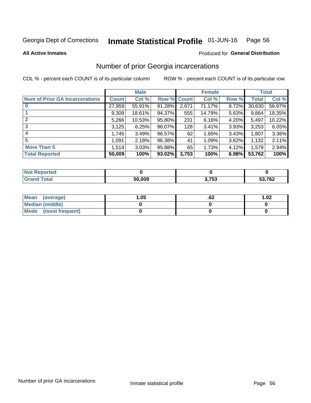#### Inmate Statistical Profile 01-JUN-16 Page 56

**All Active Inmates** 

### Produced for General Distribution

## Number of prior Georgia incarcerations

COL % - percent each COUNT is of its particular column

|                                       |              | <b>Male</b> |                    |       | <b>Female</b> |       |        | <b>Total</b> |
|---------------------------------------|--------------|-------------|--------------------|-------|---------------|-------|--------|--------------|
| <b>Num of Prior GA Incarcerations</b> | <b>Count</b> | Col %       | <b>Row % Count</b> |       | Col %         | Row % | Total  | Col %        |
| $\bf{0}$                              | 27,959       | 55.91%      | 91.28%             | 2,671 | 71.17%        | 8.72% | 30,630 | 56.97%       |
|                                       | 9,309        | 18.61%      | 94.37%             | 555   | 14.79%        | 5.63% | 9,864  | 18.35%       |
| $\mathbf{2}$                          | 5,266        | 10.53%      | 95.80%             | 231   | 6.16%         | 4.20% | 5,497  | 10.22%       |
| 3                                     | 3,125        | 6.25%       | 96.07%             | 128   | 3.41%         | 3.93% | 3,253  | 6.05%        |
| 4                                     | 1,745        | 3.49%       | 96.57%             | 62    | 1.65%         | 3.43% | 1,807  | 3.36%        |
| 5                                     | 1,091        | 2.18%       | 96.38%             | 41    | 1.09%         | 3.62% | 1,132  | 2.11%        |
| <b>More Than 5</b>                    | 1,514        | 3.03%       | 95.88%             | 65    | 1.73%         | 4.12% | 1,579  | 2.94%        |
| <b>Total Reported</b>                 | 50,009       | 100%        | 93.02%             | 3,753 | 100%          | 6.98% | 53,762 | 100%         |

| <b>Not</b><br>Reported      |        |       |        |
|-----------------------------|--------|-------|--------|
| Total<br>"Gran <sub>"</sub> | 50,009 | 3,753 | 53,762 |

| Mean (average)       | .05 | .oz | 1.02 |
|----------------------|-----|-----|------|
| Median (middle)      |     |     |      |
| Mode (most frequent) |     |     |      |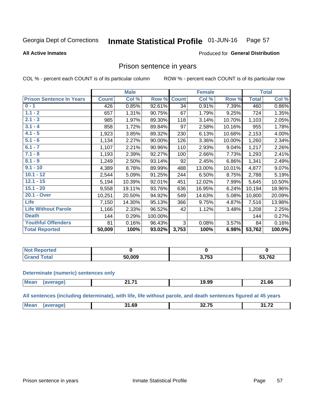#### Inmate Statistical Profile 01-JUN-16 Page 57

**All Active Inmates** 

### Produced for General Distribution

## Prison sentence in years

COL % - percent each COUNT is of its particular column

ROW % - percent each COUNT is of its particular row

|                                 |              | <b>Male</b> |         |              | <b>Female</b> |        |              | <b>Total</b> |
|---------------------------------|--------------|-------------|---------|--------------|---------------|--------|--------------|--------------|
| <b>Prison Sentence In Years</b> | <b>Count</b> | Col %       | Row %   | <b>Count</b> | Col %         | Row %  | <b>Total</b> | Col %        |
| $0 - 1$                         | 426          | 0.85%       | 92.61%  | 34           | 0.91%         | 7.39%  | 460          | 0.86%        |
| $1.1 - 2$                       | 657          | 1.31%       | 90.75%  | 67           | 1.79%         | 9.25%  | 724          | 1.35%        |
| $2.1 - 3$                       | 985          | 1.97%       | 89.30%  | 118          | 3.14%         | 10.70% | 1,103        | 2.05%        |
| $3.1 - 4$                       | 858          | 1.72%       | 89.84%  | 97           | 2.58%         | 10.16% | 955          | 1.78%        |
| $4.1 - 5$                       | 1,923        | 3.85%       | 89.32%  | 230          | 6.13%         | 10.68% | 2,153        | 4.00%        |
| $5.1 - 6$                       | 1,134        | 2.27%       | 90.00%  | 126          | 3.36%         | 10.00% | 1,260        | 2.34%        |
| $6.1 - 7$                       | 1,107        | 2.21%       | 90.96%  | 110          | 2.93%         | 9.04%  | 1,217        | 2.26%        |
| $7.1 - 8$                       | 1,193        | 2.39%       | 92.27%  | 100          | 2.66%         | 7.73%  | 1,293        | 2.41%        |
| $8.1 - 9$                       | 1,249        | 2.50%       | 93.14%  | 92           | 2.45%         | 6.86%  | 1,341        | 2.49%        |
| $9.1 - 10$                      | 4,389        | 8.78%       | 89.99%  | 488          | 13.00%        | 10.01% | 4,877        | 9.07%        |
| $10.1 - 12$                     | 2,544        | 5.09%       | 91.25%  | 244          | 6.50%         | 8.75%  | 2,788        | 5.19%        |
| $12.1 - 15$                     | 5,194        | 10.39%      | 92.01%  | 451          | 12.02%        | 7.99%  | 5,645        | 10.50%       |
| $15.1 - 20$                     | 9,558        | 19.11%      | 93.76%  | 636          | 16.95%        | 6.24%  | 10,194       | 18.96%       |
| 20.1 - Over                     | 10,251       | 20.50%      | 94.92%  | 549          | 14.63%        | 5.08%  | 10,800       | 20.09%       |
| <b>Life</b>                     | 7,150        | 14.30%      | 95.13%  | 366          | 9.75%         | 4.87%  | 7,516        | 13.98%       |
| <b>Life Without Parole</b>      | 1,166        | 2.33%       | 96.52%  | 42           | 1.12%         | 3.48%  | 1,208        | 2.25%        |
| <b>Death</b>                    | 144          | 0.29%       | 100.00% |              |               |        | 144          | 0.27%        |
| <b>Youthful Offenders</b>       | 81           | 0.16%       | 96.43%  | 3            | 0.08%         | 3.57%  | 84           | 0.16%        |
| <b>Total Reported</b>           | 50,009       | 100%        | 93.02%  | 3,753        | 100%          | 6.98%  | 53,762       | 100.0%       |

| ported<br>I NOT |     |                    |        |
|-----------------|-----|--------------------|--------|
|                 | nnn | <b>753</b><br>1 JJ | 53,762 |

### **Determinate (numeric) sentences only**

| <b>Mear</b> | . .<br>. .<br>. | 19.99 | 24C<br>$-1.00$ |
|-------------|-----------------|-------|----------------|
|             |                 |       |                |

All sentences (including determinate), with life, life without parole, and death sentences figured at 45 years

| -- --<br>$^{\dagger}$ Me:<br>24.72<br>$\sim$<br>n<br>.<br>$ -$ |  |  |  |
|----------------------------------------------------------------|--|--|--|
|                                                                |  |  |  |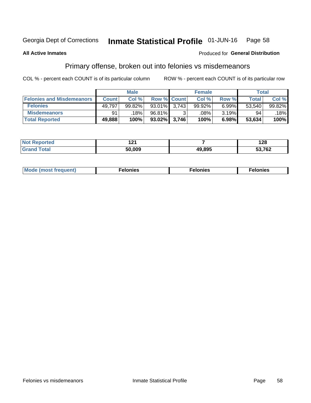#### Inmate Statistical Profile 01-JUN-16 Page 58

### **All Active Inmates**

## **Produced for General Distribution**

# Primary offense, broken out into felonies vs misdemeanors

COL % - percent each COUNT is of its particular column

|                                  |              | <b>Male</b> |                 |                    | <b>Female</b> |       | Total  |        |
|----------------------------------|--------------|-------------|-----------------|--------------------|---------------|-------|--------|--------|
| <b>Felonies and Misdemeanors</b> | <b>Count</b> | Col%        |                 | <b>Row % Count</b> | Col%          | Row % | Total, | Col %  |
| <b>Felonies</b>                  | 49,797       | 99.82%      | 93.01%          | 3.743              | 99.92%        | 6.99% | 53.540 | 99.82% |
| <b>Misdemeanors</b>              | 91           | 18%         | 96.81%          |                    | .08%          | 3.19% | 94     | 18%    |
| <b>Total Reported</b>            | 49,888       | 100%        | $93.02\%$ 3,746 |                    | 100%          | 6.98% | 53,634 | 100%   |

| <b>Not</b><br>rted<br>--- | 10/<br>. |        | റാ<br>1 Z O   |
|---------------------------|----------|--------|---------------|
| ' Gran⊾<br>⊺otai          | 50.009   | 49,895 | 53,762<br>JJ. |

|  | Mo | . | a masa sa sa<br>. | onies<br>. |
|--|----|---|-------------------|------------|
|--|----|---|-------------------|------------|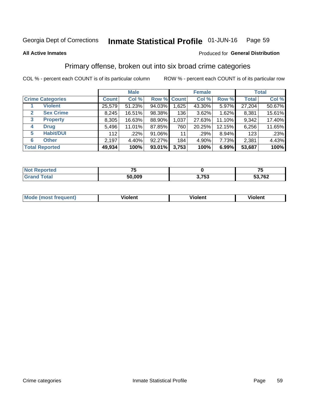#### Inmate Statistical Profile 01-JUN-16 Page 59

### **All Active Inmates**

### Produced for General Distribution

# Primary offense, broken out into six broad crime categories

COL % - percent each COUNT is of its particular column

|                                 |              | <b>Male</b> |           |             | <b>Female</b> |        |              | <b>Total</b> |
|---------------------------------|--------------|-------------|-----------|-------------|---------------|--------|--------------|--------------|
| <b>Crime Categories</b>         | <b>Count</b> | Col %       |           | Row % Count | Col %         | Row %  | <b>Total</b> | Col %        |
| <b>Violent</b>                  | 25,579       | 51.23%      | 94.03%    | 1,625       | 43.30%        | 5.97%  | 27,204       | 50.67%       |
| <b>Sex Crime</b><br>2           | 8,245        | 16.51%      | 98.38%    | 136         | 3.62%         | 1.62%  | 8,381        | 15.61%       |
| $\mathbf{3}$<br><b>Property</b> | 8,305        | 16.63%      | 88.90%    | 1,037       | 27.63%        | 11.10% | 9,342        | 17.40%       |
| <b>Drug</b><br>4                | 5,496        | 11.01%      | 87.85%    | 760         | 20.25%        | 12.15% | 6,256        | 11.65%       |
| <b>Habit/DUI</b><br>5           | 112          | .22%        | 91.06%    | 11          | .29%          | 8.94%  | 123          | .23%         |
| <b>Other</b><br>6               | 2,197        | 4.40%       | 92.27%    | 184         | 4.90%         | 7.73%  | 2,381        | 4.43%        |
| <b>Total Reported</b>           | 49,934       | 100%        | $93.01\%$ | 3,753       | 100%          | 6.99%  | 53,687       | 100%         |

| rtea<br>NO       |        |                 | --<br>w |
|------------------|--------|-----------------|---------|
| $F_{\mathbf{A}}$ | 50.009 | 2 フドマ<br>ניט וו | 53,762  |

| Mo<br>uent)<br>nos | .<br>/iolent | <br>Violent | - --<br><b>Tiolent</b> |
|--------------------|--------------|-------------|------------------------|
|                    |              |             |                        |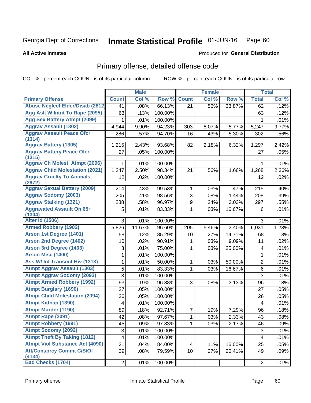### Inmate Statistical Profile 01-JUN-16 Page 60

### **All Active Inmates**

## **Produced for General Distribution**

# Primary offense, detailed offense code

COL % - percent each COUNT is of its particular column

|                                            |                | <b>Male</b> |         |                 | <b>Female</b> |        |                         | <b>Total</b> |
|--------------------------------------------|----------------|-------------|---------|-----------------|---------------|--------|-------------------------|--------------|
| <b>Primary Offense</b>                     | <b>Count</b>   | Col %       | Row %   | <b>Count</b>    | Col %         | Row %  | <b>Total</b>            | Col %        |
| <b>Abuse Neglect Elder/Disab (2812)</b>    | 41             | .08%        | 66.13%  | 21              | .56%          | 33.87% | 62                      | .12%         |
| Agg Aslt W Intnt To Rape (2095)            | 63             | .13%        | 100.00% |                 |               |        | 63                      | .12%         |
| <b>Agg Sex Battery Atmpt (2099)</b>        | 1              | .01%        | 100.00% |                 |               |        | 1                       | .01%         |
| <b>Aggrav Assault (1302)</b>               | 4,944          | 9.90%       | 94.23%  | 303             | 8.07%         | 5.77%  | 5,247                   | 9.77%        |
| <b>Aggrav Assault Peace Ofcr</b><br>(1314) | 286            | .57%        | 94.70%  | 16              | .43%          | 5.30%  | 302                     | .56%         |
| <b>Aggrav Battery (1305)</b>               | 1,215          | 2.43%       | 93.68%  | 82              | 2.18%         | 6.32%  | 1,297                   | 2.42%        |
| <b>Aggrav Battery Peace Ofcr</b><br>(1315) | 27             | .05%        | 100.00% |                 |               |        | 27                      | .05%         |
| <b>Aggrav Ch Molest Atmpt (2096)</b>       | 1              | .01%        | 100.00% |                 |               |        | 1                       | .01%         |
| <b>Aggrav Child Molestation (2021)</b>     | 1,247          | 2.50%       | 98.34%  | 21              | .56%          | 1.66%  | 1,268                   | 2.36%        |
| <b>Aggrav Cruelty To Animals</b><br>(2972) | 12             | .02%        | 100.00% |                 |               |        | 12                      | .02%         |
| <b>Aggrav Sexual Battery (2009)</b>        | 214            | .43%        | 99.53%  | 1               | .03%          | .47%   | 215                     | .40%         |
| <b>Aggrav Sodomy (2003)</b>                | 205            | .41%        | 98.56%  | 3               | .08%          | 1.44%  | 208                     | .39%         |
| <b>Aggrav Stalking (1321)</b>              | 288            | .58%        | 96.97%  | 9               | .24%          | 3.03%  | 297                     | .55%         |
| <b>Aggravated Assault On 65+</b><br>(1304) | 5              | .01%        | 83.33%  | 1               | .03%          | 16.67% | 6                       | .01%         |
| <b>Alter Id (1506)</b>                     | 3              | .01%        | 100.00% |                 |               |        | 3                       | .01%         |
| <b>Armed Robbery (1902)</b>                | 5,826          | 11.67%      | 96.60%  | 205             | 5.46%         | 3.40%  | 6,031                   | 11.23%       |
| Arson 1st Degree (1401)                    | 58             | .12%        | 85.29%  | 10              | .27%          | 14.71% | 68                      | .13%         |
| <b>Arson 2nd Degree (1402)</b>             | 10             | .02%        | 90.91%  | 1               | .03%          | 9.09%  | 11                      | .02%         |
| <b>Arson 3rd Degree (1403)</b>             | 3              | .01%        | 75.00%  | 1               | .03%          | 25.00% | 4                       | .01%         |
| <b>Arson Misc (1400)</b>                   | 1              | .01%        | 100.00% |                 |               |        | 1                       | .01%         |
| Ass W/ Int Transmit Hiv (1313)             | 1              | .01%        | 50.00%  | 1               | .03%          | 50.00% | $\overline{2}$          | .01%         |
| <b>Atmpt Aggrav Assault (1303)</b>         | 5              | .01%        | 83.33%  | 1               | .03%          | 16.67% | 6                       | .01%         |
| <b>Atmpt Aggrav Sodomy (2093)</b>          | 3              | .01%        | 100.00% |                 |               |        | 3                       | .01%         |
| <b>Atmpt Armed Robbery (1992)</b>          | 93             | .19%        | 96.88%  | 3               | .08%          | 3.13%  | 96                      | .18%         |
| <b>Atmpt Burglary (1690)</b>               | 27             | .05%        | 100.00% |                 |               |        | 27                      | .05%         |
| <b>Atmpt Child Molestation (2094)</b>      | 26             | .05%        | 100.00% |                 |               |        | 26                      | .05%         |
| <b>Atmpt Kidnap (1390)</b>                 | 4              | .01%        | 100.00% |                 |               |        | 4                       | .01%         |
| <b>Atmpt Murder (1190)</b>                 | 89             | .18%        | 92.71%  | 7               | .19%          | 7.29%  | 96                      | .18%         |
| Atmpt Rape (2091)                          | 42             | .08%        | 97.67%  | $\mathbf{1}$    | .03%          | 2.33%  | 43                      | .08%         |
| <b>Atmpt Robbery (1991)</b>                | 45             | .09%        | 97.83%  | 1.              | .03%          | 2.17%  | 46                      | .09%         |
| <b>Atmpt Sodomy (2092)</b>                 | 3              | .01%        | 100.00% |                 |               |        | 3                       | .01%         |
| <b>Atmpt Theft By Taking (1812)</b>        | 4              | .01%        | 100.00% |                 |               |        | $\overline{\mathbf{4}}$ | .01%         |
| <b>Atmpt Viol Substance Act (4090)</b>     | 21             | .04%        | 84.00%  | 4               | .11%          | 16.00% | 25                      | .05%         |
| <b>Att/Consprcy Commt C/S/Of</b><br>(4134) | 39             | .08%        | 79.59%  | 10 <sup>1</sup> | .27%          | 20.41% | 49                      | .09%         |
| <b>Bad Checks (1704)</b>                   | $\overline{2}$ | .01%        | 100.00% |                 |               |        | $\overline{2}$          | .01%         |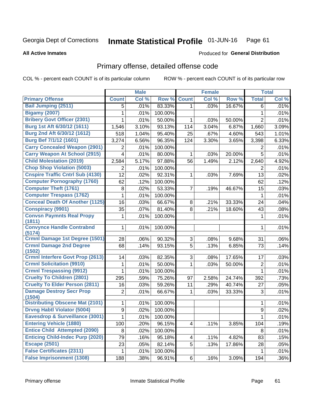### Inmate Statistical Profile 01-JUN-16 Page 61

**All Active Inmates** 

## **Produced for General Distribution**

## Primary offense, detailed offense code

COL % - percent each COUNT is of its particular column

|                                            |                | <b>Male</b> |         |                | <b>Female</b> |        |                  | <b>Total</b> |
|--------------------------------------------|----------------|-------------|---------|----------------|---------------|--------|------------------|--------------|
| <b>Primary Offense</b>                     | <b>Count</b>   | Col %       | Row %   | <b>Count</b>   | Col %         | Row %  | <b>Total</b>     | Col %        |
| <b>Bail Jumping (2511)</b>                 | 5              | .01%        | 83.33%  | $\mathbf{1}$   | .03%          | 16.67% | 6                | .01%         |
| <b>Bigamy (2007)</b>                       | 1              | .01%        | 100.00% |                |               |        | 1                | .01%         |
| <b>Bribery Govt Officer (2301)</b>         | 1              | .01%        | 50.00%  | 1              | .03%          | 50.00% | $\overline{2}$   | .01%         |
| Burg 1st Aft 6/30/12 (1611)                | 1,546          | 3.10%       | 93.13%  | 114            | 3.04%         | 6.87%  | 1,660            | 3.09%        |
| Burg 2nd Aft 6/30/12 (1612)                | 518            | 1.04%       | 95.40%  | 25             | .67%          | 4.60%  | 543              | 1.01%        |
| <b>Burg Bef 7/1/12 (1601)</b>              | 3,274          | 6.56%       | 96.35%  | 124            | 3.30%         | 3.65%  | 3,398            | 6.33%        |
| <b>Carry Concealed Weapon (2901)</b>       | 2              | .01%        | 100.00% |                |               |        | 2                | .01%         |
| <b>Carry Weapon At School (2915)</b>       | 4              | .01%        | 80.00%  | 1              | .03%          | 20.00% | 5                | .01%         |
| <b>Child Molestation (2019)</b>            | 2,584          | 5.17%       | 97.88%  | 56             | 1.49%         | 2.12%  | 2,640            | 4.92%        |
| <b>Chop Shop Violation (5003)</b>          | 2              | .01%        | 100.00% |                |               |        | 2                | .01%         |
| <b>Cnspire Traffic Cntrl Sub (4130)</b>    | 12             | .02%        | 92.31%  | 1              | .03%          | 7.69%  | 13               | .02%         |
| <b>Computer Pornography (1760)</b>         | 62             | .12%        | 100.00% |                |               |        | 62               | .12%         |
| <b>Computer Theft (1761)</b>               | 8              | .02%        | 53.33%  | 7              | .19%          | 46.67% | 15               | .03%         |
| <b>Computer Trespass (1762)</b>            | 1              | .01%        | 100.00% |                |               |        | $\mathbf 1$      | .01%         |
| <b>Conceal Death Of Another (1125)</b>     | 16             | .03%        | 66.67%  | 8              | .21%          | 33.33% | 24               | .04%         |
| <b>Conspiracy (9901)</b>                   | 35             | .07%        | 81.40%  | 8              | .21%          | 18.60% | 43               | .08%         |
| <b>Convsn Paymnts Real Propy</b><br>(1811) | 1              | .01%        | 100.00% |                |               |        | 1                | .01%         |
| <b>Convynce Handle Contrabnd</b><br>(5174) | 1              | .01%        | 100.00% |                |               |        | 1                | .01%         |
| <b>Crmnl Damage 1st Degree (1501)</b>      | 28             | .06%        | 90.32%  | 3              | .08%          | 9.68%  | 31               | .06%         |
| <b>Crmnl Damage 2nd Degree</b><br>(1502)   | 68             | .14%        | 93.15%  | 5              | .13%          | 6.85%  | 73               | .14%         |
| <b>Crmnl Interfere Govt Prop (2613)</b>    | 14             | .03%        | 82.35%  | 3              | .08%          | 17.65% | 17               | .03%         |
| <b>Crmnl Solicitation (9910)</b>           | 1              | .01%        | 50.00%  | 1              | .03%          | 50.00% | $\overline{2}$   | .01%         |
| <b>Crmnl Trespassing (9912)</b>            | 1              | .01%        | 100.00% |                |               |        | 1                | .01%         |
| <b>Cruelty To Children (2801)</b>          | 295            | .59%        | 75.26%  | 97             | 2.58%         | 24.74% | 392              | .73%         |
| <b>Cruelty To Elder Person (2811)</b>      | 16             | .03%        | 59.26%  | 11             | .29%          | 40.74% | 27               | .05%         |
| <b>Damage Destroy Secr Prop</b><br>(1504)  | $\overline{2}$ | .01%        | 66.67%  | 1              | .03%          | 33.33% | 3                | .01%         |
| <b>Distributing Obscene Mat (2101)</b>     | 1              | .01%        | 100.00% |                |               |        | 1                | .01%         |
| <b>Drvng Habtl Violator (5004)</b>         | 9              | .02%        | 100.00% |                |               |        | $\boldsymbol{9}$ | .02%         |
| Eavesdrop & Surveillance (3001)            | 1              | .01%        | 100.00% |                |               |        | $\overline{1}$   | .01%         |
| <b>Entering Vehicle (1880)</b>             | 100            | .20%        | 96.15%  | 4              | .11%          | 3.85%  | 104              | .19%         |
| <b>Entice Child Attempted (2090)</b>       | 8              | .02%        | 100.00% |                |               |        | 8                | .01%         |
| <b>Enticing Child-Indec Purp (2020)</b>    | 79             | .16%        | 95.18%  | 4              | .11%          | 4.82%  | 83               | .15%         |
| <b>Escape (2501)</b>                       | 23             | .05%        | 82.14%  | 5              | .13%          | 17.86% | 28               | .05%         |
| <b>False Certificates (2311)</b>           | $\mathbf{1}$   | .01%        | 100.00% |                |               |        | $\mathbf{1}$     | .01%         |
| <b>False Imprisonment (1308)</b>           | 188            | .38%        | 96.91%  | 6 <sup>1</sup> | .16%          | 3.09%  | 194              | $.36\%$      |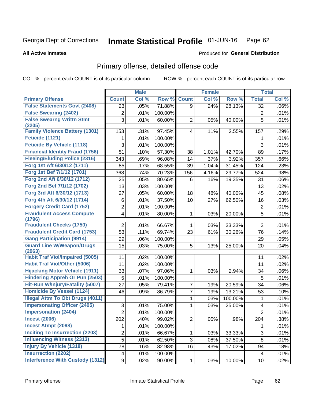### Inmate Statistical Profile 01-JUN-16 Page 62

### **All Active Inmates**

### **Produced for General Distribution**

## Primary offense, detailed offense code

COL % - percent each COUNT is of its particular column

|                                            |                | <b>Male</b> |         |                         | <b>Female</b> |         |                | <b>Total</b> |
|--------------------------------------------|----------------|-------------|---------|-------------------------|---------------|---------|----------------|--------------|
| <b>Primary Offense</b>                     | <b>Count</b>   | Col %       | Row %   | <b>Count</b>            | Col %         | Row %   | <b>Total</b>   | Col %        |
| <b>False Statements Govt (2408)</b>        | 23             | .05%        | 71.88%  | 9                       | .24%          | 28.13%  | 32             | .06%         |
| <b>False Swearing (2402)</b>               | $\mathbf 2$    | .01%        | 100.00% |                         |               |         | $\overline{c}$ | .01%         |
| <b>False Swearng Writtn Stmt</b>           | 3              | .01%        | 60.00%  | $\overline{2}$          | .05%          | 40.00%  | 5              | .01%         |
| (2205)                                     |                |             |         |                         |               |         |                |              |
| <b>Family Violence Battery (1301)</b>      | 153            | .31%        | 97.45%  | $\overline{\mathbf{4}}$ | .11%          | 2.55%   | 157            | .29%         |
| Feticide (1121)                            | 1              | .01%        | 100.00% |                         |               |         | 1              | .01%         |
| <b>Feticide By Vehicle (1118)</b>          | 3              | .01%        | 100.00% |                         |               |         | 3              | .01%         |
| <b>Financial Identity Fraud (1756)</b>     | 51             | .10%        | 57.30%  | 38                      | 1.01%         | 42.70%  | 89             | .17%         |
| <b>Fleeing/Eluding Police (2316)</b>       | 343            | .69%        | 96.08%  | 14                      | .37%          | 3.92%   | 357            | .66%         |
| Forg 1st Aft 6/30/12 (1711)                | 85             | .17%        | 68.55%  | 39                      | 1.04%         | 31.45%  | 124            | .23%         |
| Forg 1st Bef 7/1/12 (1701)                 | 368            | .74%        | 70.23%  | 156                     | 4.16%         | 29.77%  | 524            | .98%         |
| Forg 2nd Aft 6/30/12 (1712)                | 25             | .05%        | 80.65%  | 6                       | .16%          | 19.35%  | 31             | .06%         |
| Forg 2nd Bef 7/1/12 (1702)                 | 13             | .03%        | 100.00% |                         |               |         | 13             | .02%         |
| Forg 3rd Aft 6/30/12 (1713)                | 27             | .05%        | 60.00%  | 18                      | .48%          | 40.00%  | 45             | .08%         |
| Forg 4th Aft 6/30/12 (1714)                | 6              | .01%        | 37.50%  | 10                      | .27%          | 62.50%  | 16             | .03%         |
| <b>Forgery Credit Card (1752)</b>          | $\overline{2}$ | .01%        | 100.00% |                         |               |         | $\overline{2}$ | .01%         |
| <b>Fraudulent Access Compute</b>           | 4              | .01%        | 80.00%  | 1                       | .03%          | 20.00%  | 5              | .01%         |
| (1796)                                     |                |             |         |                         |               |         |                |              |
| <b>Fraudulent Checks (1750)</b>            | $\overline{2}$ | .01%        | 66.67%  | 1                       | .03%          | 33.33%  | 3              | .01%         |
| <b>Fraudulent Credit Card (1753)</b>       | 53             | .11%        | 69.74%  | 23                      | .61%          | 30.26%  | 76             | .14%         |
| <b>Gang Participation (9914)</b>           | 29             | .06%        | 100.00% |                         |               |         | 29             | .05%         |
| <b>Guard Line W/Weapon/Drugs</b><br>(2963) | 15             | .03%        | 75.00%  | 5                       | .13%          | 25.00%  | 20             | .04%         |
| <b>Habit Traf Viol/Impaired (5005)</b>     | 11             | .02%        | 100.00% |                         |               |         | 11             | .02%         |
| <b>Habit Traf Viol/Other (5006)</b>        | 11             | .02%        | 100.00% |                         |               |         | 11             | .02%         |
| <b>Hijacking Motor Vehicle (1911)</b>      | 33             | .07%        | 97.06%  | 1                       | .03%          | 2.94%   | 34             | .06%         |
| <b>Hindering Appreh Or Pun (2503)</b>      | 5              | .01%        | 100.00% |                         |               |         | $\overline{5}$ | .01%         |
| Hit-Run W/Injury/Fatality (5007)           | 27             | .05%        | 79.41%  | $\overline{7}$          | .19%          | 20.59%  | 34             | .06%         |
| <b>Homicide By Vessel (1124)</b>           | 46             | .09%        | 86.79%  | $\overline{7}$          | .19%          | 13.21%  | 53             | .10%         |
| <b>Illegal Attm To Obt Drugs (4011)</b>    |                |             |         | 1                       | .03%          | 100.00% | 1              | .01%         |
| <b>Impersonating Officer (2405)</b>        | 3              | .01%        | 75.00%  | 1                       | .03%          | 25.00%  | 4              | .01%         |
| <b>Impersonation (2404)</b>                | $\overline{2}$ | .01%        | 100.00% |                         |               |         | $\overline{2}$ | .01%         |
| <b>Incest (2006)</b>                       | 202            | .40%        | 99.02%  | $\overline{2}$          | .05%          | .98%    | 204            | .38%         |
| <b>Incest Atmpt (2098)</b>                 | 1              | .01%        | 100.00% |                         |               |         |                | .01%         |
| <b>Inciting To Insurrection (2203)</b>     | $\overline{c}$ | .01%        | 66.67%  | 1                       | .03%          | 33.33%  | 3              | .01%         |
| <b>Influencing Witness (2313)</b>          | 5              | .01%        | 62.50%  | 3                       | .08%          | 37.50%  | 8              | .01%         |
| <b>Injury By Vehicle (1318)</b>            | 78             | .16%        | 82.98%  | 16                      | .43%          | 17.02%  | 94             | .18%         |
| <b>Insurrection (2202)</b>                 | 4              | .01%        | 100.00% |                         |               |         | 4              | .01%         |
| <b>Interference With Custody (1312)</b>    | 9              | .02%        | 90.00%  | $\mathbf{1}$            | .03%          | 10.00%  | 10             | .02%         |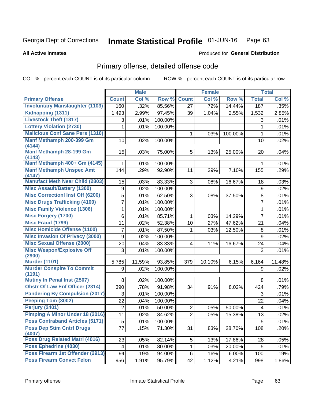### Inmate Statistical Profile 01-JUN-16 Page 63

**All Active Inmates** 

## **Produced for General Distribution**

# Primary offense, detailed offense code

COL % - percent each COUNT is of its particular column

|                                            |              | <b>Male</b> |         |                | <b>Female</b> |         |                 | <b>Total</b> |
|--------------------------------------------|--------------|-------------|---------|----------------|---------------|---------|-----------------|--------------|
| <b>Primary Offense</b>                     | <b>Count</b> | Col %       | Row %   | <b>Count</b>   | Col %         | Row %   | <b>Total</b>    | Col %        |
| <b>Involuntary Manslaughter (1103)</b>     | 160          | .32%        | 85.56%  | 27             | .72%          | 14.44%  | 187             | .35%         |
| Kidnapping (1311)                          | 1,493        | 2.99%       | 97.45%  | 39             | 1.04%         | 2.55%   | 1,532           | 2.85%        |
| <b>Livestock Theft (1817)</b>              | 3            | .01%        | 100.00% |                |               |         | 3               | .01%         |
| <b>Lottery Violation (2730)</b>            | 1            | .01%        | 100.00% |                |               |         | $\mathbf{1}$    | .01%         |
| <b>Malicious Conf Sane Pers (1310)</b>     |              |             |         | $\mathbf 1$    | .03%          | 100.00% | $\mathbf{1}$    | .01%         |
| Manf Methamph 200-399 Gm<br>(4144)         | 10           | .02%        | 100.00% |                |               |         | 10              | .02%         |
| <b>Manf Methamph 28-199 Gm</b><br>(4143)   | 15           | .03%        | 75.00%  | 5              | .13%          | 25.00%  | 20              | .04%         |
| Manf Methamph 400+ Gm (4145)               | 1            | .01%        | 100.00% |                |               |         | 1               | .01%         |
| <b>Manf Methamph Unspec Amt</b><br>(4147)  | 144          | .29%        | 92.90%  | 11             | .29%          | 7.10%   | 155             | .29%         |
| <b>Manufact Meth Near Child (2803)</b>     | 15           | .03%        | 83.33%  | 3              | .08%          | 16.67%  | 18              | .03%         |
| <b>Misc Assault/Battery (1300)</b>         | 9            | .02%        | 100.00% |                |               |         | $9\,$           | .02%         |
| <b>Misc Correctionl Inst Off (6200)</b>    | 5            | .01%        | 62.50%  | 3              | .08%          | 37.50%  | 8               | .01%         |
| <b>Misc Drugs Trafficking (4100)</b>       | 7            | .01%        | 100.00% |                |               |         | 7               | .01%         |
| <b>Misc Family Violence (1306)</b>         | 1            | .01%        | 100.00% |                |               |         | $\mathbf{1}$    | .01%         |
| <b>Misc Forgery (1700)</b>                 | 6            | .01%        | 85.71%  | $\mathbf 1$    | .03%          | 14.29%  | $\overline{7}$  | .01%         |
| <b>Misc Fraud (1799)</b>                   | 11           | .02%        | 52.38%  | 10             | .27%          | 47.62%  | 21              | .04%         |
| <b>Misc Homicide Offense (1100)</b>        | 7            | .01%        | 87.50%  | 1              | .03%          | 12.50%  | 8               | .01%         |
| <b>Misc Invasion Of Privacy (3000)</b>     | 9            | .02%        | 100.00% |                |               |         | 9               | .02%         |
| <b>Misc Sexual Offense (2000)</b>          | 20           | .04%        | 83.33%  | 4              | .11%          | 16.67%  | 24              | .04%         |
| <b>Misc Weapon/Explosive Off</b>           | 3            | .01%        | 100.00% |                |               |         | 3               | .01%         |
| (2900)<br><b>Murder (1101)</b>             | 5,785        | 11.59%      | 93.85%  | 379            | 10.10%        | 6.15%   | 6,164           | 11.48%       |
| <b>Murder Conspire To Commit</b>           | 9            | .02%        | 100.00% |                |               |         | 9               | .02%         |
| (1191)                                     |              |             |         |                |               |         |                 |              |
| <b>Mutiny In Penal Inst (2507)</b>         | 8            | .02%        | 100.00% |                |               |         | 8               | .01%         |
| <b>Obstr Of Law Enf Officer (2314)</b>     | 390          | .78%        | 91.98%  | 34             | .91%          | 8.02%   | 424             | .79%         |
| <b>Pandering By Compulsion (2017)</b>      | 3            | .01%        | 100.00% |                |               |         | 3               | .01%         |
| Peeping Tom (3002)                         | 22           | .04%        | 100.00% |                |               |         | 22              | .04%         |
| <b>Perjury (2401)</b>                      | 2            | .01%        | 50.00%  | $\overline{2}$ | .05%          | 50.00%  | 4               | .01%         |
| Pimping A Minor Under 18 (2016)            | 11           | .02%        | 84.62%  | $\overline{2}$ | .05%          | 15.38%  | 13              | .02%         |
| <b>Poss Contraband Articles (5171)</b>     | 5            | .01%        | 100.00% |                |               |         | 5               | .01%         |
| <b>Poss Dep Stim Cntrf Drugs</b><br>(4007) | 77           | .15%        | 71.30%  | 31             | .83%          | 28.70%  | 108             | .20%         |
| Poss Drug Related Matrl (4016)             | 23           | .05%        | 82.14%  | 5              | .13%          | 17.86%  | 28              | .05%         |
| Poss Ephedrine (4030)                      | 4            | .01%        | 80.00%  | $\mathbf{1}$   | .03%          | 20.00%  | $5\phantom{.0}$ | .01%         |
| Poss Firearm 1st Offender (2913)           | 94           | .19%        | 94.00%  | 6              | .16%          | 6.00%   | 100             | .19%         |
| <b>Poss Firearm Convct Felon</b>           | 956          | 1.91%       | 95.79%  | 42             | 1.12%         | 4.21%   | 998             | 1.86%        |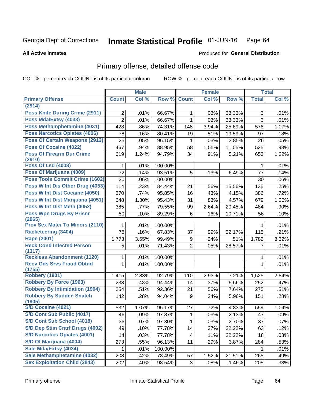### Inmate Statistical Profile 01-JUN-16 Page 64

**All Active Inmates** 

## **Produced for General Distribution**

# Primary offense, detailed offense code

COL % - percent each COUNT is of its particular column

|                                            |                | <b>Male</b> |         |                | <b>Female</b> |        |                | <b>Total</b> |
|--------------------------------------------|----------------|-------------|---------|----------------|---------------|--------|----------------|--------------|
| <b>Primary Offense</b>                     | <b>Count</b>   | Col %       | Row %   | <b>Count</b>   | Col %         | Row %  | <b>Total</b>   | Col %        |
| (2914)                                     |                |             |         |                |               |        |                |              |
| <b>Poss Knife During Crime (2911)</b>      | $\overline{2}$ | .01%        | 66.67%  | 1              | .03%          | 33.33% | 3              | .01%         |
| Poss Mda/Extsy (4033)                      | $\overline{2}$ | .01%        | 66.67%  | 1              | .03%          | 33.33% | $\overline{3}$ | .01%         |
| Poss Methamphetamine (4031)                | 428            | .86%        | 74.31%  | 148            | 3.94%         | 25.69% | 576            | 1.07%        |
| <b>Poss Narcotics Opiates (4006)</b>       | 78             | .16%        | 80.41%  | 19             | .51%          | 19.59% | 97             | .18%         |
| <b>Poss Of Certain Weapons (2912)</b>      | 25             | .05%        | 96.15%  | 1              | .03%          | 3.85%  | 26             | .05%         |
| Poss Of Cocaine (4022)                     | 467            | .94%        | 88.95%  | 58             | 1.55%         | 11.05% | 525            | .98%         |
| <b>Poss Of Firearm Dur Crime</b><br>(2910) | 619            | 1.24%       | 94.79%  | 34             | .91%          | 5.21%  | 653            | 1.22%        |
| <b>Poss Of Lsd (4008)</b>                  | 1              | .01%        | 100.00% |                |               |        | 1              | .01%         |
| Poss Of Marijuana (4009)                   | 72             | .14%        | 93.51%  | 5              | .13%          | 6.49%  | 77             | .14%         |
| Poss Tools Commit Crime (1602)             | 30             | .06%        | 100.00% |                |               |        | 30             | .06%         |
| Poss W Int Dis Other Drug (4053)           | 114            | .23%        | 84.44%  | 21             | .56%          | 15.56% | 135            | .25%         |
| <b>Poss W Int Dist Cocaine (4050)</b>      | 370            | .74%        | 95.85%  | 16             | .43%          | 4.15%  | 386            | .72%         |
| Poss W Int Dist Marijuana (4051)           | 648            | 1.30%       | 95.43%  | 31             | .83%          | 4.57%  | 679            | 1.26%        |
| Poss W Int Dist Meth (4052)                | 385            | .77%        | 79.55%  | 99             | 2.64%         | 20.45% | 484            | .90%         |
| <b>Poss Wpn Drugs By Prisnr</b>            | 50             | .10%        | 89.29%  | 6              | .16%          | 10.71% | 56             | .10%         |
| (2965)                                     |                |             |         |                |               |        |                |              |
| <b>Prov Sex Mater To Minors (2110)</b>     | 1              | .01%        | 100.00% |                |               |        | 1              | .01%         |
| <b>Racketeering (3404)</b>                 | 78             | .16%        | 67.83%  | 37             | .99%          | 32.17% | 115            | .21%         |
| <b>Rape (2001)</b>                         | 1,773          | 3.55%       | 99.49%  | 9              | .24%          | .51%   | 1,782          | 3.32%        |
| <b>Reck Cond Infected Person</b><br>(1317) | 5              | .01%        | 71.43%  | $\overline{2}$ | .05%          | 28.57% | 7              | .01%         |
| <b>Reckless Abandonment (1120)</b>         | 1              | .01%        | 100.00% |                |               |        | 1              | .01%         |
| <b>Recv Gds Srvs Fraud Obtnd</b>           | $\mathbf{1}$   | .01%        | 100.00% |                |               |        | 1              | .01%         |
| (1755)                                     |                |             |         |                |               |        |                |              |
| <b>Robbery (1901)</b>                      | 1,415          | 2.83%       | 92.79%  | 110            | 2.93%         | 7.21%  | 1,525          | 2.84%        |
| <b>Robbery By Force (1903)</b>             | 238            | .48%        | 94.44%  | 14             | .37%          | 5.56%  | 252            | .47%         |
| <b>Robbery By Intimidation (1904)</b>      | 254            | .51%        | 92.36%  | 21             | .56%          | 7.64%  | 275            | .51%         |
| <b>Robbery By Sudden Snatch</b><br>(1905)  | 142            | .28%        | 94.04%  | 9              | .24%          | 5.96%  | 151            | .28%         |
| <b>S/D Cocaine (4021)</b>                  | 532            | 1.07%       | 95.17%  | 27             | .72%          | 4.83%  | 559            | 1.04%        |
| S/D Cont Sub Public (4017)                 | 46             | .09%        | 97.87%  | 1              | .03%          | 2.13%  | 47             | .09%         |
| S/D Cont Sub School (4018)                 | 36             | .07%        | 97.30%  | 1              | .03%          | 2.70%  | 37             | .07%         |
| S/D Dep Stim Cntrf Drugs (4002)            | 49             | .10%        | 77.78%  | 14             | .37%          | 22.22% | 63             | .12%         |
| <b>S/D Narcotics Opiates (4001)</b>        | 14             | .03%        | 77.78%  | 4              | .11%          | 22.22% | 18             | .03%         |
| S/D Of Marijuana (4004)                    | 273            | .55%        | 96.13%  | 11             | .29%          | 3.87%  | 284            | .53%         |
| Sale Mda/Extsy (4034)                      | 1              | .01%        | 100.00% |                |               |        |                | .01%         |
| Sale Methamphetamine (4032)                | 208            | .42%        | 78.49%  | 57             | 1.52%         | 21.51% | 265            | .49%         |
| <b>Sex Exploitation Child (2843)</b>       | 202            | .40%        | 98.54%  | 3 <sup>1</sup> | .08%          | 1.46%  | 205            | .38%         |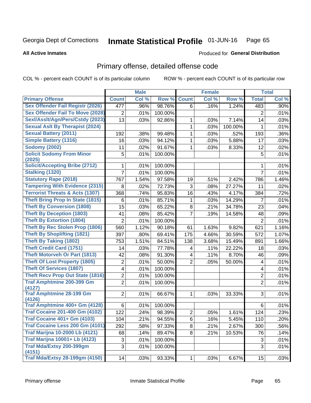### Inmate Statistical Profile 01-JUN-16 Page 65

**All Active Inmates** 

### Produced for General Distribution

## Primary offense, detailed offense code

COL % - percent each COUNT is of its particular column

|                                            |                | <b>Male</b> |         |                         | <b>Female</b> |         |                  | <b>Total</b> |
|--------------------------------------------|----------------|-------------|---------|-------------------------|---------------|---------|------------------|--------------|
| <b>Primary Offense</b>                     | <b>Count</b>   | Col %       | Row %   | <b>Count</b>            | Col %         | Row %   | <b>Total</b>     | Col %        |
| <b>Sex Offender Fail Registr (2026)</b>    | 477            | .96%        | 98.76%  | 6                       | .16%          | 1.24%   | 483              | .90%         |
| <b>Sex Offender Fail To Move (2028)</b>    | 2              | .01%        | 100.00% |                         |               |         | $\overline{2}$   | .01%         |
| Sexl/Asslt/Agn/Pers/Cstdy (2023)           | 13             | .03%        | 92.86%  | 1                       | .03%          | 7.14%   | 14               | .03%         |
| <b>Sexual Aslt By Therapist (2024)</b>     |                |             |         | $\mathbf{1}$            | .03%          | 100.00% | 1                | .01%         |
| <b>Sexual Battery (2011)</b>               | 192            | .38%        | 99.48%  | $\mathbf{1}$            | .03%          | .52%    | 193              | .36%         |
| <b>Simple Battery (1316)</b>               | 16             | .03%        | 94.12%  | 1                       | .03%          | 5.88%   | 17               | .03%         |
| <b>Sodomy (2002)</b>                       | 11             | .02%        | 91.67%  | 1                       | .03%          | 8.33%   | 12               | .02%         |
| <b>Solicit Sodomy From Minor</b><br>(2025) | 5              | .01%        | 100.00% |                         |               |         | 5                | .01%         |
| <b>Solicit/Accepting Bribe (2712)</b>      | 1              | .01%        | 100.00% |                         |               |         | 1                | .01%         |
| Stalking (1320)                            | 7              | .01%        | 100.00% |                         |               |         | $\overline{7}$   | .01%         |
| <b>Statutory Rape (2018)</b>               | 767            | 1.54%       | 97.58%  | 19                      | .51%          | 2.42%   | 786              | 1.46%        |
| <b>Tampering With Evidence (2315)</b>      | 8              | .02%        | 72.73%  | 3                       | .08%          | 27.27%  | 11               | .02%         |
| <b>Terrorist Threats &amp; Acts (1307)</b> | 368            | .74%        | 95.83%  | 16                      | .43%          | 4.17%   | 384              | .72%         |
| <b>Theft Bring Prop In State (1815)</b>    | 6              | .01%        | 85.71%  | 1                       | .03%          | 14.29%  | $\overline{7}$   | .01%         |
| <b>Theft By Conversion (1808)</b>          | 15             | .03%        | 65.22%  | 8                       | .21%          | 34.78%  | 23               | .04%         |
| <b>Theft By Deception (1803)</b>           | 41             | .08%        | 85.42%  | $\overline{7}$          | .19%          | 14.58%  | 48               | .09%         |
| <b>Theft By Extortion (1804)</b>           | $\overline{2}$ | .01%        | 100.00% |                         |               |         | $\overline{2}$   | .01%         |
| <b>Theft By Rec Stolen Prop (1806)</b>     | 560            | 1.12%       | 90.18%  | 61                      | 1.63%         | 9.82%   | 621              | 1.16%        |
| <b>Theft By Shoplifting (1821)</b>         | 397            | .80%        | 69.41%  | 175                     | 4.66%         | 30.59%  | 572              | 1.07%        |
| <b>Theft By Taking (1802)</b>              | 753            | 1.51%       | 84.51%  | 138                     | 3.68%         | 15.49%  | 891              | 1.66%        |
| <b>Theft Credit Card (1751)</b>            | 14             | .03%        | 77.78%  | 4                       | .11%          | 22.22%  | 18               | .03%         |
| <b>Theft Motorveh Or Part (1813)</b>       | 42             | .08%        | 91.30%  | $\overline{\mathbf{4}}$ | .11%          | 8.70%   | 46               | .09%         |
| <b>Theft Of Lost Property (1805)</b>       | $\overline{2}$ | .01%        | 50.00%  | $\overline{2}$          | .05%          | 50.00%  | 4                | .01%         |
| <b>Theft Of Services (1807)</b>            | 4              | .01%        | 100.00% |                         |               |         | 4                | .01%         |
| <b>Theft Recv Prop Out State (1816)</b>    | $\overline{c}$ | .01%        | 100.00% |                         |               |         | $\boldsymbol{2}$ | .01%         |
| <b>Traf Amphtmine 200-399 Gm</b>           | $\overline{2}$ | .01%        | 100.00% |                         |               |         | $\overline{2}$   | .01%         |
| (4127)<br><b>Traf Amphtmine 28-199 Gm</b>  | $\overline{2}$ | .01%        | 66.67%  | $\mathbf{1}$            | .03%          | 33.33%  | 3                | .01%         |
| (4126)<br>Traf Amphtmine 400+ Gm (4128)    | 6              | .01%        | 100.00% |                         |               |         | 6                | .01%         |
| <b>Traf Cocaine 201-400 Gm (4102)</b>      | 122            | .24%        | 98.39%  | $\overline{2}$          | .05%          | 1.61%   | 124              | .23%         |
| <b>Traf Cocaine 401+ Gm (4103)</b>         | 104            | .21%        | 94.55%  | 6                       | .16%          | 5.45%   | 110              | .20%         |
| Traf Cocaine Less 200 Gm (4101)            | 292            | .58%        | 97.33%  | 8                       | .21%          | 2.67%   | 300              | .56%         |
| <b>Traf Marijna 10-2000 Lb (4121)</b>      | 68             | .14%        | 89.47%  | 8                       | .21%          | 10.53%  | 76               | .14%         |
| <b>Traf Marijna 10001+ Lb (4123)</b>       | 3              | .01%        | 100.00% |                         |               |         | $\sqrt{3}$       | .01%         |
| Traf Mda/Extsy 200-399gm                   | 3              | .01%        |         |                         |               |         | 3                | .01%         |
| (4151)                                     |                |             | 100.00% |                         |               |         |                  |              |
| <b>Traf Mda/Extsy 28-199gm (4150)</b>      | 14             | .03%        | 93.33%  | 1                       | .03%          | 6.67%   | 15               | .03%         |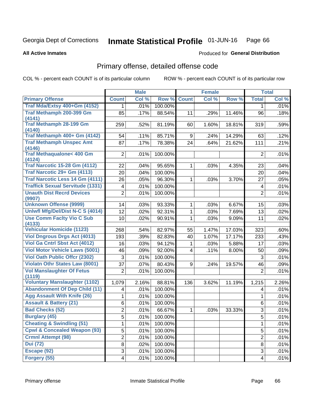### Inmate Statistical Profile 01-JUN-16 Page 66

### **All Active Inmates**

## **Produced for General Distribution**

# Primary offense, detailed offense code

COL % - percent each COUNT is of its particular column

|                                          |                         | <b>Male</b> |         |              | <b>Female</b> |        |                | <b>Total</b> |
|------------------------------------------|-------------------------|-------------|---------|--------------|---------------|--------|----------------|--------------|
| <b>Primary Offense</b>                   | <b>Count</b>            | Col %       | Row %   | <b>Count</b> | Col %         | Row %  | <b>Total</b>   | Col %        |
| Traf Mda/Extsy 400+Gm (4152)             | 1.                      | .01%        | 100.00% |              |               |        | 1              | .01%         |
| Traf Methamph 200-399 Gm                 | 85                      | .17%        | 88.54%  | 11           | .29%          | 11.46% | 96             | .18%         |
| (4141)                                   |                         |             |         |              |               |        |                |              |
| <b>Traf Methamph 28-199 Gm</b><br>(4140) | 259                     | .52%        | 81.19%  | 60           | 1.60%         | 18.81% | 319            | .59%         |
| Traf Methamph 400+ Gm (4142)             | 54                      | .11%        | 85.71%  | 9            | .24%          | 14.29% | 63             | .12%         |
| <b>Traf Methamph Unspec Amt</b>          | 87                      | .17%        | 78.38%  | 24           | .64%          | 21.62% | 111            | .21%         |
| (4146)                                   |                         |             |         |              |               |        |                |              |
| <b>Traf Methaqualone&lt; 400 Gm</b>      | $\overline{2}$          | .01%        | 100.00% |              |               |        | $\overline{2}$ | .01%         |
| (4124)                                   |                         |             |         |              |               |        |                |              |
| <b>Traf Narcotic 15-28 Gm (4112)</b>     | 22                      | .04%        | 95.65%  | $\mathbf{1}$ | .03%          | 4.35%  | 23             | .04%         |
| Traf Narcotic 29+ Gm (4113)              | 20                      | .04%        | 100.00% |              |               |        | 20             | .04%         |
| Traf Narcotic Less 14 Gm (4111)          | 26                      | .05%        | 96.30%  | 1            | .03%          | 3.70%  | 27             | .05%         |
| <b>Traffick Sexual Servitude (1331)</b>  | $\overline{\mathbf{4}}$ | .01%        | 100.00% |              |               |        | 4              | .01%         |
| <b>Unauth Dist Recrd Devices</b>         | $\overline{2}$          | .01%        | 100.00% |              |               |        | $\overline{2}$ | .01%         |
| (9907)<br><b>Unknown Offense (9999)</b>  | 14                      | .03%        | 93.33%  | 1            | .03%          | 6.67%  | 15             | .03%         |
| Uniwfl Mfg/Del/Dist N-C S (4014)         | $\overline{12}$         | .02%        | 92.31%  | $\mathbf{1}$ | .03%          | 7.69%  | 13             | .02%         |
| <b>Use Comm Facity Vio C Sub</b>         | 10                      | .02%        | 90.91%  | 1            | .03%          | 9.09%  | 11             | .02%         |
| (4133)                                   |                         |             |         |              |               |        |                |              |
| <b>Vehicular Homicide (1123)</b>         | 268                     | .54%        | 82.97%  | 55           | 1.47%         | 17.03% | 323            | .60%         |
| <b>Viol Dngrous Drgs Act (4013)</b>      | 193                     | .39%        | 82.83%  | 40           | 1.07%         | 17.17% | 233            | .43%         |
| <b>Viol Ga Cntrl Sbst Act (4012)</b>     | 16                      | .03%        | 94.12%  | 1            | .03%          | 5.88%  | 17             | .03%         |
| <b>Viol Motor Vehicle Laws (5001)</b>    | 46                      | .09%        | 92.00%  | 4            | .11%          | 8.00%  | 50             | .09%         |
| <b>Viol Oath Public Offcr (2302)</b>     | 3                       | .01%        | 100.00% |              |               |        | 3              | .01%         |
| <b>Violatn Othr States Law (8001)</b>    | 37                      | .07%        | 80.43%  | 9            | .24%          | 19.57% | 46             | .09%         |
| <b>Vol Manslaughter Of Fetus</b>         | $\overline{2}$          | .01%        | 100.00% |              |               |        | $\overline{2}$ | .01%         |
| (1119)                                   |                         |             |         |              |               |        |                |              |
| <b>Voluntary Manslaughter (1102)</b>     | 1,079                   | 2.16%       | 88.81%  | 136          | 3.62%         | 11.19% | 1,215          | 2.26%        |
| <b>Abandonment Of Dep Child (11)</b>     | $\overline{\mathbf{4}}$ | .01%        | 100.00% |              |               |        | 4              | .01%         |
| <b>Agg Assault With Knife (26)</b>       | 1                       | .01%        | 100.00% |              |               |        | 1              | .01%         |
| <b>Assault &amp; Battery (21)</b>        | 6                       | .01%        | 100.00% |              |               |        | 6              | .01%         |
| <b>Bad Checks (52)</b>                   | $\overline{2}$          | .01%        | 66.67%  | 1            | .03%          | 33.33% | 3              | .01%         |
| <b>Burglary (45)</b>                     | $\overline{5}$          | .01%        | 100.00% |              |               |        | $\overline{5}$ | .01%         |
| <b>Cheating &amp; Swindling (51)</b>     | $\mathbf{1}$            | .01%        | 100.00% |              |               |        | 1              | .01%         |
| <b>Cpwl &amp; Concealed Weapon (93)</b>  | 5                       | .01%        | 100.00% |              |               |        | 5              | .01%         |
| <b>Crmnl Attempt (98)</b>                | $\overline{2}$          | .01%        | 100.00% |              |               |        | $\overline{2}$ | .01%         |
| <b>Dui</b> (72)                          | $\overline{8}$          | .02%        | 100.00% |              |               |        | 8              | .01%         |
| Escape (92)                              | 3                       | .01%        | 100.00% |              |               |        | 3              | .01%         |
| Forgery (55)                             | $\overline{\mathbf{4}}$ | .01%        | 100.00% |              |               |        | 4              | .01%         |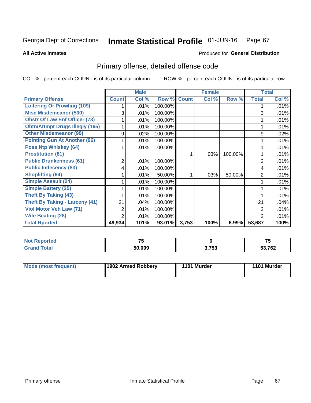### Inmate Statistical Profile 01-JUN-16 Page 67

### **All Active Inmates**

# **Produced for General Distribution**

# Primary offense, detailed offense code

COL % - percent each COUNT is of its particular column

|                                        |                | <b>Male</b> |         |              | <b>Female</b> |         |                | <b>Total</b> |
|----------------------------------------|----------------|-------------|---------|--------------|---------------|---------|----------------|--------------|
| <b>Primary Offense</b>                 | <b>Count</b>   | Col %       | Row %   | <b>Count</b> | Col %         | Row %   | <b>Total</b>   | Col %        |
| <b>Loitering Or Prowling (109)</b>     |                | .01%        | 100.00% |              |               |         |                | .01%         |
| <b>Misc Misdemeanor (500)</b>          | 3              | .01%        | 100.00% |              |               |         | 3              | .01%         |
| <b>Obstr Of Law Enf Officer (73)</b>   |                | .01%        | 100.00% |              |               |         |                | .01%         |
| <b>Obtn/Attmpt Drugs Illegly (165)</b> |                | .01%        | 100.00% |              |               |         |                | .01%         |
| <b>Other Misdemeanor (99)</b>          | 9              | .02%        | 100.00% |              |               |         | 9              | .02%         |
| <b>Pointing Gun At Another (96)</b>    |                | .01%        | 100.00% |              |               |         |                | .01%         |
| <b>Poss Ntp Whiskey (64)</b>           |                | .01%        | 100.00% |              |               |         |                | .01%         |
| <b>Prostitution (81)</b>               |                |             |         |              | .03%          | 100.00% |                | .01%         |
| <b>Public Drunkenness (61)</b>         | $\overline{2}$ | .01%        | 100.00% |              |               |         | $\overline{2}$ | .01%         |
| <b>Public Indecency (83)</b>           | 4              | .01%        | 100.00% |              |               |         | 4              | .01%         |
| <b>Shoplifting (94)</b>                |                | .01%        | 50.00%  |              | .03%          | 50.00%  | 2              | .01%         |
| Simple Assault (24)                    |                | .01%        | 100.00% |              |               |         |                | .01%         |
| <b>Simple Battery (25)</b>             |                | .01%        | 100.00% |              |               |         |                | .01%         |
| <b>Theft By Taking (43)</b>            |                | .01%        | 100.00% |              |               |         |                | .01%         |
| <b>Theft By Taking - Larceny (41)</b>  | 21             | .04%        | 100.00% |              |               |         | 21             | .04%         |
| Viol Motor Veh Law (71)                | 2              | .01%        | 100.00% |              |               |         | 2              | .01%         |
| <b>Wife Beating (28)</b>               | 2              | .01%        | 100.00% |              |               |         | 2              | .01%         |
| <b>Total Rported</b>                   | 49,934         | 101%        | 93.01%  | 3,753        | 100%          | 6.99%   | 53,687         | 100%         |

| portea<br>Nt | $\rightarrow$ |       | --     |
|--------------|---------------|-------|--------|
| $\sim$       | 50.009        | 3,753 | 53,762 |

| <b>Mode (most frequent)</b> | 1902 Armed Robbery | 1101 Murder | 1101 Murder |
|-----------------------------|--------------------|-------------|-------------|
|-----------------------------|--------------------|-------------|-------------|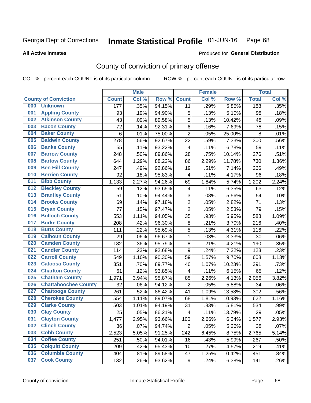#### Inmate Statistical Profile 01-JUN-16 Page 68

**All Active Inmates** 

### Produced for General Distribution

# County of conviction of primary offense

COL % - percent each COUNT is of its particular column

|     |                             |              | <b>Male</b> |        |                          | <b>Female</b> |        |              | <b>Total</b> |
|-----|-----------------------------|--------------|-------------|--------|--------------------------|---------------|--------|--------------|--------------|
|     | <b>County of Conviction</b> | <b>Count</b> | Col %       | Row %  | <b>Count</b>             | Col %         | Row %  | <b>Total</b> | Col %        |
| 000 | <b>Unknown</b>              | 177          | .35%        | 94.15% | 11                       | .29%          | 5.85%  | 188          | .35%         |
| 001 | <b>Appling County</b>       | 93           | .19%        | 94.90% | 5                        | .13%          | 5.10%  | 98           | .18%         |
| 002 | <b>Atkinson County</b>      | 43           | .09%        | 89.58% | 5                        | .13%          | 10.42% | 48           | .09%         |
| 003 | <b>Bacon County</b>         | 72           | .14%        | 92.31% | 6                        | .16%          | 7.69%  | 78           | .15%         |
| 004 | <b>Baker County</b>         | 6            | .01%        | 75.00% | $\overline{2}$           | .05%          | 25.00% | 8            | .01%         |
| 005 | <b>Baldwin County</b>       | 278          | .56%        | 92.67% | 22                       | .59%          | 7.33%  | 300          | .56%         |
| 006 | <b>Banks County</b>         | 55           | .11%        | 93.22% | $\overline{4}$           | .11%          | 6.78%  | 59           | .11%         |
| 007 | <b>Barrow County</b>        | 248          | .50%        | 89.86% | 28                       | .75%          | 10.14% | 276          | .51%         |
| 008 | <b>Bartow County</b>        | 644          | 1.29%       | 88.22% | 86                       | 2.29%         | 11.78% | 730          | 1.36%        |
| 009 | <b>Ben Hill County</b>      | 247          | .49%        | 92.86% | 19                       | .51%          | 7.14%  | 266          | .49%         |
| 010 | <b>Berrien County</b>       | 92           | .18%        | 95.83% | $\overline{\mathbf{4}}$  | .11%          | 4.17%  | 96           | .18%         |
| 011 | <b>Bibb County</b>          | 1,133        | 2.27%       | 94.26% | 69                       | 1.84%         | 5.74%  | 1,202        | 2.24%        |
| 012 | <b>Bleckley County</b>      | 59           | .12%        | 93.65% | 4                        | .11%          | 6.35%  | 63           | .12%         |
| 013 | <b>Brantley County</b>      | 51           | .10%        | 94.44% | 3                        | .08%          | 5.56%  | 54           | .10%         |
| 014 | <b>Brooks County</b>        | 69           | .14%        | 97.18% | $\overline{2}$           | .05%          | 2.82%  | 71           | .13%         |
| 015 | <b>Bryan County</b>         | 77           | .15%        | 97.47% | $\overline{2}$           | .05%          | 2.53%  | 79           | .15%         |
| 016 | <b>Bulloch County</b>       | 553          | 1.11%       | 94.05% | 35                       | .93%          | 5.95%  | 588          | 1.09%        |
| 017 | <b>Burke County</b>         | 208          | .42%        | 96.30% | 8                        | .21%          | 3.70%  | 216          | .40%         |
| 018 | <b>Butts County</b>         | 111          | .22%        | 95.69% | 5                        | .13%          | 4.31%  | 116          | .22%         |
| 019 | <b>Calhoun County</b>       | 29           | .06%        | 96.67% | 1                        | .03%          | 3.33%  | 30           | .06%         |
| 020 | <b>Camden County</b>        | 182          | .36%        | 95.79% | 8                        | .21%          | 4.21%  | 190          | .35%         |
| 021 | <b>Candler County</b>       | 114          | .23%        | 92.68% | 9                        | .24%          | 7.32%  | 123          | .23%         |
| 022 | <b>Carroll County</b>       | 549          | 1.10%       | 90.30% | 59                       | 1.57%         | 9.70%  | 608          | 1.13%        |
| 023 | <b>Catoosa County</b>       | 351          | .70%        | 89.77% | 40                       | 1.07%         | 10.23% | 391          | .73%         |
| 024 | <b>Charlton County</b>      | 61           | .12%        | 93.85% | 4                        | .11%          | 6.15%  | 65           | .12%         |
| 025 | <b>Chatham County</b>       | 1,971        | 3.94%       | 95.87% | 85                       | 2.26%         | 4.13%  | 2,056        | 3.82%        |
| 026 | <b>Chattahoochee County</b> | 32           | .06%        | 94.12% | $\overline{2}$           | .05%          | 5.88%  | 34           | .06%         |
| 027 | <b>Chattooga County</b>     | 261          | .52%        | 86.42% | 41                       | 1.09%         | 13.58% | 302          | .56%         |
| 028 | <b>Cherokee County</b>      | 554          | 1.11%       | 89.07% | 68                       | 1.81%         | 10.93% | 622          | 1.16%        |
| 029 | <b>Clarke County</b>        | 503          | 1.01%       | 94.19% | 31                       | .83%          | 5.81%  | 534          | .99%         |
| 030 | <b>Clay County</b>          | 25           | .05%        | 86.21% | $\overline{\mathcal{A}}$ | .11%          | 13.79% | 29           | .05%         |
| 031 | <b>Clayton County</b>       | 1,477        | 2.95%       | 93.66% | 100                      | 2.66%         | 6.34%  | 1,577        | 2.93%        |
| 032 | <b>Clinch County</b>        | 36           | .07%        | 94.74% | $\overline{2}$           | .05%          | 5.26%  | 38           | .07%         |
| 033 | <b>Cobb County</b>          | 2,523        | 5.05%       | 91.25% | 242                      | 6.45%         | 8.75%  | 2,765        | 5.14%        |
| 034 | <b>Coffee County</b>        | 251          | .50%        | 94.01% | 16                       | .43%          | 5.99%  | 267          | .50%         |
| 035 | <b>Colquitt County</b>      | 209          | .42%        | 95.43% | 10                       | .27%          | 4.57%  | 219          | .41%         |
| 036 | <b>Columbia County</b>      | 404          | .81%        | 89.58% | 47                       | 1.25%         | 10.42% | 451          | .84%         |
| 037 | <b>Cook County</b>          | 132          | .26%        | 93.62% | 9                        | .24%          | 6.38%  | 141          | .26%         |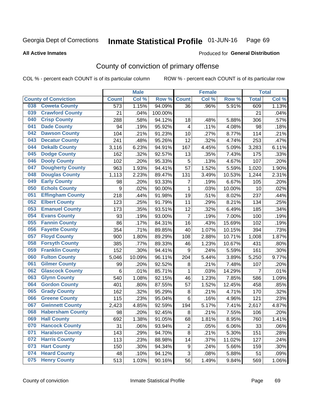#### Inmate Statistical Profile 01-JUN-16 Page 69

**All Active Inmates** 

### Produced for General Distribution

# County of conviction of primary offense

COL % - percent each COUNT is of its particular column

|     |                             |                  | <b>Male</b> |         |                | <b>Female</b> |        |                | <b>Total</b> |
|-----|-----------------------------|------------------|-------------|---------|----------------|---------------|--------|----------------|--------------|
|     | <b>County of Conviction</b> | <b>Count</b>     | Col %       | Row %   | <b>Count</b>   | Col %         | Row %  | <b>Total</b>   | Col %        |
| 038 | <b>Coweta County</b>        | $\overline{573}$ | 1.15%       | 94.09%  | 36             | .96%          | 5.91%  | 609            | 1.13%        |
| 039 | <b>Crawford County</b>      | 21               | .04%        | 100.00% |                |               |        | 21             | .04%         |
| 040 | <b>Crisp County</b>         | 288              | .58%        | 94.12%  | 18             | .48%          | 5.88%  | 306            | .57%         |
| 041 | <b>Dade County</b>          | 94               | .19%        | 95.92%  | 4              | .11%          | 4.08%  | 98             | .18%         |
| 042 | <b>Dawson County</b>        | 104              | .21%        | 91.23%  | 10             | .27%          | 8.77%  | 114            | .21%         |
| 043 | <b>Decatur County</b>       | 241              | .48%        | 95.26%  | 12             | .32%          | 4.74%  | 253            | .47%         |
| 044 | <b>Dekalb County</b>        | 3,116            | 6.23%       | 94.91%  | 167            | 4.45%         | 5.09%  | 3,283          | 6.11%        |
| 045 | <b>Dodge County</b>         | 162              | .32%        | 92.57%  | 13             | .35%          | 7.43%  | 175            | .33%         |
| 046 | <b>Dooly County</b>         | 102              | .20%        | 95.33%  | 5              | .13%          | 4.67%  | 107            | .20%         |
| 047 | <b>Dougherty County</b>     | 963              | 1.93%       | 94.41%  | 57             | 1.52%         | 5.59%  | 1,020          | 1.90%        |
| 048 | <b>Douglas County</b>       | 1,113            | 2.23%       | 89.47%  | 131            | 3.49%         | 10.53% | 1,244          | 2.31%        |
| 049 | <b>Early County</b>         | 98               | .20%        | 93.33%  | 7              | .19%          | 6.67%  | 105            | .20%         |
| 050 | <b>Echols County</b>        | $\boldsymbol{9}$ | .02%        | 90.00%  | 1              | .03%          | 10.00% | 10             | .02%         |
| 051 | <b>Effingham County</b>     | 218              | .44%        | 91.98%  | 19             | .51%          | 8.02%  | 237            | .44%         |
| 052 | <b>Elbert County</b>        | 123              | .25%        | 91.79%  | 11             | .29%          | 8.21%  | 134            | .25%         |
| 053 | <b>Emanuel County</b>       | 173              | .35%        | 93.51%  | 12             | .32%          | 6.49%  | 185            | .34%         |
| 054 | <b>Evans County</b>         | 93               | .19%        | 93.00%  | $\overline{7}$ | .19%          | 7.00%  | 100            | .19%         |
| 055 | <b>Fannin County</b>        | 86               | .17%        | 84.31%  | 16             | .43%          | 15.69% | 102            | .19%         |
| 056 | <b>Fayette County</b>       | 354              | .71%        | 89.85%  | 40             | 1.07%         | 10.15% | 394            | .73%         |
| 057 | <b>Floyd County</b>         | 900              | 1.80%       | 89.29%  | 108            | 2.88%         | 10.71% | 1,008          | 1.87%        |
| 058 | <b>Forsyth County</b>       | 385              | .77%        | 89.33%  | 46             | 1.23%         | 10.67% | 431            | .80%         |
| 059 | <b>Franklin County</b>      | 152              | .30%        | 94.41%  | 9              | .24%          | 5.59%  | 161            | .30%         |
| 060 | <b>Fulton County</b>        | 5,046            | 10.09%      | 96.11%  | 204            | 5.44%         | 3.89%  | 5,250          | 9.77%        |
| 061 | <b>Gilmer County</b>        | 99               | .20%        | 92.52%  | $\bf 8$        | .21%          | 7.48%  | 107            | .20%         |
| 062 | <b>Glascock County</b>      | $6\phantom{1}6$  | .01%        | 85.71%  | $\mathbf{1}$   | .03%          | 14.29% | $\overline{7}$ | .01%         |
| 063 | <b>Glynn County</b>         | 540              | 1.08%       | 92.15%  | 46             | 1.23%         | 7.85%  | 586            | 1.09%        |
| 064 | <b>Gordon County</b>        | 401              | .80%        | 87.55%  | 57             | 1.52%         | 12.45% | 458            | .85%         |
| 065 | <b>Grady County</b>         | 162              | .32%        | 95.29%  | $\bf 8$        | .21%          | 4.71%  | 170            | .32%         |
| 066 | <b>Greene County</b>        | 115              | .23%        | 95.04%  | 6              | .16%          | 4.96%  | 121            | .23%         |
| 067 | <b>Gwinnett County</b>      | 2,423            | 4.85%       | 92.59%  | 194            | 5.17%         | 7.41%  | 2,617          | 4.87%        |
| 068 | <b>Habersham County</b>     | 98               | .20%        | 92.45%  | $\,8\,$        | .21%          | 7.55%  | 106            | .20%         |
| 069 | <b>Hall County</b>          | 692              | 1.38%       | 91.05%  | 68             | 1.81%         | 8.95%  | 760            | 1.41%        |
| 070 | <b>Hancock County</b>       | 31               | .06%        | 93.94%  | $\overline{2}$ | .05%          | 6.06%  | 33             | .06%         |
| 071 | <b>Haralson County</b>      | 143              | .29%        | 94.70%  | 8              | .21%          | 5.30%  | 151            | .28%         |
| 072 | <b>Harris County</b>        | 113              | .23%        | 88.98%  | 14             | .37%          | 11.02% | 127            | .24%         |
| 073 | <b>Hart County</b>          | 150              | .30%        | 94.34%  | 9              | .24%          | 5.66%  | 159            | .30%         |
| 074 | <b>Heard County</b>         | 48               | .10%        | 94.12%  | 3              | .08%          | 5.88%  | 51             | .09%         |
| 075 | <b>Henry County</b>         | 513              | 1.03%       | 90.16%  | 56             | 1.49%         | 9.84%  | 569            | 1.06%        |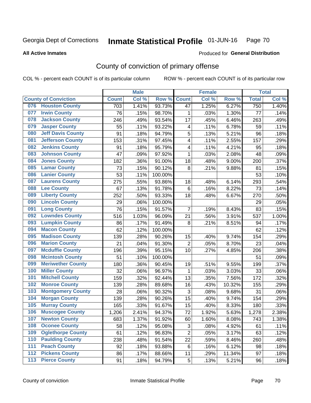#### Inmate Statistical Profile 01-JUN-16 Page 70

**All Active Inmates** 

### Produced for General Distribution

# County of conviction of primary offense

COL % - percent each COUNT is of its particular column

|     |                             |              | <b>Male</b> |         |                           | <b>Female</b> |        |              | <b>Total</b> |
|-----|-----------------------------|--------------|-------------|---------|---------------------------|---------------|--------|--------------|--------------|
|     | <b>County of Conviction</b> | <b>Count</b> | Col %       | Row %   | <b>Count</b>              | Col%          | Row %  | <b>Total</b> | Col %        |
| 076 | <b>Houston County</b>       | 703          | 1.41%       | 93.73%  | 47                        | 1.25%         | 6.27%  | 750          | 1.40%        |
| 077 | <b>Irwin County</b>         | 76           | .15%        | 98.70%  | 1                         | .03%          | 1.30%  | 77           | .14%         |
| 078 | <b>Jackson County</b>       | 246          | .49%        | 93.54%  | 17                        | .45%          | 6.46%  | 263          | .49%         |
| 079 | <b>Jasper County</b>        | 55           | .11%        | 93.22%  | $\overline{\mathbf{4}}$   | .11%          | 6.78%  | 59           | .11%         |
| 080 | <b>Jeff Davis County</b>    | 91           | .18%        | 94.79%  | 5                         | .13%          | 5.21%  | 96           | .18%         |
| 081 | <b>Jefferson County</b>     | 153          | .31%        | 97.45%  | 4                         | .11%          | 2.55%  | 157          | .29%         |
| 082 | <b>Jenkins County</b>       | 91           | .18%        | 95.79%  | 4                         | .11%          | 4.21%  | 95           | .18%         |
| 083 | <b>Johnson County</b>       | 47           | .09%        | 97.92%  | 1                         | .03%          | 2.08%  | 48           | .09%         |
| 084 | <b>Jones County</b>         | 182          | .36%        | 91.00%  | 18                        | .48%          | 9.00%  | 200          | .37%         |
| 085 | <b>Lamar County</b>         | 73           | .15%        | 90.12%  | 8                         | .21%          | 9.88%  | 81           | .15%         |
| 086 | <b>Lanier County</b>        | 53           | .11%        | 100.00% |                           |               |        | 53           | .10%         |
| 087 | <b>Laurens County</b>       | 275          | .55%        | 93.86%  | 18                        | .48%          | 6.14%  | 293          | .54%         |
| 088 | <b>Lee County</b>           | 67           | .13%        | 91.78%  | 6                         | .16%          | 8.22%  | 73           | .14%         |
| 089 | <b>Liberty County</b>       | 252          | .50%        | 93.33%  | 18                        | .48%          | 6.67%  | 270          | .50%         |
| 090 | <b>Lincoln County</b>       | 29           | .06%        | 100.00% |                           |               |        | 29           | .05%         |
| 091 | <b>Long County</b>          | 76           | .15%        | 91.57%  | $\overline{7}$            | .19%          | 8.43%  | 83           | .15%         |
| 092 | <b>Lowndes County</b>       | 516          | 1.03%       | 96.09%  | 21                        | .56%          | 3.91%  | 537          | 1.00%        |
| 093 | <b>Lumpkin County</b>       | 86           | .17%        | 91.49%  | 8                         | .21%          | 8.51%  | 94           | .17%         |
| 094 | <b>Macon County</b>         | 62           | .12%        | 100.00% |                           |               |        | 62           | .12%         |
| 095 | <b>Madison County</b>       | 139          | .28%        | 90.26%  | 15                        | .40%          | 9.74%  | 154          | .29%         |
| 096 | <b>Marion County</b>        | 21           | .04%        | 91.30%  | $\overline{2}$            | .05%          | 8.70%  | 23           | .04%         |
| 097 | <b>Mcduffie County</b>      | 196          | .39%        | 95.15%  | 10                        | .27%          | 4.85%  | 206          | .38%         |
| 098 | <b>Mcintosh County</b>      | 51           | .10%        | 100.00% |                           |               |        | 51           | .09%         |
| 099 | <b>Meriwether County</b>    | 180          | .36%        | 90.45%  | 19                        | .51%          | 9.55%  | 199          | .37%         |
| 100 | <b>Miller County</b>        | 32           | .06%        | 96.97%  | $\mathbf 1$               | .03%          | 3.03%  | 33           | .06%         |
| 101 | <b>Mitchell County</b>      | 159          | .32%        | 92.44%  | 13                        | .35%          | 7.56%  | 172          | .32%         |
| 102 | <b>Monroe County</b>        | 139          | .28%        | 89.68%  | 16                        | .43%          | 10.32% | 155          | .29%         |
| 103 | <b>Montgomery County</b>    | 28           | .06%        | 90.32%  | $\ensuremath{\mathsf{3}}$ | .08%          | 9.68%  | 31           | .06%         |
| 104 | <b>Morgan County</b>        | 139          | .28%        | 90.26%  | 15                        | .40%          | 9.74%  | 154          | .29%         |
| 105 | <b>Murray County</b>        | 165          | .33%        | 91.67%  | 15                        | .40%          | 8.33%  | 180          | .33%         |
| 106 | <b>Muscogee County</b>      | 1,206        | 2.41%       | 94.37%  | 72                        | 1.92%         | 5.63%  | 1,278        | 2.38%        |
| 107 | <b>Newton County</b>        | 683          | 1.37%       | 91.92%  | 60                        | 1.60%         | 8.08%  | 743          | 1.38%        |
| 108 | <b>Oconee County</b>        | 58           | .12%        | 95.08%  | 3                         | .08%          | 4.92%  | 61           | .11%         |
| 109 | <b>Oglethorpe County</b>    | 61           | .12%        | 96.83%  | $\overline{2}$            | .05%          | 3.17%  | 63           | .12%         |
| 110 | <b>Paulding County</b>      | 238          | .48%        | 91.54%  | 22                        | .59%          | 8.46%  | 260          | .48%         |
| 111 | <b>Peach County</b>         | 92           | .18%        | 93.88%  | 6                         | .16%          | 6.12%  | 98           | .18%         |
| 112 | <b>Pickens County</b>       | 86           | .17%        | 88.66%  | 11                        | .29%          | 11.34% | 97           | .18%         |
| 113 | <b>Pierce County</b>        | 91           | .18%        | 94.79%  | 5                         | .13%          | 5.21%  | 96           | .18%         |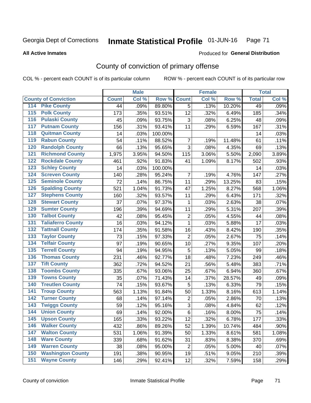### Inmate Statistical Profile 01-JUN-16 Page 71

### **All Active Inmates**

### Produced for General Distribution

# County of conviction of primary offense

COL % - percent each COUNT is of its particular column

|                                          |              | <b>Male</b> |         |                | <b>Female</b> |        |              | <b>Total</b> |
|------------------------------------------|--------------|-------------|---------|----------------|---------------|--------|--------------|--------------|
| <b>County of Conviction</b>              | <b>Count</b> | Col %       | Row %   | <b>Count</b>   | Col %         | Row %  | <b>Total</b> | Col %        |
| 114 Pike County                          | 44           | .09%        | 89.80%  | $\overline{5}$ | .13%          | 10.20% | 49           | .09%         |
| <b>Polk County</b><br>$\overline{115}$   | 173          | .35%        | 93.51%  | 12             | .32%          | 6.49%  | 185          | .34%         |
| <b>Pulaski County</b><br>116             | 45           | .09%        | 93.75%  | 3              | .08%          | 6.25%  | 48           | .09%         |
| 117<br><b>Putnam County</b>              | 156          | .31%        | 93.41%  | 11             | .29%          | 6.59%  | 167          | .31%         |
| <b>Quitman County</b><br>118             | 14           | .03%        | 100.00% |                |               |        | 14           | .03%         |
| <b>Rabun County</b><br>119               | 54           | .11%        | 88.52%  | $\overline{7}$ | .19%          | 11.48% | 61           | .11%         |
| <b>Randolph County</b><br>120            | 66           | .13%        | 95.65%  | 3              | .08%          | 4.35%  | 69           | .13%         |
| <b>Richmond County</b><br>121            | 1,975        | 3.95%       | 94.50%  | 115            | 3.06%         | 5.50%  | 2,090        | 3.89%        |
| <b>Rockdale County</b><br>122            | 461          | .92%        | 91.83%  | 41             | 1.09%         | 8.17%  | 502          | .93%         |
| <b>Schley County</b><br>123              | 14           | .03%        | 100.00% |                |               |        | 14           | .03%         |
| <b>Screven County</b><br>124             | 140          | .28%        | 95.24%  | 7              | .19%          | 4.76%  | 147          | .27%         |
| <b>Seminole County</b><br>125            | 72           | .14%        | 86.75%  | 11             | .29%          | 13.25% | 83           | .15%         |
| <b>Spalding County</b><br>126            | 521          | 1.04%       | 91.73%  | 47             | 1.25%         | 8.27%  | 568          | 1.06%        |
| <b>Stephens County</b><br>127            | 160          | .32%        | 93.57%  | 11             | .29%          | 6.43%  | 171          | .32%         |
| <b>Stewart County</b><br>128             | 37           | .07%        | 97.37%  | $\mathbf 1$    | .03%          | 2.63%  | 38           | .07%         |
| <b>Sumter County</b><br>129              | 196          | .39%        | 94.69%  | 11             | .29%          | 5.31%  | 207          | .39%         |
| <b>Talbot County</b><br>130              | 42           | .08%        | 95.45%  | $\overline{2}$ | .05%          | 4.55%  | 44           | .08%         |
| <b>Taliaferro County</b><br>131          | 16           | .03%        | 94.12%  | $\mathbf{1}$   | .03%          | 5.88%  | 17           | .03%         |
| <b>Tattnall County</b><br>132            | 174          | .35%        | 91.58%  | 16             | .43%          | 8.42%  | 190          | .35%         |
| <b>Taylor County</b><br>133              | 73           | .15%        | 97.33%  | $\overline{2}$ | .05%          | 2.67%  | 75           | .14%         |
| <b>Telfair County</b><br>134             | 97           | .19%        | 90.65%  | 10             | .27%          | 9.35%  | 107          | .20%         |
| <b>Terrell County</b><br>135             | 94           | .19%        | 94.95%  | 5              | .13%          | 5.05%  | 99           | .18%         |
| <b>Thomas County</b><br>136              | 231          | .46%        | 92.77%  | 18             | .48%          | 7.23%  | 249          | .46%         |
| <b>Tift County</b><br>137                | 362          | .72%        | 94.52%  | 21             | .56%          | 5.48%  | 383          | .71%         |
| <b>Toombs County</b><br>138              | 335          | .67%        | 93.06%  | 25             | .67%          | 6.94%  | 360          | .67%         |
| <b>Towns County</b><br>139               | 35           | .07%        | 71.43%  | 14             | .37%          | 28.57% | 49           | .09%         |
| <b>Treutlen County</b><br>140            | 74           | .15%        | 93.67%  | 5              | .13%          | 6.33%  | 79           | .15%         |
| <b>Troup County</b><br>141               | 563          | 1.13%       | 91.84%  | 50             | 1.33%         | 8.16%  | 613          | 1.14%        |
| <b>Turner County</b><br>142              | 68           | .14%        | 97.14%  | $\overline{2}$ | .05%          | 2.86%  | 70           | .13%         |
| <b>Twiggs County</b><br>$\overline{143}$ | 59           | .12%        | 95.16%  | $\mathfrak{S}$ | .08%          | 4.84%  | 62           | .12%         |
| <b>Union County</b><br>144               | 69           | .14%        | 92.00%  | $\,6$          | .16%          | 8.00%  | 75           | .14%         |
| 145<br><b>Upson County</b>               | 165          | .33%        | 93.22%  | 12             | .32%          | 6.78%  | 177          | .33%         |
| <b>Walker County</b><br>146              | 432          | .86%        | 89.26%  | 52             | 1.39%         | 10.74% | 484          | .90%         |
| <b>Walton County</b><br>147              | 531          | 1.06%       | 91.39%  | 50             | 1.33%         | 8.61%  | 581          | 1.08%        |
| <b>Ware County</b><br>148                | 339          | .68%        | 91.62%  | 31             | .83%          | 8.38%  | 370          | .69%         |
| <b>Warren County</b><br>149              | 38           | .08%        | 95.00%  | $\overline{2}$ | .05%          | 5.00%  | 40           | .07%         |
| <b>Washington County</b><br>150          | 191          | .38%        | 90.95%  | 19             | .51%          | 9.05%  | 210          | .39%         |
| <b>Wayne County</b><br>151               | 146          | .29%        | 92.41%  | 12             | .32%          | 7.59%  | 158          | .29%         |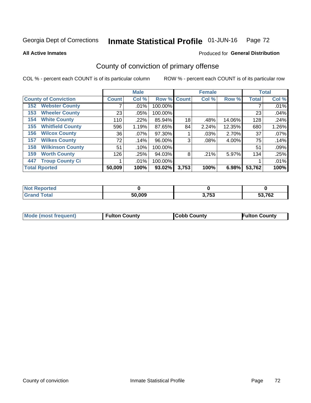### Inmate Statistical Profile 01-JUN-16 Page 72

**All Active Inmates** 

### Produced for General Distribution

# County of conviction of primary offense

COL % - percent each COUNT is of its particular column

|                                |              | <b>Male</b> |         |             | <b>Female</b> |        |              | <b>Total</b> |
|--------------------------------|--------------|-------------|---------|-------------|---------------|--------|--------------|--------------|
| <b>County of Conviction</b>    | <b>Count</b> | Col %       |         | Row % Count | Col %         | Row %  | <b>Total</b> | Col %        |
| <b>Webster County</b><br>152   |              | $.01\%$     | 100.00% |             |               |        |              | .01%         |
| <b>Wheeler County</b><br>153   | 23           | .05%        | 100.00% |             |               |        | 23           | .04%         |
| <b>White County</b><br>154     | 110          | $.22\%$     | 85.94%  | 18          | .48%          | 14.06% | 128          | .24%         |
| <b>Whitfield County</b><br>155 | 596          | 1.19%       | 87.65%  | 84          | 2.24%         | 12.35% | 680          | 1.26%        |
| <b>Wilcox County</b><br>156    | 36           | $.07\%$     | 97.30%  |             | $.03\%$       | 2.70%  | 37           | .07%         |
| <b>Wilkes County</b><br>157    | 72           | .14%        | 96.00%  | 3           | $.08\%$       | 4.00%  | 75           | .14%         |
| <b>Wilkinson County</b><br>158 | 51           | $.10\%$     | 100.00% |             |               |        | 51           | .09%         |
| <b>Worth County</b><br>159     | 126          | .25%        | 94.03%  | 8           | .21%          | 5.97%  | 134          | .25%         |
| <b>Troup County Ci</b><br>447  |              | $.01\%$     | 100.00% |             |               |        |              | .01%         |
| <b>Total Rported</b>           | 50,009       | 100%        | 93.02%  | 3,753       | 100%          | 6.98%  | 53,762       | 100%         |

| <b>Not Reported</b> |        |                |        |
|---------------------|--------|----------------|--------|
| <b>Total</b>        | 50,009 | ? フら?<br>ט ווי | 53,762 |

|  | <b>Mode (most frequent)</b> | <b>Fulton County</b> | <b>Cobb County</b> | <b>Fulton County</b> |
|--|-----------------------------|----------------------|--------------------|----------------------|
|--|-----------------------------|----------------------|--------------------|----------------------|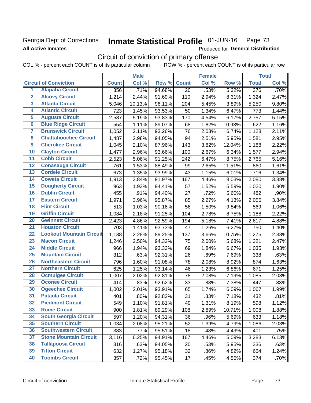## Georgia Dept of Corrections **All Active Inmates**

### Inmate Statistical Profile 01-JUN-16 Page 73

Produced for General Distribution

# Circuit of conviction of primary offense

COL % - percent each COUNT is of its particular column ROW % - percent each COUNT is of its particular row

|                         |                                 |              | <b>Male</b> |        |              | <b>Female</b> |        |              | <b>Total</b> |
|-------------------------|---------------------------------|--------------|-------------|--------|--------------|---------------|--------|--------------|--------------|
|                         | <b>Circuit of Conviction</b>    | <b>Count</b> | Col %       | Row %  | <b>Count</b> | Col %         | Row %  | <b>Total</b> | Col %        |
| 1                       | <b>Alapaha Circuit</b>          | 356          | .71%        | 94.68% | 20           | .53%          | 5.32%  | 376          | .70%         |
| $\overline{2}$          | <b>Alcovy Circuit</b>           | 1,214        | 2.44%       | 91.69% | 110          | 2.94%         | 8.31%  | 1,324        | 2.47%        |
| $\overline{\mathbf{3}}$ | <b>Atlanta Circuit</b>          | 5,046        | 10.13%      | 96.11% | 204          | 5.45%         | 3.89%  | 5,250        | 9.80%        |
| 4                       | <b>Atlantic Circuit</b>         | 723          | 1.45%       | 93.53% | 50           | 1.34%         | 6.47%  | 773          | 1.44%        |
| 5                       | <b>Augusta Circuit</b>          | 2,587        | 5.19%       | 93.83% | 170          | 4.54%         | 6.17%  | 2,757        | 5.15%        |
| $\overline{6}$          | <b>Blue Ridge Circuit</b>       | 554          | 1.11%       | 89.07% | 68           | 1.82%         | 10.93% | 622          | 1.16%        |
| $\overline{\mathbf{7}}$ | <b>Brunswick Circuit</b>        | 1,052        | 2.11%       | 93.26% | 76           | 2.03%         | 6.74%  | 1,128        | 2.11%        |
| 8                       | <b>Chattahoochee Circuit</b>    | 1,487        | 2.98%       | 94.05% | 94           | 2.51%         | 5.95%  | 1,581        | 2.95%        |
| $\overline{9}$          | <b>Cherokee Circuit</b>         | 1,045        | 2.10%       | 87.96% | 143          | 3.82%         | 12.04% | 1,188        | 2.22%        |
| 10                      | <b>Clayton Circuit</b>          | 1,477        | 2.96%       | 93.66% | 100          | 2.67%         | 6.34%  | 1,577        | 2.94%        |
| $\overline{11}$         | <b>Cobb Circuit</b>             | 2,523        | 5.06%       | 91.25% | 242          | 6.47%         | 8.75%  | 2,765        | 5.16%        |
| $\overline{12}$         | <b>Conasauga Circuit</b>        | 761          | 1.53%       | 88.49% | 99           | 2.65%         | 11.51% | 860          | 1.61%        |
| $\overline{13}$         | <b>Cordele Circuit</b>          | 673          | 1.35%       | 93.99% | 43           | 1.15%         | 6.01%  | 716          | 1.34%        |
| $\overline{14}$         | <b>Coweta Circuit</b>           | 1,913        | 3.84%       | 91.97% | 167          | 4.46%         | 8.03%  | 2,080        | 3.88%        |
| $\overline{15}$         | <b>Dougherty Circuit</b>        | 963          | 1.93%       | 94.41% | 57           | 1.52%         | 5.59%  | 1,020        | 1.90%        |
| 16                      | <b>Dublin Circuit</b>           | 455          | .91%        | 94.40% | 27           | .72%          | 5.60%  | 482          | .90%         |
| $\overline{17}$         | <b>Eastern Circuit</b>          | 1,971        | 3.96%       | 95.87% | 85           | 2.27%         | 4.13%  | 2,056        | 3.84%        |
| $\overline{18}$         | <b>Flint Circuit</b>            | 513          | 1.03%       | 90.16% | 56           | 1.50%         | 9.84%  | 569          | 1.06%        |
| 19                      | <b>Griffin Circuit</b>          | 1,084        | 2.18%       | 91.25% | 104          | 2.78%         | 8.75%  | 1,188        | 2.22%        |
| 20                      | <b>Gwinnett Circuit</b>         | 2,423        | 4.86%       | 92.59% | 194          | 5.18%         | 7.41%  | 2,617        | 4.88%        |
| 21                      | <b>Houston Circuit</b>          | 703          | 1.41%       | 93.73% | 47           | 1.26%         | 6.27%  | 750          | 1.40%        |
| $\overline{22}$         | <b>Lookout Mountain Circuit</b> | 1,138        | 2.28%       | 89.25% | 137          | 3.66%         | 10.75% | 1,275        | 2.38%        |
| 23                      | <b>Macon Circuit</b>            | 1,246        | 2.50%       | 94.32% | 75           | 2.00%         | 5.68%  | 1,321        | 2.47%        |
| 24                      | <b>Middle Circuit</b>           | 966          | 1.94%       | 93.33% | 69           | 1.84%         | 6.67%  | 1,035        | 1.93%        |
| $\overline{25}$         | <b>Mountain Circuit</b>         | 312          | .63%        | 92.31% | 26           | .69%          | 7.69%  | 338          | .63%         |
| 26                      | <b>Northeastern Circuit</b>     | 796          | 1.60%       | 91.08% | 78           | 2.08%         | 8.92%  | 874          | 1.63%        |
| $\overline{27}$         | <b>Northern Circuit</b>         | 625          | 1.25%       | 93.14% | 46           | 1.23%         | 6.86%  | 671          | 1.25%        |
| 28                      | <b>Ocmulgee Circuit</b>         | 1,007        | 2.02%       | 92.81% | 78           | 2.08%         | 7.19%  | 1,085        | 2.03%        |
| 29                      | <b>Oconee Circuit</b>           | 414          | .83%        | 92.62% | 33           | .88%          | 7.38%  | 447          | .83%         |
| 30                      | <b>Ogeechee Circuit</b>         | 1,002        | 2.01%       | 93.91% | 65           | 1.74%         | 6.09%  | 1,067        | 1.99%        |
| $\overline{31}$         | <b>Pataula Circuit</b>          | 401          | .80%        | 92.82% | 31           | .83%          | 7.18%  | 432          | .81%         |
| 32                      | <b>Piedmont Circuit</b>         | 549          | 1.10%       | 91.81% | 49           | 1.31%         | 8.19%  | 598          | 1.12%        |
| 33                      | <b>Rome Circuit</b>             | 900          | 1.81%       | 89.29% | 108          | 2.89%         | 10.71% | 1,008        | 1.88%        |
| 34                      | <b>South Georgia Circuit</b>    | 597          | 1.20%       | 94.31% | 36           | .96%          | 5.69%  | 633          | 1.18%        |
| 35                      | <b>Southern Circuit</b>         | 1,034        | 2.08%       | 95.21% | 52           | 1.39%         | 4.79%  | 1,086        | 2.03%        |
| 36                      | <b>Southwestern Circuit</b>     | 383          | .77%        | 95.51% | 18           | .48%          | 4.49%  | 401          | .75%         |
| 37                      | <b>Stone Mountain Circuit</b>   | 3,116        | 6.25%       | 94.91% | 167          | 4.46%         | 5.09%  | 3,283        | 6.13%        |
| 38                      | <b>Tallapoosa Circuit</b>       | 316          | .63%        | 94.05% | 20           | .53%          | 5.95%  | 336          | .63%         |
| 39                      | <b>Tifton Circuit</b>           | 632          | 1.27%       | 95.18% | 32           | .86%          | 4.82%  | 664          | 1.24%        |
| 40                      | <b>Toombs Circuit</b>           | 357          | .72%        | 95.45% | 17           | .45%          | 4.55%  | 374          | .70%         |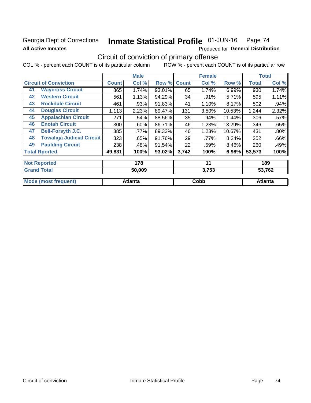# Georgia Dept of Corrections **All Active Inmates**

# Inmate Statistical Profile 01-JUN-16 Page 74

Produced for General Distribution

# Circuit of conviction of primary offense

COL % - percent each COUNT is of its particular column ROW % - percent each COUNT is of its particular row

|                                        |              | <b>Male</b> |        |              | <b>Female</b> |        |              | <b>Total</b> |  |
|----------------------------------------|--------------|-------------|--------|--------------|---------------|--------|--------------|--------------|--|
| <b>Circuit of Conviction</b>           | <b>Count</b> | Col %       | Row %  | <b>Count</b> | Col %         | Row %  | <b>Total</b> | Col %        |  |
| <b>Waycross Circuit</b><br>41          | 865          | 1.74%       | 93.01% | 65           | 1.74%         | 6.99%  | 930          | 1.74%        |  |
| <b>Western Circuit</b><br>42           | 561          | 1.13%       | 94.29% | 34           | .91%          | 5.71%  | 595          | 1.11%        |  |
| <b>Rockdale Circuit</b><br>43          | 461          | .93%        | 91.83% | 41           | 1.10%         | 8.17%  | 502          | .94%         |  |
| <b>Douglas Circuit</b><br>44           | 1,113        | 2.23%       | 89.47% | 131          | 3.50%         | 10.53% | 1,244        | 2.32%        |  |
| <b>Appalachian Circuit</b><br>45       | 271          | .54%        | 88.56% | 35           | .94%          | 11.44% | 306          | .57%         |  |
| <b>Enotah Circuit</b><br>46            | 300          | .60%        | 86.71% | 46           | 1.23%         | 13.29% | 346          | .65%         |  |
| <b>Bell-Forsyth J.C.</b><br>47         | 385          | .77%        | 89.33% | 46           | 1.23%         | 10.67% | 431          | .80%         |  |
| <b>Towaliga Judicial Circuit</b><br>48 | 323          | .65%        | 91.76% | 29           | .77%          | 8.24%  | 352          | .66%         |  |
| <b>Paulding Circuit</b><br>49          | 238          | .48%        | 91.54% | 22           | .59%          | 8.46%  | 260          | .49%         |  |
| <b>Total Rported</b>                   | 49,831       | 100%        | 93.02% | 3,742        | 100%          | 6.98%  | 53,573       | 100%         |  |
| <b>Not Reported</b>                    |              | 178         |        |              | 11            |        |              | 189          |  |
| <b>Grand Total</b>                     |              | 50.009      |        |              | 3753          |        |              | 53762        |  |

| $\overline{\phantom{a}}$ l Gilu Tudi | JU,UUJ  | טט ווט | <b>שט וי</b> טר |
|--------------------------------------|---------|--------|-----------------|
|                                      |         |        |                 |
| 'requent)<br><b>Mode</b>             | ⊿tlanta | Cobb   | Atlanta         |
|                                      |         |        |                 |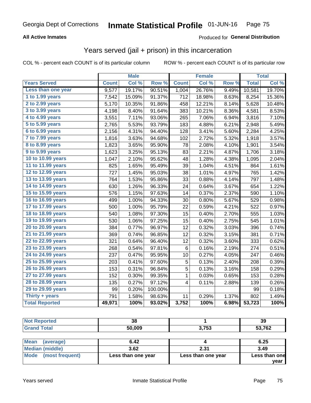### **All Active Inmates**

### Produced for **General Distribution**

## Years served (jail + prison) in this incarceration

|                              |              | <b>Male</b> |         |              | <b>Female</b> |       |              | <b>Total</b> |
|------------------------------|--------------|-------------|---------|--------------|---------------|-------|--------------|--------------|
| <b>Years Served</b>          | <b>Count</b> | Col %       | Row %   | <b>Count</b> | Col %         | Row % | <b>Total</b> | Col %        |
| Less than one year           | 9,577        | 19.17%      | 90.51%  | 1,004        | 26.76%        | 9.49% | 10,581       | 19.70%       |
| 1 to 1.99 years              | 7,542        | 15.09%      | 91.37%  | 712          | 18.98%        | 8.63% | 8,254        | 15.36%       |
| 2 to 2.99 years              | 5,170        | 10.35%      | 91.86%  | 458          | 12.21%        | 8.14% | 5,628        | 10.48%       |
| $3$ to $3.99$ years          | 4,198        | 8.40%       | 91.64%  | 383          | 10.21%        | 8.36% | 4,581        | 8.53%        |
| $\overline{4}$ to 4.99 years | 3,551        | 7.11%       | 93.06%  | 265          | 7.06%         | 6.94% | 3,816        | 7.10%        |
| $\overline{5}$ to 5.99 years | 2,765        | 5.53%       | 93.79%  | 183          | 4.88%         | 6.21% | 2,948        | 5.49%        |
| $6$ to $6.99$ years          | 2,156        | 4.31%       | 94.40%  | 128          | 3.41%         | 5.60% | 2,284        | 4.25%        |
| 7 to 7.99 years              | 1,816        | 3.63%       | 94.68%  | 102          | 2.72%         | 5.32% | 1,918        | 3.57%        |
| 8 to 8.99 years              | 1,823        | 3.65%       | 95.90%  | 78           | 2.08%         | 4.10% | 1,901        | 3.54%        |
| 9 to 9.99 years              | 1,623        | 3.25%       | 95.13%  | 83           | 2.21%         | 4.87% | 1,706        | 3.18%        |
| 10 to 10.99 years            | 1,047        | 2.10%       | 95.62%  | 48           | 1.28%         | 4.38% | 1,095        | 2.04%        |
| 11 to 11.99 years            | 825          | 1.65%       | 95.49%  | 39           | 1.04%         | 4.51% | 864          | 1.61%        |
| 12 to 12.99 years            | 727          | 1.45%       | 95.03%  | 38           | 1.01%         | 4.97% | 765          | 1.42%        |
| 13 to 13.99 years            | 764          | 1.53%       | 95.86%  | 33           | 0.88%         | 4.14% | 797          | 1.48%        |
| 14 to 14.99 years            | 630          | 1.26%       | 96.33%  | 24           | 0.64%         | 3.67% | 654          | 1.22%        |
| 15 to 15.99 years            | 576          | 1.15%       | 97.63%  | 14           | 0.37%         | 2.37% | 590          | 1.10%        |
| 16 to 16.99 years            | 499          | 1.00%       | 94.33%  | 30           | 0.80%         | 5.67% | 529          | 0.98%        |
| 17 to 17.99 years            | 500          | 1.00%       | 95.79%  | 22           | 0.59%         | 4.21% | 522          | 0.97%        |
| 18 to 18.99 years            | 540          | 1.08%       | 97.30%  | 15           | 0.40%         | 2.70% | 555          | 1.03%        |
| 19 to 19.99 years            | 530          | 1.06%       | 97.25%  | 15           | 0.40%         | 2.75% | 545          | 1.01%        |
| 20 to 20.99 years            | 384          | 0.77%       | 96.97%  | 12           | 0.32%         | 3.03% | 396          | 0.74%        |
| 21 to 21.99 years            | 369          | 0.74%       | 96.85%  | 12           | 0.32%         | 3.15% | 381          | 0.71%        |
| 22 to 22.99 years            | 321          | 0.64%       | 96.40%  | 12           | 0.32%         | 3.60% | 333          | 0.62%        |
| 23 to 23.99 years            | 268          | 0.54%       | 97.81%  | 6            | 0.16%         | 2.19% | 274          | 0.51%        |
| 24 to 24.99 years            | 237          | 0.47%       | 95.95%  | 10           | 0.27%         | 4.05% | 247          | 0.46%        |
| 25 to 25.99 years            | 203          | 0.41%       | 97.60%  | 5            | 0.13%         | 2.40% | 208          | 0.39%        |
| 26 to 26.99 years            | 153          | 0.31%       | 96.84%  | 5            | 0.13%         | 3.16% | 158          | 0.29%        |
| 27 to 27.99 years            | 152          | 0.30%       | 99.35%  | 1            | 0.03%         | 0.65% | 153          | 0.28%        |
| 28 to 28.99 years            | 135          | 0.27%       | 97.12%  | 4            | 0.11%         | 2.88% | 139          | 0.26%        |
| 29 to 29.99 years            | 99           | 0.20%       | 100.00% |              |               |       | 99           | 0.18%        |
| Thirty + years               | 791          | 1.58%       | 98.63%  | 11           | 0.29%         | 1.37% | 802          | 1.49%        |
| <b>Total Reported</b>        | 49,971       | 100%        | 93.02%  | 3,752        | 100%          | 6.98% | 53,723       | 100%         |

| <b>Not Reported</b> | 38     |       | 39     |
|---------------------|--------|-------|--------|
| <b>Grand Total</b>  | 50,009 | 3,753 | 53,762 |
|                     |        |       |        |

| Mean<br>(average)    | 6.42               |                    | 6.25          |
|----------------------|--------------------|--------------------|---------------|
| Median (middle)      | 3.62               | 2.31               | 3.49          |
| Mode (most frequent) | Less than one year | Less than one year | Less than one |
|                      |                    |                    | vear          |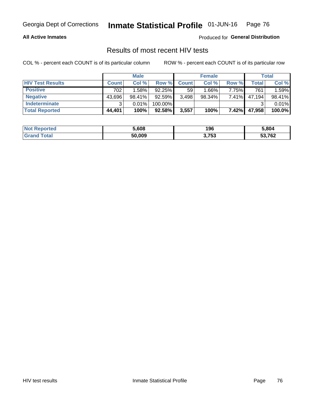#### **All Active Inmates**

Produced for **General Distribution**

# Results of most recent HIV tests

|                         | <b>Male</b>  |        |           | <b>Female</b> |           |          | Total  |        |
|-------------------------|--------------|--------|-----------|---------------|-----------|----------|--------|--------|
| <b>HIV Test Results</b> | <b>Count</b> | Col %  | Row %I    | <b>Count</b>  | Col %     | Row %    | Total  | Col %  |
| <b>Positive</b>         | 702          | 1.58%  | $92.25\%$ | 59            | $1.66\%$  | 7.75%    | 761    | 1.59%  |
| <b>Negative</b>         | 43,696       | 98.41% | 92.59%    | 3,498         | $98.34\%$ | 7.41%    | 47,194 | 98.41% |
| Indeterminate           | າ            | 0.01%  | 100.00%   |               |           |          |        | 0.01%  |
| <b>Total Reported</b>   | 44,401       | 100%   | 92.58%    | 3,557         | 100%      | $7.42\%$ | 47,958 | 100.0% |

| <b>Not Reported</b> | 5,608  | 196   | 5,804  |
|---------------------|--------|-------|--------|
| Total               | 50,009 | 3,753 | 53,762 |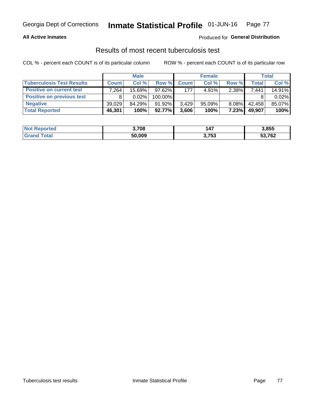#### **All Active Inmates**

### Produced for **General Distribution**

### Results of most recent tuberculosis test

|                                  | <b>Male</b>  |          |           | <b>Female</b> |           |          | Total  |        |
|----------------------------------|--------------|----------|-----------|---------------|-----------|----------|--------|--------|
| <b>Tuberculosis Test Results</b> | <b>Count</b> | Col %    | Row %     | <b>Count</b>  | Col %     | Row %    | Total  | Col %  |
| <b>Positive on current test</b>  | .264         | 15.69%   | $97.62\%$ | 177           | 4.91%     | 2.38%    | 7,441  | 14.91% |
| <b>Positive on previous test</b> | 8            | $0.02\%$ | 100.00%   |               |           |          |        | 0.02%  |
| <b>Negative</b>                  | 39.029       | 84.29%   | $91.92\%$ | 3.429         | $95.09\%$ | $8.08\%$ | 42,458 | 85.07% |
| <b>Total Reported</b>            | 46,301       | 100%     | $92.77\%$ | 3,606         | 100%      | 7.23%    | 49,907 | 100%   |

| <b>Not Reported</b> | 3,708  | 47ء   | 3,855  |
|---------------------|--------|-------|--------|
| <b>Total</b>        | 50,009 | 3,753 | 53,762 |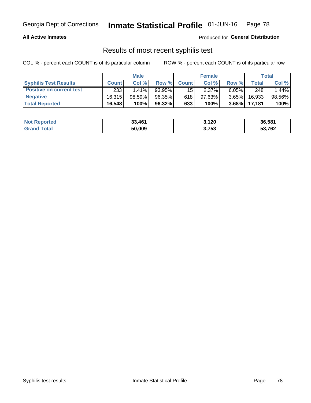#### **All Active Inmates**

Produced for **General Distribution**

## Results of most recent syphilis test

|                                 | <b>Male</b>  |           |        | <b>Female</b> |           |          | Total   |        |
|---------------------------------|--------------|-----------|--------|---------------|-----------|----------|---------|--------|
| <b>Syphilis Test Results</b>    | <b>Count</b> | Col%      | Row %I | <b>Count</b>  | Col %     | Row %    | Total I | Col %  |
| <b>Positive on current test</b> | 233          | $1.41\%$  | 93.95% | 15            | 2.37%     | $6.05\%$ | 248     | 1.44%  |
| <b>Negative</b>                 | 16.315       | $98.59\%$ | 96.35% | 618           | $97.63\%$ | $3.65\%$ | 16,933  | 98.56% |
| <b>Total Reported</b>           | 16,548       | 100%      | 96.32% | 633           | 100%      | $3.68\%$ | 17.181  | 100%   |

| <b>Not Reported</b> | 33,461 | 3,120 | 36,581 |
|---------------------|--------|-------|--------|
| <b>Grand Total</b>  | 50,009 | 3,753 | 53,762 |